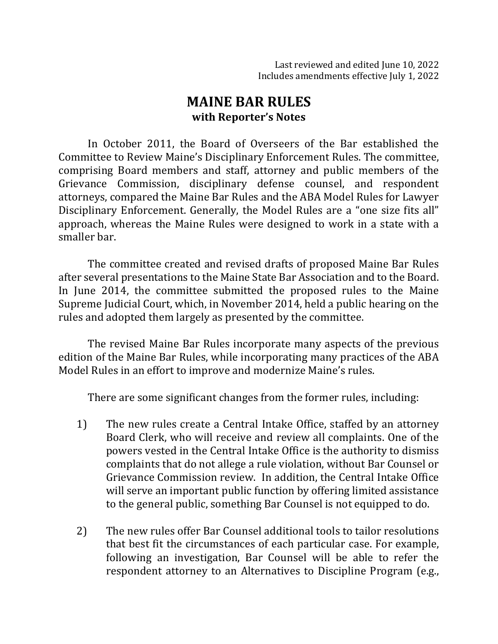# **MAINE BAR RULES with Reporter's Notes**

In October 2011, the Board of Overseers of the Bar established the Committee to Review Maine's Disciplinary Enforcement Rules. The committee, comprising Board members and staff, attorney and public members of the Grievance Commission, disciplinary defense counsel, and respondent attorneys, compared the Maine Bar Rules and the ABA Model Rules for Lawyer Disciplinary Enforcement. Generally, the Model Rules are a "one size fits all" approach, whereas the Maine Rules were designed to work in a state with a smaller bar.

The committee created and revised drafts of proposed Maine Bar Rules after several presentations to the Maine State Bar Association and to the Board. In June 2014, the committee submitted the proposed rules to the Maine Supreme Judicial Court, which, in November 2014, held a public hearing on the rules and adopted them largely as presented by the committee.

The revised Maine Bar Rules incorporate many aspects of the previous edition of the Maine Bar Rules, while incorporating many practices of the ABA Model Rules in an effort to improve and modernize Maine's rules.

There are some significant changes from the former rules, including:

- 1) The new rules create a Central Intake Office, staffed by an attorney Board Clerk, who will receive and review all complaints. One of the powers vested in the Central Intake Office is the authority to dismiss complaints that do not allege a rule violation, without Bar Counsel or Grievance Commission review. In addition, the Central Intake Office will serve an important public function by offering limited assistance to the general public, something Bar Counsel is not equipped to do.
- 2) The new rules offer Bar Counsel additional tools to tailor resolutions that best fit the circumstances of each particular case. For example, following an investigation, Bar Counsel will be able to refer the respondent attorney to an Alternatives to Discipline Program (e.g.,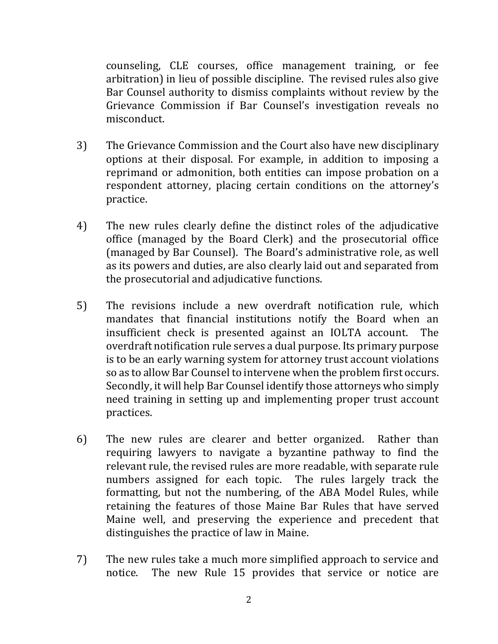counseling, CLE courses, office management training, or fee arbitration) in lieu of possible discipline. The revised rules also give Bar Counsel authority to dismiss complaints without review by the Grievance Commission if Bar Counsel's investigation reveals no misconduct. 

- 3) The Grievance Commission and the Court also have new disciplinary options at their disposal. For example, in addition to imposing a reprimand or admonition, both entities can impose probation on a respondent attorney, placing certain conditions on the attorney's practice.
- 4) The new rules clearly define the distinct roles of the adjudicative office (managed by the Board Clerk) and the prosecutorial office (managed by Bar Counsel). The Board's administrative role, as well as its powers and duties, are also clearly laid out and separated from the prosecutorial and adjudicative functions.
- 5) The revisions include a new overdraft notification rule, which mandates that financial institutions notify the Board when an insufficient check is presented against an IOLTA account. The overdraft notification rule serves a dual purpose. Its primary purpose is to be an early warning system for attorney trust account violations so as to allow Bar Counsel to intervene when the problem first occurs. Secondly, it will help Bar Counsel identify those attorneys who simply need training in setting up and implementing proper trust account practices.
- 6) The new rules are clearer and better organized. Rather than requiring lawyers to navigate a byzantine pathway to find the relevant rule, the revised rules are more readable, with separate rule numbers assigned for each topic. The rules largely track the formatting, but not the numbering, of the ABA Model Rules, while retaining the features of those Maine Bar Rules that have served Maine well, and preserving the experience and precedent that distinguishes the practice of law in Maine.
- 7) The new rules take a much more simplified approach to service and notice. The new Rule 15 provides that service or notice are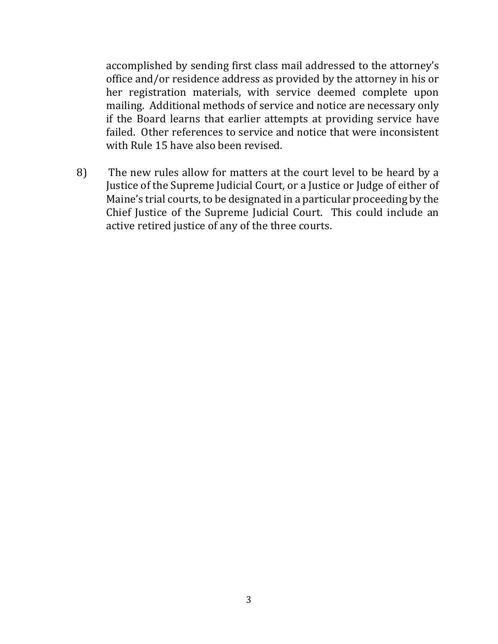accomplished by sending first class mail addressed to the attorney's office and/or residence address as provided by the attorney in his or her registration materials, with service deemed complete upon mailing. Additional methods of service and notice are necessary only if the Board learns that earlier attempts at providing service have failed. Other references to service and notice that were inconsistent with Rule 15 have also been revised.

8) The new rules allow for matters at the court level to be heard by a Justice of the Supreme Judicial Court, or a Justice or Judge of either of Maine's trial courts, to be designated in a particular proceeding by the Chief Justice of the Supreme Judicial Court. This could include an active retired justice of any of the three courts.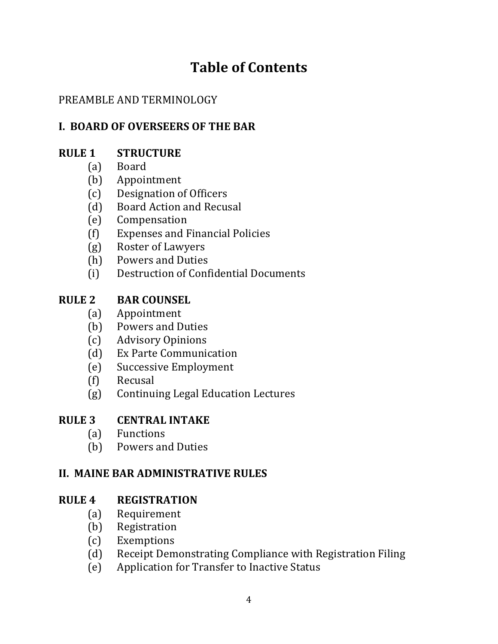# **Table of Contents**

# PREAMBLE AND TERMINOLOGY

# **I. BOARD OF OVERSEERS OF THE BAR**

# **RULE 1 STRUCTURE**

- (a) Board
- (b) Appointment
- (c) Designation of Officers
- (d) Board Action and Recusal
- (e) Compensation
- (f) Expenses and Financial Policies
- (g) Roster of Lawyers
- (h) Powers and Duties
- (i) Destruction of Confidential Documents

### **RULE 2 BAR COUNSEL**

- (a) Appointment
- (b) Powers and Duties
- (c) Advisory Opinions
- (d) Ex Parte Communication
- (e) Successive Employment
- (f) Recusal
- (g) Continuing Legal Education Lectures

### **RULE 3 CENTRAL INTAKE**

- (a) Functions
- (b) Powers and Duties

### **II. MAINE BAR ADMINISTRATIVE RULES**

### **RULE 4 REGISTRATION**

- (a) Requirement
- (b) Registration
- (c) Exemptions
- (d) Receipt Demonstrating Compliance with Registration Filing
- (e) Application for Transfer to Inactive Status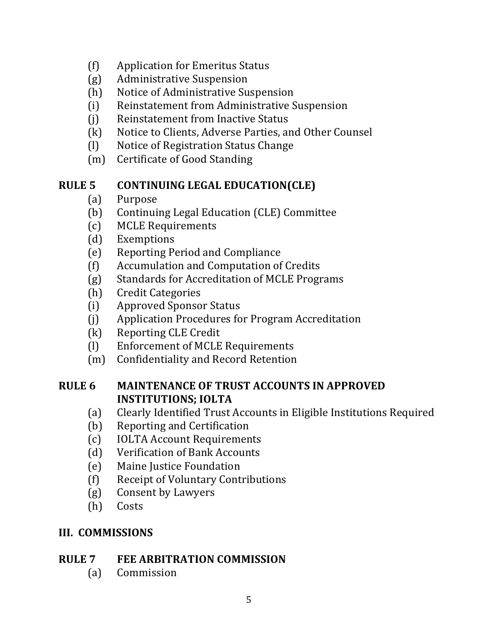- (f) Application for Emeritus Status
- (g) Administrative Suspension
- (h) Notice of Administrative Suspension
- (i) Reinstatement from Administrative Suspension
- (i) Reinstatement from Inactive Status
- (k) Notice to Clients, Adverse Parties, and Other Counsel
- (l) Notice of Registration Status Change
- (m) Certificate of Good Standing

### **RULE 5 CONTINUING LEGAL EDUCATION(CLE)**

- (a) Purpose
- (b) Continuing Legal Education (CLE) Committee
- (c) MCLE Requirements
- (d) Exemptions
- (e) Reporting Period and Compliance
- (f) Accumulation and Computation of Credits
- (g) Standards for Accreditation of MCLE Programs
- (h) Credit Categories
- (i) Approved Sponsor Status
- (j) Application Procedures for Program Accreditation
- (k) Reporting CLE Credit
- (I) Enforcement of MCLE Requirements
- (m) Confidentiality and Record Retention

### **RULE 6 MAINTENANCE OF TRUST ACCOUNTS IN APPROVED INSTITUTIONS; IOLTA**

- (a) Clearly Identified Trust Accounts in Eligible Institutions Required
- (b) Reporting and Certification
- (c) IOLTA Account Requirements
- (d) Verification of Bank Accounts
- (e) Maine Justice Foundation
- (f) Receipt of Voluntary Contributions
- (g) Consent by Lawyers
- (h) Costs

### **III. COMMISSIONS**

### **RULE 7 FEE ARBITRATION COMMISSION**

(a) Commission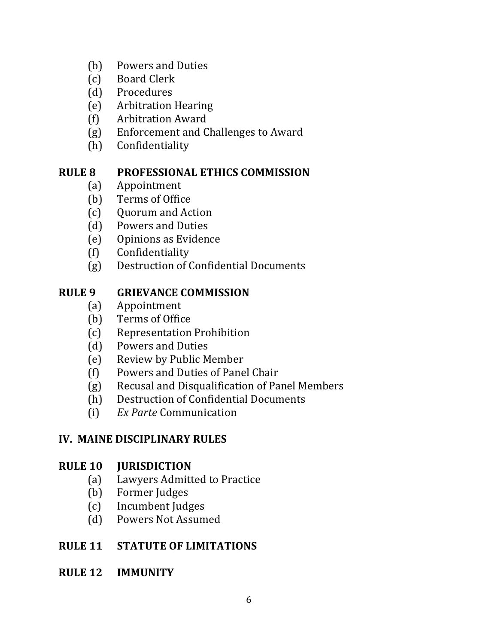- (b) Powers and Duties
- (c) Board Clerk
- (d) Procedures
- (e) Arbitration Hearing
- (f) Arbitration Award
- (g) Enforcement and Challenges to Award
- (h) Confidentiality

# **RULE 8 PROFESSIONAL ETHICS COMMISSION**

- (a) Appointment
- (b) Terms of Office
- (c) Quorum and Action
- (d) Powers and Duties
- (e) Opinions as Evidence
- (f) Confidentiality
- (g) Destruction of Confidential Documents

# **RULE 9 GRIEVANCE COMMISSION**

- (a) Appointment
- (b) Terms of Office
- (c) Representation Prohibition
- (d) Powers and Duties
- (e) Review by Public Member
- (f) Powers and Duties of Panel Chair
- (g) Recusal and Disqualification of Panel Members
- (h) Destruction of Confidential Documents
- (i) *Ex Parte* Communication

# **IV. MAINE DISCIPLINARY RULES**

### **RULE 10 JURISDICTION**

- (a) Lawyers Admitted to Practice
- (b) Former Judges
- (c) Incumbent Judges
- (d) Powers Not Assumed

### **RULE 11 STATUTE OF LIMITATIONS**

**RULE 12 IMMUNITY**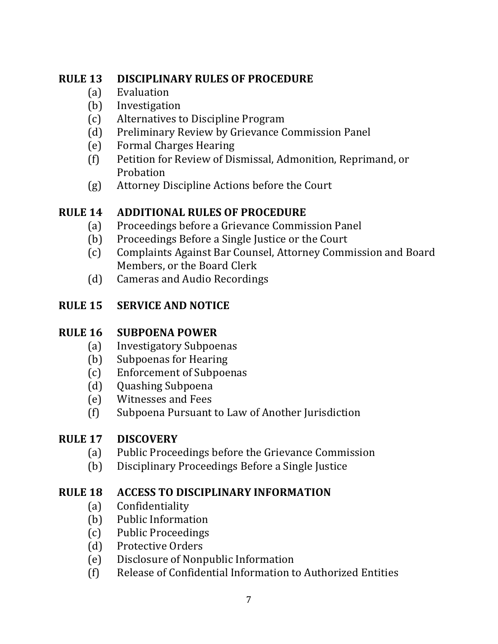# **RULE 13 DISCIPLINARY RULES OF PROCEDURE**

- (a) Evaluation
- (b) Investigation
- (c) Alternatives to Discipline Program
- (d) Preliminary Review by Grievance Commission Panel
- (e) Formal Charges Hearing
- (f) Petition for Review of Dismissal, Admonition, Reprimand, or Probation
- (g) Attorney Discipline Actions before the Court

# **RULE 14 ADDITIONAL RULES OF PROCEDURE**

- (a) Proceedings before a Grievance Commission Panel
- (b) Proceedings Before a Single Justice or the Court
- (c) Complaints Against Bar Counsel, Attorney Commission and Board Members, or the Board Clerk
- (d) Cameras and Audio Recordings

# **RULE 15 SERVICE AND NOTICE**

# **RULE 16 SUBPOENA POWER**

- (a) Investigatory Subpoenas
- (b) Subpoenas for Hearing
- (c) Enforcement of Subpoenas
- (d) Quashing Subpoena
- (e) Witnesses and Fees
- (f) Subpoena Pursuant to Law of Another Jurisdiction

# **RULE 17 DISCOVERY**

- (a) Public Proceedings before the Grievance Commission
- (b) Disciplinary Proceedings Before a Single Justice

# **RULE 18 ACCESS TO DISCIPLINARY INFORMATION**

- (a) Confidentiality
- (b) Public Information
- (c) Public Proceedings
- (d) Protective Orders
- (e) Disclosure of Nonpublic Information
- (f) Release of Confidential Information to Authorized Entities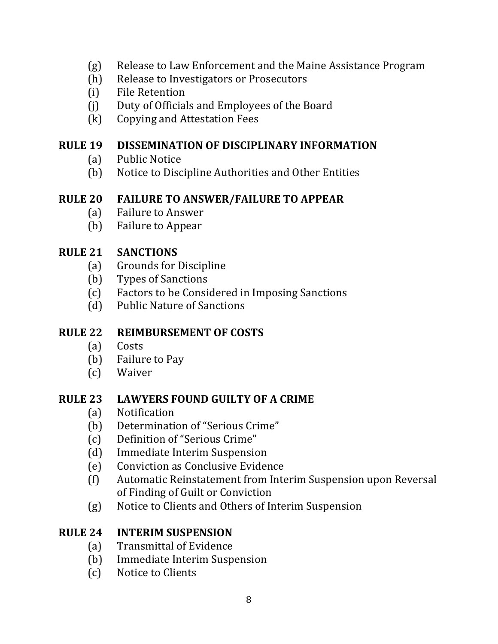- (g) Release to Law Enforcement and the Maine Assistance Program
- (h) Release to Investigators or Prosecutors
- (i) File Retention
- (j) Duty of Officials and Employees of the Board
- (k) Copying and Attestation Fees

#### **RULE 19 DISSEMINATION OF DISCIPLINARY INFORMATION**

- (a) Public Notice
- (b) Notice to Discipline Authorities and Other Entities

#### **RULE 20 FAILURE TO ANSWER/FAILURE TO APPEAR**

- (a) Failure to Answer
- (b) Failure to Appear

### **RULE 21 SANCTIONS**

- (a) Grounds for Discipline
- (b) Types of Sanctions
- (c) Factors to be Considered in Imposing Sanctions
- (d) Public Nature of Sanctions

# **RULE 22 REIMBURSEMENT OF COSTS**

- (a) Costs
- (b) Failure to Pay
- (c) Waiver

### **RULE 23 LAWYERS FOUND GUILTY OF A CRIME**

- (a) Notification
- (b) Determination of "Serious Crime"
- (c) Definition of "Serious Crime"
- (d) Immediate Interim Suspension
- (e) Conviction as Conclusive Evidence
- (f) Automatic Reinstatement from Interim Suspension upon Reversal of Finding of Guilt or Conviction
- (g) Notice to Clients and Others of Interim Suspension

### **RULE 24 INTERIM SUSPENSION**

- (a) Transmittal of Evidence
- (b) Immediate Interim Suspension
- (c) Notice to Clients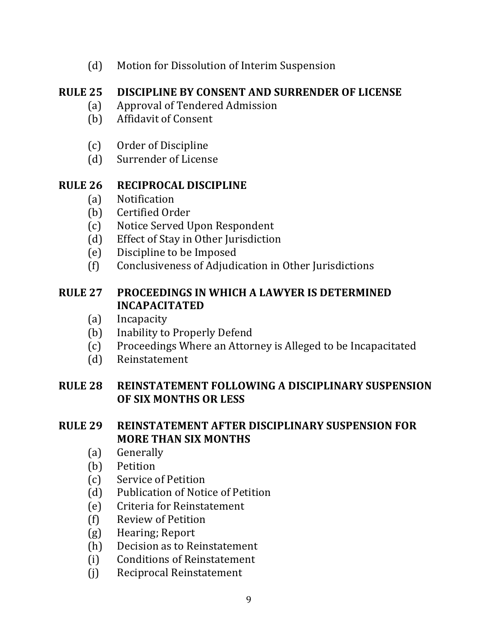(d) Motion for Dissolution of Interim Suspension

# **RULE 25 DISCIPLINE BY CONSENT AND SURRENDER OF LICENSE**

- (a) Approval of Tendered Admission
- (b) Affidavit of Consent
- (c) Order of Discipline
- (d) Surrender of License

### **RULE 26 RECIPROCAL DISCIPLINE**

- (a) Notification
- (b) Certified Order
- (c) Notice Served Upon Respondent
- (d) Effect of Stay in Other Jurisdiction
- (e) Discipline to be Imposed
- (f) Conclusiveness of Adjudication in Other Jurisdictions

#### **RULE 27 PROCEEDINGS IN WHICH A LAWYER IS DETERMINED INCAPACITATED**

- (a) Incapacity
- (b) Inability to Properly Defend
- (c) Proceedings Where an Attorney is Alleged to be Incapacitated
- (d) Reinstatement

### **RULE 28 REINSTATEMENT FOLLOWING A DISCIPLINARY SUSPENSION OF SIX MONTHS OR LESS**

### **RULE 29 REINSTATEMENT AFTER DISCIPLINARY SUSPENSION FOR MORE THAN SIX MONTHS**

- (a) Generally
- (b) Petition
- (c) Service of Petition
- (d) Publication of Notice of Petition
- (e) Criteria for Reinstatement
- (f) Review of Petition
- (g) Hearing; Report
- (h) Decision as to Reinstatement
- (i) Conditions of Reinstatement
- (j) Reciprocal Reinstatement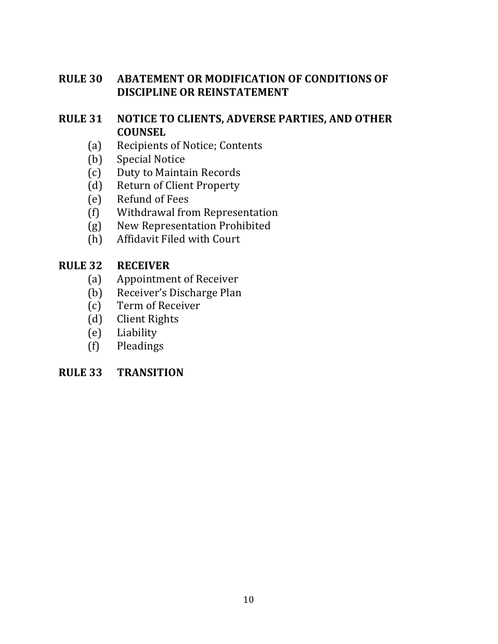### **RULE 30 ABATEMENT OR MODIFICATION OF CONDITIONS OF DISCIPLINE OR REINSTATEMENT**

### **RULE 31 NOTICE TO CLIENTS, ADVERSE PARTIES, AND OTHER COUNSEL**

- (a) Recipients of Notice; Contents
- (b) Special Notice
- (c) Duty to Maintain Records
- (d) Return of Client Property
- (e) Refund of Fees
- (f) Withdrawal from Representation
- (g) New Representation Prohibited
- (h) Affidavit Filed with Court

#### **RULE 32 RECEIVER**

- (a) Appointment of Receiver
- (b) Receiver's Discharge Plan
- (c) Term of Receiver
- (d) Client Rights
- (e) Liability
- (f) Pleadings

#### **RULE 33 TRANSITION**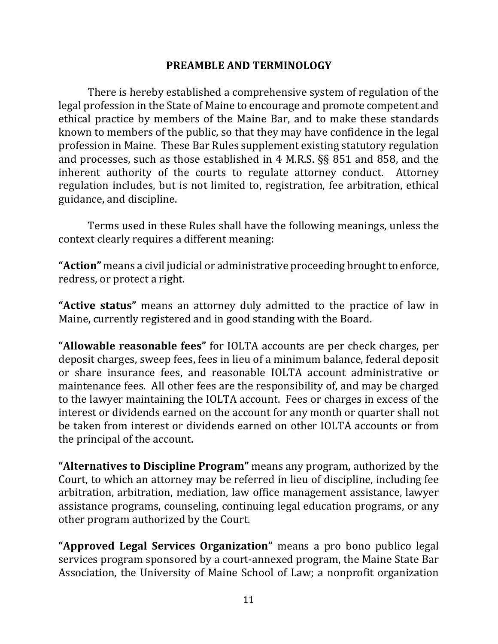#### **PREAMBLE AND TERMINOLOGY**

There is hereby established a comprehensive system of regulation of the legal profession in the State of Maine to encourage and promote competent and ethical practice by members of the Maine Bar, and to make these standards known to members of the public, so that they may have confidence in the legal profession in Maine. These Bar Rules supplement existing statutory regulation and processes, such as those established in 4 M.R.S.  $\S$ § 851 and 858, and the inherent authority of the courts to regulate attorney conduct. Attorney regulation includes, but is not limited to, registration, fee arbitration, ethical guidance, and discipline.

Terms used in these Rules shall have the following meanings, unless the context clearly requires a different meaning:

"Action" means a civil judicial or administrative proceeding brought to enforce, redress, or protect a right.

**"Active status"** means an attorney duly admitted to the practice of law in Maine, currently registered and in good standing with the Board.

"Allowable reasonable fees" for IOLTA accounts are per check charges, per deposit charges, sweep fees, fees in lieu of a minimum balance, federal deposit or share insurance fees, and reasonable IOLTA account administrative or maintenance fees. All other fees are the responsibility of, and may be charged to the lawyer maintaining the IOLTA account. Fees or charges in excess of the interest or dividends earned on the account for any month or quarter shall not be taken from interest or dividends earned on other IOLTA accounts or from the principal of the account.

**"Alternatives to Discipline Program"** means any program, authorized by the Court, to which an attorney may be referred in lieu of discipline, including fee arbitration, arbitration, mediation, law office management assistance, lawyer assistance programs, counseling, continuing legal education programs, or any other program authorized by the Court.

**"Approved Legal Services Organization"** means a pro bono publico legal services program sponsored by a court-annexed program, the Maine State Bar Association, the University of Maine School of Law; a nonprofit organization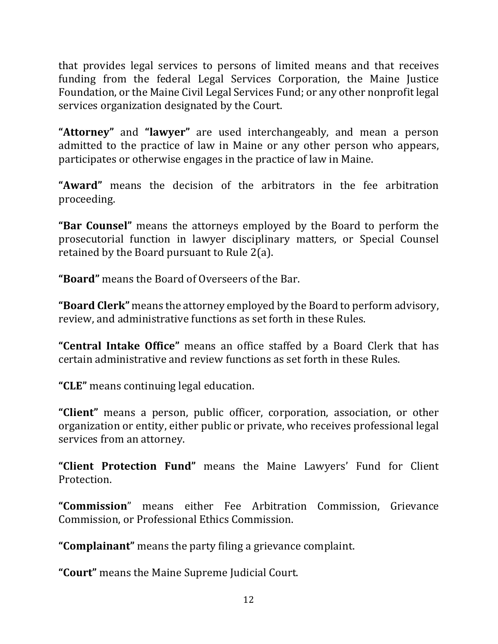that provides legal services to persons of limited means and that receives funding from the federal Legal Services Corporation, the Maine Justice Foundation, or the Maine Civil Legal Services Fund; or any other nonprofit legal services organization designated by the Court.

**"Attorney"** and "lawyer" are used interchangeably, and mean a person admitted to the practice of law in Maine or any other person who appears, participates or otherwise engages in the practice of law in Maine.

**"Award"** means the decision of the arbitrators in the fee arbitration proceeding.

**"Bar Counsel"** means the attorneys employed by the Board to perform the prosecutorial function in lawyer disciplinary matters, or Special Counsel retained by the Board pursuant to Rule  $2(a)$ .

**"Board"** means the Board of Overseers of the Bar.

**"Board Clerk"** means the attorney employed by the Board to perform advisory, review, and administrative functions as set forth in these Rules.

**"Central Intake Office"** means an office staffed by a Board Clerk that has certain administrative and review functions as set forth in these Rules.

**"CLE"** means continuing legal education.

**"Client"** means a person, public officer, corporation, association, or other organization or entity, either public or private, who receives professional legal services from an attorney.

"Client Protection Fund" means the Maine Lawyers' Fund for Client Protection.

**"Commission**" means either Fee Arbitration Commission, Grievance Commission, or Professional Ethics Commission.

**"Complainant"** means the party filing a grievance complaint.

"Court" means the Maine Supreme Judicial Court.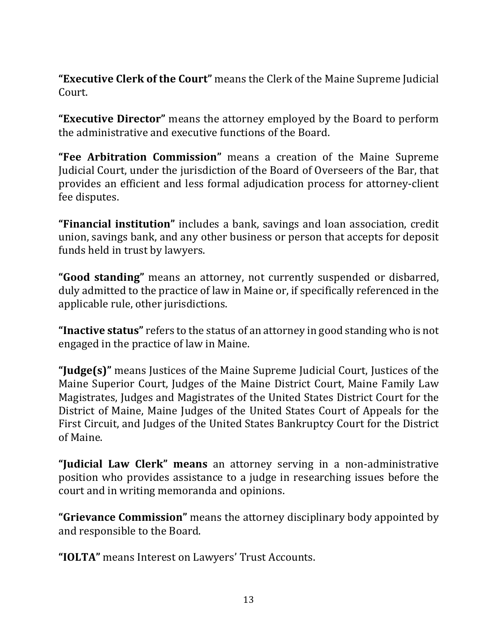**"Executive Clerk of the Court"** means the Clerk of the Maine Supreme Judicial Court. 

**"Executive Director"** means the attorney employed by the Board to perform the administrative and executive functions of the Board.

**"Fee Arbitration Commission"** means a creation of the Maine Supreme Judicial Court, under the jurisdiction of the Board of Overseers of the Bar, that provides an efficient and less formal adjudication process for attorney-client fee disputes.

**"Financial institution"** includes a bank, savings and loan association, credit union, savings bank, and any other business or person that accepts for deposit funds held in trust by lawyers.

"**Good standing**" means an attorney, not currently suspended or disbarred, duly admitted to the practice of law in Maine or, if specifically referenced in the applicable rule, other jurisdictions.

**Thactive status**" refers to the status of an attorney in good standing who is not engaged in the practice of law in Maine.

**"Judge(s)"** means Justices of the Maine Supreme Judicial Court, Justices of the Maine Superior Court, Judges of the Maine District Court, Maine Family Law Magistrates, Judges and Magistrates of the United States District Court for the District of Maine, Maine Judges of the United States Court of Appeals for the First Circuit, and Judges of the United States Bankruptcy Court for the District of Maine.

**"Judicial Law Clerk" means** an attorney serving in a non-administrative position who provides assistance to a judge in researching issues before the court and in writing memoranda and opinions.

**"Grievance Commission"** means the attorney disciplinary body appointed by and responsible to the Board.

"**IOLTA**" means Interest on Lawyers' Trust Accounts.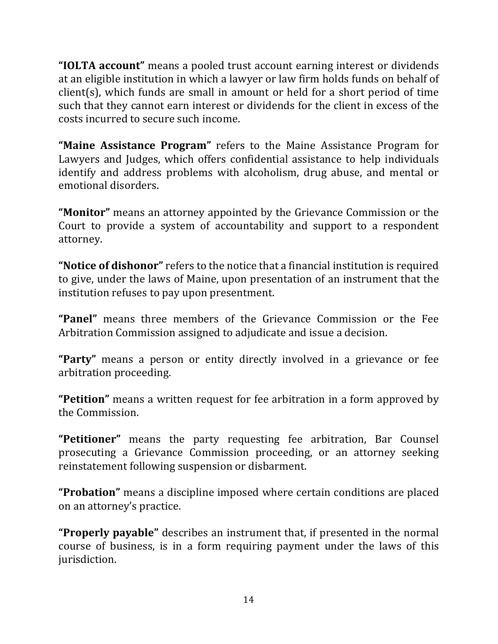**"IOLTA account"** means a pooled trust account earning interest or dividends at an eligible institution in which a lawyer or law firm holds funds on behalf of  $client(s)$ , which funds are small in amount or held for a short period of time such that they cannot earn interest or dividends for the client in excess of the costs incurred to secure such income.

**"Maine Assistance Program"** refers to the Maine Assistance Program for Lawyers and Judges, which offers confidential assistance to help individuals identify and address problems with alcoholism, drug abuse, and mental or emotional disorders.

**"Monitor"** means an attorney appointed by the Grievance Commission or the Court to provide a system of accountability and support to a respondent attorney.

**"Notice of dishonor"** refers to the notice that a financial institution is required to give, under the laws of Maine, upon presentation of an instrument that the institution refuses to pay upon presentment.

**"Panel"** means three members of the Grievance Commission or the Fee Arbitration Commission assigned to adjudicate and issue a decision.

**"Party"** means a person or entity directly involved in a grievance or fee arbitration proceeding.

"Petition" means a written request for fee arbitration in a form approved by the Commission.

"Petitioner" means the party requesting fee arbitration, Bar Counsel prosecuting a Grievance Commission proceeding, or an attorney seeking reinstatement following suspension or disbarment.

**"Probation"** means a discipline imposed where certain conditions are placed on an attorney's practice.

**"Properly payable"** describes an instrument that, if presented in the normal course of business, is in a form requiring payment under the laws of this jurisdiction.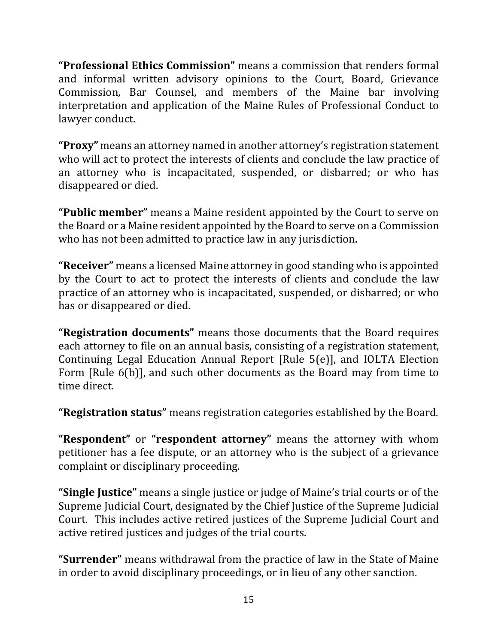**"Professional Ethics Commission"** means a commission that renders formal and informal written advisory opinions to the Court, Board, Grievance Commission, Bar Counsel, and members of the Maine bar involving interpretation and application of the Maine Rules of Professional Conduct to lawyer conduct.

**"Proxy"** means an attorney named in another attorney's registration statement who will act to protect the interests of clients and conclude the law practice of an attorney who is incapacitated, suspended, or disbarred; or who has disappeared or died.

"Public member" means a Maine resident appointed by the Court to serve on the Board or a Maine resident appointed by the Board to serve on a Commission who has not been admitted to practice law in any jurisdiction.

**"Receiver"** means a licensed Maine attorney in good standing who is appointed by the Court to act to protect the interests of clients and conclude the law practice of an attorney who is incapacitated, suspended, or disbarred; or who has or disappeared or died.

**"Registration documents"** means those documents that the Board requires each attorney to file on an annual basis, consisting of a registration statement, Continuing Legal Education Annual Report [Rule  $5(e)$ ], and IOLTA Election Form [Rule 6(b)], and such other documents as the Board may from time to time direct.

"Registration status" means registration categories established by the Board.

**"Respondent"** or **"respondent attorney"** means the attorney with whom petitioner has a fee dispute, or an attorney who is the subject of a grievance complaint or disciplinary proceeding.

**"Single Justice"** means a single justice or judge of Maine's trial courts or of the Supreme Judicial Court, designated by the Chief Justice of the Supreme Judicial Court. This includes active retired justices of the Supreme Judicial Court and active retired justices and judges of the trial courts.

**"Surrender"** means withdrawal from the practice of law in the State of Maine in order to avoid disciplinary proceedings, or in lieu of any other sanction.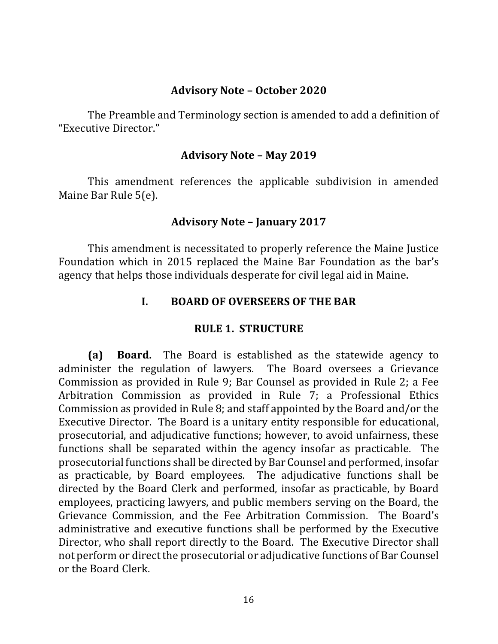#### **Advisory Note – October 2020**

The Preamble and Terminology section is amended to add a definition of "Executive Director."

#### **Advisory Note – May 2019**

This amendment references the applicable subdivision in amended Maine Bar Rule 5(e).

#### **Advisory Note – January 2017**

This amendment is necessitated to properly reference the Maine Justice Foundation which in 2015 replaced the Maine Bar Foundation as the bar's agency that helps those individuals desperate for civil legal aid in Maine.

#### **I. BOARD OF OVERSEERS OF THE BAR**

#### **RULE 1. STRUCTURE**

**(a) Board.** The Board is established as the statewide agency to administer the regulation of lawyers. The Board oversees a Grievance Commission as provided in Rule 9; Bar Counsel as provided in Rule 2; a Fee Arbitration Commission as provided in Rule 7; a Professional Ethics Commission as provided in Rule 8; and staff appointed by the Board and/or the Executive Director. The Board is a unitary entity responsible for educational, prosecutorial, and adjudicative functions; however, to avoid unfairness, these functions shall be separated within the agency insofar as practicable. The prosecutorial functions shall be directed by Bar Counsel and performed, insofar as practicable, by Board employees. The adjudicative functions shall be directed by the Board Clerk and performed, insofar as practicable, by Board employees, practicing lawyers, and public members serving on the Board, the Grievance Commission, and the Fee Arbitration Commission. The Board's administrative and executive functions shall be performed by the Executive Director, who shall report directly to the Board. The Executive Director shall not perform or direct the prosecutorial or adjudicative functions of Bar Counsel or the Board Clerk.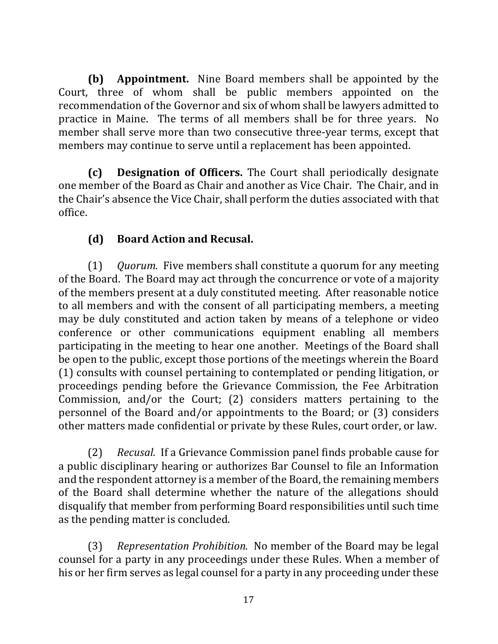**(b) Appointment.** Nine Board members shall be appointed by the Court, three of whom shall be public members appointed on the recommendation of the Governor and six of whom shall be lawyers admitted to practice in Maine. The terms of all members shall be for three years. No member shall serve more than two consecutive three-year terms, except that members may continue to serve until a replacement has been appointed.

**(c) Designation of Officers.** The Court shall periodically designate one member of the Board as Chair and another as Vice Chair. The Chair, and in the Chair's absence the Vice Chair, shall perform the duties associated with that office.

# **(d) Board Action and Recusal.**

(1) *Quorum.* Five members shall constitute a quorum for any meeting of the Board. The Board may act through the concurrence or vote of a majority of the members present at a duly constituted meeting. After reasonable notice to all members and with the consent of all participating members, a meeting may be duly constituted and action taken by means of a telephone or video conference or other communications equipment enabling all members participating in the meeting to hear one another. Meetings of the Board shall be open to the public, except those portions of the meetings wherein the Board (1) consults with counsel pertaining to contemplated or pending litigation, or proceedings pending before the Grievance Commission, the Fee Arbitration Commission, and/or the Court;  $(2)$  considers matters pertaining to the personnel of the Board and/or appointments to the Board; or  $(3)$  considers other matters made confidential or private by these Rules, court order, or law.

(2) *Recusal.* If a Grievance Commission panel finds probable cause for a public disciplinary hearing or authorizes Bar Counsel to file an Information and the respondent attorney is a member of the Board, the remaining members of the Board shall determine whether the nature of the allegations should disqualify that member from performing Board responsibilities until such time as the pending matter is concluded.

(3) *Representation Prohibition.* No member of the Board may be legal counsel for a party in any proceedings under these Rules. When a member of his or her firm serves as legal counsel for a party in any proceeding under these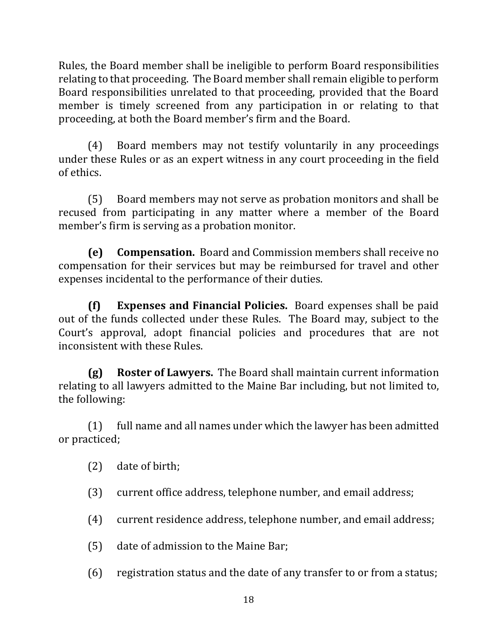Rules, the Board member shall be ineligible to perform Board responsibilities relating to that proceeding. The Board member shall remain eligible to perform Board responsibilities unrelated to that proceeding, provided that the Board member is timely screened from any participation in or relating to that proceeding, at both the Board member's firm and the Board.

(4) Board members may not testify voluntarily in any proceedings under these Rules or as an expert witness in any court proceeding in the field of ethics.

(5) Board members may not serve as probation monitors and shall be recused from participating in any matter where a member of the Board member's firm is serving as a probation monitor.

**(e)** Compensation. Board and Commission members shall receive no compensation for their services but may be reimbursed for travel and other expenses incidental to the performance of their duties.

**(f) Expenses and Financial Policies.** Board expenses shall be paid out of the funds collected under these Rules. The Board may, subject to the Court's approval, adopt financial policies and procedures that are not inconsistent with these Rules.

**(g) Roster of Lawyers.** The Board shall maintain current information relating to all lawyers admitted to the Maine Bar including, but not limited to, the following:

 $(1)$  full name and all names under which the lawyer has been admitted or practiced;

 $(2)$  date of birth;

(3) current office address, telephone number, and email address;

- (4) current residence address, telephone number, and email address;
- $(5)$  date of admission to the Maine Bar;
- $(6)$  registration status and the date of any transfer to or from a status;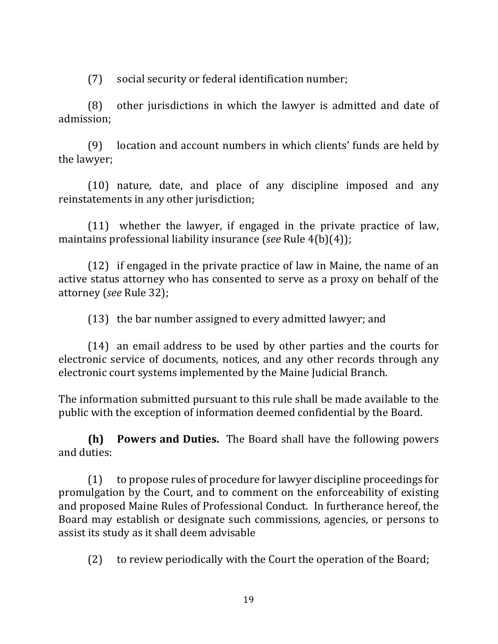(7) social security or federal identification number;

 $(8)$  other jurisdictions in which the lawyer is admitted and date of admission;

(9) location and account numbers in which clients' funds are held by the lawyer;

(10) nature, date, and place of any discipline imposed and any reinstatements in any other jurisdiction;

 $(11)$  whether the lawyer, if engaged in the private practice of law, maintains professional liability insurance (*see* Rule 4(b)(4));

(12) if engaged in the private practice of law in Maine, the name of an active status attorney who has consented to serve as a proxy on behalf of the attorney (see Rule 32);

 $(13)$  the bar number assigned to every admitted lawyer; and

(14) an email address to be used by other parties and the courts for electronic service of documents, notices, and any other records through any electronic court systems implemented by the Maine Judicial Branch.

The information submitted pursuant to this rule shall be made available to the public with the exception of information deemed confidential by the Board.

**(h) Powers and Duties.** The Board shall have the following powers and duties:

 $(1)$  to propose rules of procedure for lawyer discipline proceedings for promulgation by the Court, and to comment on the enforceability of existing and proposed Maine Rules of Professional Conduct. In furtherance hereof, the Board may establish or designate such commissions, agencies, or persons to assist its study as it shall deem advisable

 $(2)$  to review periodically with the Court the operation of the Board;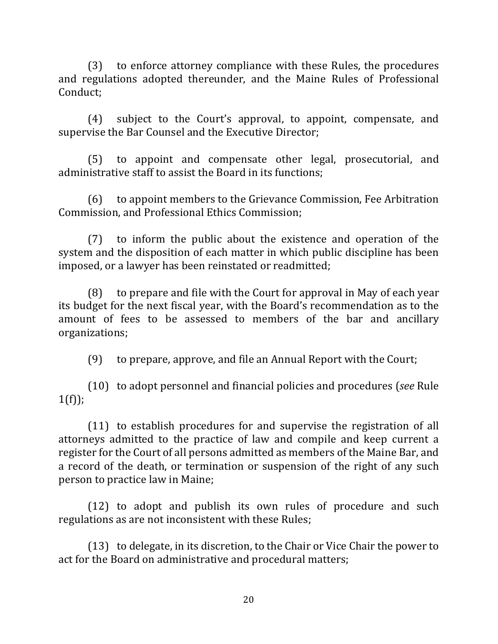(3) to enforce attorney compliance with these Rules, the procedures and regulations adopted thereunder, and the Maine Rules of Professional Conduct;

(4) subject to the Court's approval, to appoint, compensate, and supervise the Bar Counsel and the Executive Director;

(5) to appoint and compensate other legal, prosecutorial, and administrative staff to assist the Board in its functions;

(6) to appoint members to the Grievance Commission, Fee Arbitration Commission, and Professional Ethics Commission;

 $(7)$  to inform the public about the existence and operation of the system and the disposition of each matter in which public discipline has been imposed, or a lawyer has been reinstated or readmitted;

 $(8)$  to prepare and file with the Court for approval in May of each year its budget for the next fiscal year, with the Board's recommendation as to the amount of fees to be assessed to members of the bar and ancillary organizations;

(9) to prepare, approve, and file an Annual Report with the Court;

(10) to adopt personnel and financial policies and procedures (*see* Rule  $1(f)$ ;

 $(11)$  to establish procedures for and supervise the registration of all attorneys admitted to the practice of law and compile and keep current a register for the Court of all persons admitted as members of the Maine Bar, and a record of the death, or termination or suspension of the right of any such person to practice law in Maine;

(12) to adopt and publish its own rules of procedure and such regulations as are not inconsistent with these Rules;

(13) to delegate, in its discretion, to the Chair or Vice Chair the power to act for the Board on administrative and procedural matters;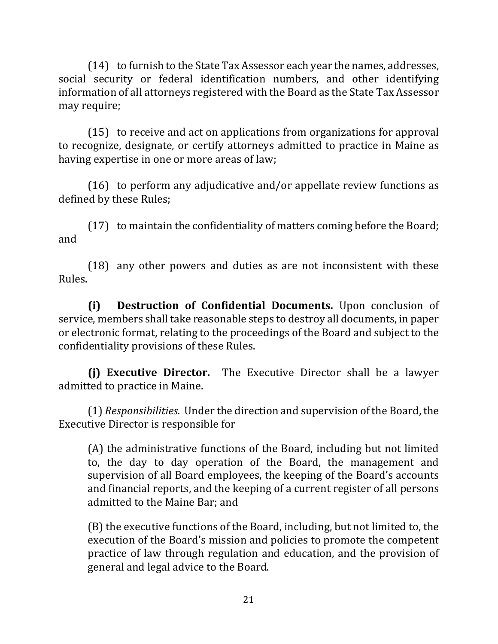$(14)$  to furnish to the State Tax Assessor each year the names, addresses, social security or federal identification numbers, and other identifying information of all attorneys registered with the Board as the State Tax Assessor may require;

(15) to receive and act on applications from organizations for approval to recognize, designate, or certify attorneys admitted to practice in Maine as having expertise in one or more areas of law;

(16) to perform any adjudicative and/or appellate review functions as defined by these Rules;

 $(17)$  to maintain the confidentiality of matters coming before the Board; and

 $(18)$  any other powers and duties as are not inconsistent with these Rules.

**(i) Destruction of Confidential Documents.** Upon conclusion of service, members shall take reasonable steps to destroy all documents, in paper or electronic format, relating to the proceedings of the Board and subject to the confidentiality provisions of these Rules.

**(i) Executive Director.** The Executive Director shall be a lawyer admitted to practice in Maine.

(1) *Responsibilities.* Under the direction and supervision of the Board, the Executive Director is responsible for

(A) the administrative functions of the Board, including but not limited to, the day to day operation of the Board, the management and supervision of all Board employees, the keeping of the Board's accounts and financial reports, and the keeping of a current register of all persons admitted to the Maine Bar; and

(B) the executive functions of the Board, including, but not limited to, the execution of the Board's mission and policies to promote the competent practice of law through regulation and education, and the provision of general and legal advice to the Board.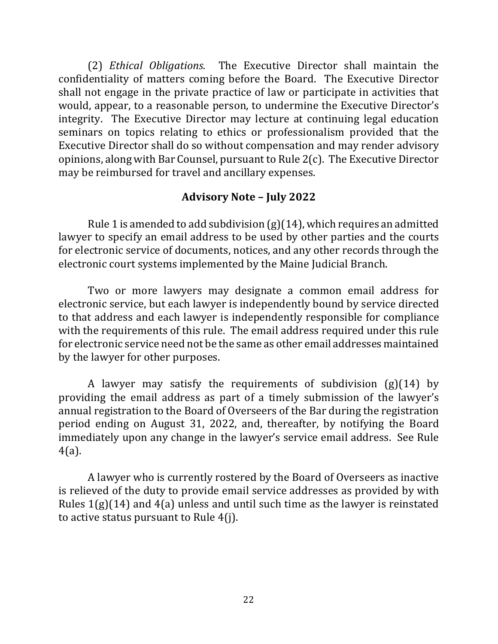(2) *Ethical Obligations.* The Executive Director shall maintain the confidentiality of matters coming before the Board. The Executive Director shall not engage in the private practice of law or participate in activities that would, appear, to a reasonable person, to undermine the Executive Director's integrity. The Executive Director may lecture at continuing legal education seminars on topics relating to ethics or professionalism provided that the Executive Director shall do so without compensation and may render advisory opinions, along with Bar Counsel, pursuant to Rule  $2(c)$ . The Executive Director may be reimbursed for travel and ancillary expenses.

#### **Advisory Note – July 2022**

Rule 1 is amended to add subdivision  $(g)(14)$ , which requires an admitted lawyer to specify an email address to be used by other parties and the courts for electronic service of documents, notices, and any other records through the electronic court systems implemented by the Maine Judicial Branch.

Two or more lawyers may designate a common email address for electronic service, but each lawyer is independently bound by service directed to that address and each lawyer is independently responsible for compliance with the requirements of this rule. The email address required under this rule for electronic service need not be the same as other email addresses maintained by the lawyer for other purposes.

A lawyer may satisfy the requirements of subdivision  $(g)(14)$  by providing the email address as part of a timely submission of the lawyer's annual registration to the Board of Overseers of the Bar during the registration period ending on August 31, 2022, and, thereafter, by notifying the Board immediately upon any change in the lawyer's service email address. See Rule 4(a).

A lawyer who is currently rostered by the Board of Overseers as inactive is relieved of the duty to provide email service addresses as provided by with Rules  $1(g)(14)$  and  $4(a)$  unless and until such time as the lawyer is reinstated to active status pursuant to Rule  $4(i)$ .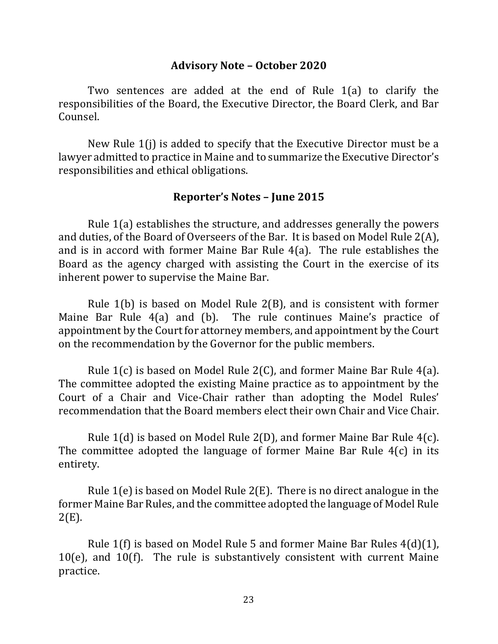#### **Advisory Note – October 2020**

Two sentences are added at the end of Rule  $1(a)$  to clarify the responsibilities of the Board, the Executive Director, the Board Clerk, and Bar Counsel. 

New Rule  $1(i)$  is added to specify that the Executive Director must be a lawyer admitted to practice in Maine and to summarize the Executive Director's responsibilities and ethical obligations.

#### **Reporter's Notes – June 2015**

Rule  $1(a)$  establishes the structure, and addresses generally the powers and duties, of the Board of Overseers of the Bar. It is based on Model Rule  $2(A)$ , and is in accord with former Maine Bar Rule  $4(a)$ . The rule establishes the Board as the agency charged with assisting the Court in the exercise of its inherent power to supervise the Maine Bar.

Rule  $1(b)$  is based on Model Rule  $2(B)$ , and is consistent with former Maine Bar Rule  $4(a)$  and (b). The rule continues Maine's practice of appointment by the Court for attorney members, and appointment by the Court on the recommendation by the Governor for the public members.

Rule  $1(c)$  is based on Model Rule  $2(C)$ , and former Maine Bar Rule  $4(a)$ . The committee adopted the existing Maine practice as to appointment by the Court of a Chair and Vice-Chair rather than adopting the Model Rules' recommendation that the Board members elect their own Chair and Vice Chair.

Rule  $1(d)$  is based on Model Rule  $2(D)$ , and former Maine Bar Rule  $4(c)$ . The committee adopted the language of former Maine Bar Rule  $4(c)$  in its entirety.

Rule  $1(e)$  is based on Model Rule  $2(E)$ . There is no direct analogue in the former Maine Bar Rules, and the committee adopted the language of Model Rule 2(E).

Rule  $1(f)$  is based on Model Rule 5 and former Maine Bar Rules  $4(d)(1)$ ,  $10(e)$ , and  $10(f)$ . The rule is substantively consistent with current Maine practice.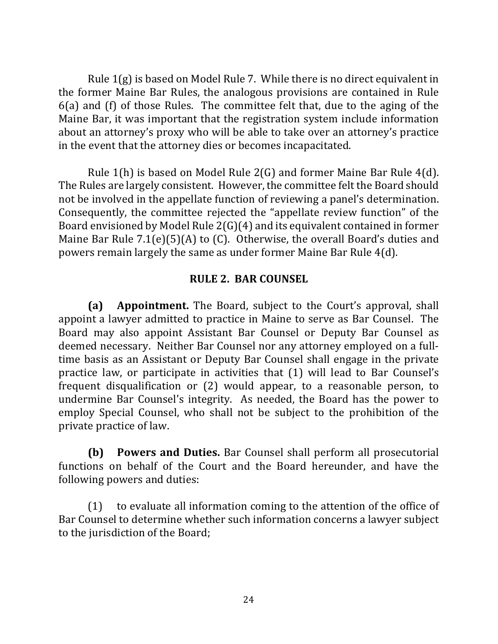Rule  $1(g)$  is based on Model Rule 7. While there is no direct equivalent in the former Maine Bar Rules, the analogous provisions are contained in Rule  $6(a)$  and  $(f)$  of those Rules. The committee felt that, due to the aging of the Maine Bar, it was important that the registration system include information about an attorney's proxy who will be able to take over an attorney's practice in the event that the attorney dies or becomes incapacitated.

Rule  $1(h)$  is based on Model Rule  $2(G)$  and former Maine Bar Rule  $4(d)$ . The Rules are largely consistent. However, the committee felt the Board should not be involved in the appellate function of reviewing a panel's determination. Consequently, the committee rejected the "appellate review function" of the Board envisioned by Model Rule  $2(G)(4)$  and its equivalent contained in former Maine Bar Rule  $7.1(e)(5)(A)$  to (C). Otherwise, the overall Board's duties and powers remain largely the same as under former Maine Bar Rule 4(d).

#### **RULE 2. BAR COUNSEL**

**(a) Appointment.** The Board, subject to the Court's approval, shall appoint a lawyer admitted to practice in Maine to serve as Bar Counsel. The Board may also appoint Assistant Bar Counsel or Deputy Bar Counsel as deemed necessary. Neither Bar Counsel nor any attorney employed on a fulltime basis as an Assistant or Deputy Bar Counsel shall engage in the private practice law, or participate in activities that (1) will lead to Bar Counsel's frequent disqualification or  $(2)$  would appear, to a reasonable person, to undermine Bar Counsel's integrity. As needed, the Board has the power to employ Special Counsel, who shall not be subject to the prohibition of the private practice of law.

**(b) Powers and Duties.** Bar Counsel shall perform all prosecutorial functions on behalf of the Court and the Board hereunder, and have the following powers and duties:

 $(1)$  to evaluate all information coming to the attention of the office of Bar Counsel to determine whether such information concerns a lawyer subject to the jurisdiction of the Board;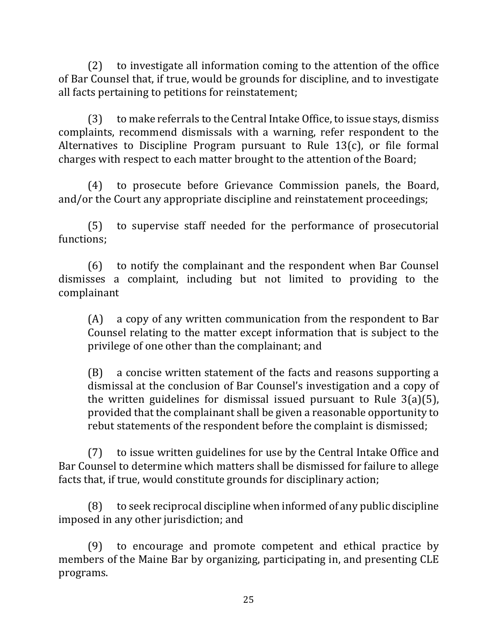$(2)$  to investigate all information coming to the attention of the office of Bar Counsel that, if true, would be grounds for discipline, and to investigate all facts pertaining to petitions for reinstatement;

(3) to make referrals to the Central Intake Office, to issue stays, dismiss complaints, recommend dismissals with a warning, refer respondent to the Alternatives to Discipline Program pursuant to Rule  $13(c)$ , or file formal charges with respect to each matter brought to the attention of the Board;

(4) to prosecute before Grievance Commission panels, the Board, and/or the Court any appropriate discipline and reinstatement proceedings;

(5) to supervise staff needed for the performance of prosecutorial functions;

(6) to notify the complainant and the respondent when Bar Counsel dismisses a complaint, including but not limited to providing to the complainant

 $(A)$  a copy of any written communication from the respondent to Bar Counsel relating to the matter except information that is subject to the privilege of one other than the complainant; and

(B) a concise written statement of the facts and reasons supporting a dismissal at the conclusion of Bar Counsel's investigation and a copy of the written guidelines for dismissal issued pursuant to Rule  $3(a)(5)$ , provided that the complainant shall be given a reasonable opportunity to rebut statements of the respondent before the complaint is dismissed;

(7) to issue written guidelines for use by the Central Intake Office and Bar Counsel to determine which matters shall be dismissed for failure to allege facts that, if true, would constitute grounds for disciplinary action;

 $(8)$  to seek reciprocal discipline when informed of any public discipline imposed in any other jurisdiction; and

 $(9)$  to encourage and promote competent and ethical practice by members of the Maine Bar by organizing, participating in, and presenting CLE programs.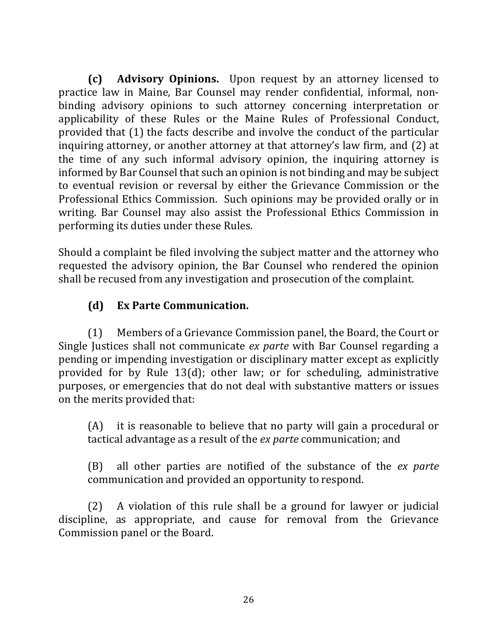**(c) Advisory Opinions.** Upon request by an attorney licensed to practice law in Maine, Bar Counsel may render confidential, informal, nonbinding advisory opinions to such attorney concerning interpretation or applicability of these Rules or the Maine Rules of Professional Conduct, provided that (1) the facts describe and involve the conduct of the particular inquiring attorney, or another attorney at that attorney's law firm, and (2) at the time of any such informal advisory opinion, the inquiring attorney is informed by Bar Counsel that such an opinion is not binding and may be subject to eventual revision or reversal by either the Grievance Commission or the Professional Ethics Commission. Such opinions may be provided orally or in writing. Bar Counsel may also assist the Professional Ethics Commission in performing its duties under these Rules.

Should a complaint be filed involving the subject matter and the attorney who requested the advisory opinion, the Bar Counsel who rendered the opinion shall be recused from any investigation and prosecution of the complaint.

# **(d) Ex Parte Communication.**

(1) Members of a Grievance Commission panel, the Board, the Court or Single Justices shall not communicate ex parte with Bar Counsel regarding a pending or impending investigation or disciplinary matter except as explicitly provided for by Rule  $13(d)$ ; other law; or for scheduling, administrative purposes, or emergencies that do not deal with substantive matters or issues on the merits provided that:

 $(A)$  it is reasonable to believe that no party will gain a procedural or tactical advantage as a result of the *ex parte* communication; and

(B) all other parties are notified of the substance of the *ex parte* communication and provided an opportunity to respond.

 $(2)$  A violation of this rule shall be a ground for lawyer or judicial discipline, as appropriate, and cause for removal from the Grievance Commission panel or the Board.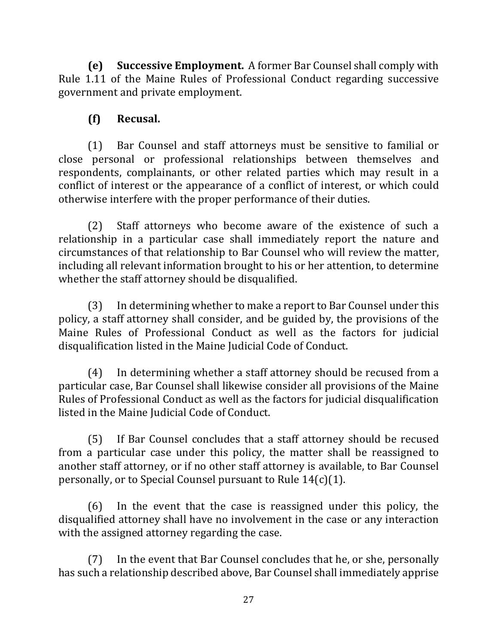**(e)** Successive Employment. A former Bar Counsel shall comply with Rule 1.11 of the Maine Rules of Professional Conduct regarding successive government and private employment.

# **(f) Recusal.**

(1) Bar Counsel and staff attorneys must be sensitive to familial or close personal or professional relationships between themselves and respondents, complainants, or other related parties which may result in a conflict of interest or the appearance of a conflict of interest, or which could otherwise interfere with the proper performance of their duties.

(2) Staff attorneys who become aware of the existence of such a relationship in a particular case shall immediately report the nature and circumstances of that relationship to Bar Counsel who will review the matter, including all relevant information brought to his or her attention, to determine whether the staff attorney should be disqualified.

(3) In determining whether to make a report to Bar Counsel under this policy, a staff attorney shall consider, and be guided by, the provisions of the Maine Rules of Professional Conduct as well as the factors for judicial disqualification listed in the Maine Judicial Code of Conduct.

(4) In determining whether a staff attorney should be recused from a particular case, Bar Counsel shall likewise consider all provisions of the Maine Rules of Professional Conduct as well as the factors for judicial disqualification listed in the Maine Judicial Code of Conduct.

(5) If Bar Counsel concludes that a staff attorney should be recused from a particular case under this policy, the matter shall be reassigned to another staff attorney, or if no other staff attorney is available, to Bar Counsel personally, or to Special Counsel pursuant to Rule  $14(c)(1)$ .

 $(6)$  In the event that the case is reassigned under this policy, the disqualified attorney shall have no involvement in the case or any interaction with the assigned attorney regarding the case.

(7) In the event that Bar Counsel concludes that he, or she, personally has such a relationship described above, Bar Counsel shall immediately apprise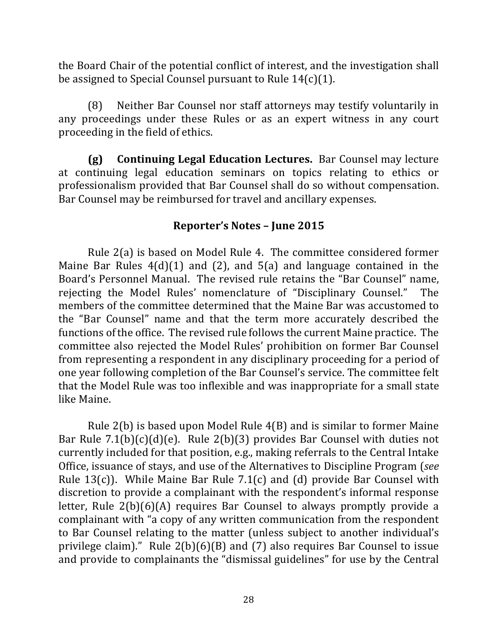the Board Chair of the potential conflict of interest, and the investigation shall be assigned to Special Counsel pursuant to Rule  $14(c)(1)$ .

(8) Neither Bar Counsel nor staff attorneys may testify voluntarily in any proceedings under these Rules or as an expert witness in any court proceeding in the field of ethics.

**(g) Continuing Legal Education Lectures.** Bar Counsel may lecture at continuing legal education seminars on topics relating to ethics or professionalism provided that Bar Counsel shall do so without compensation. Bar Counsel may be reimbursed for travel and ancillary expenses.

#### **Reporter's Notes – June 2015**

Rule  $2(a)$  is based on Model Rule 4. The committee considered former Maine Bar Rules  $4(d)(1)$  and  $(2)$ , and  $5(a)$  and language contained in the Board's Personnel Manual. The revised rule retains the "Bar Counsel" name, rejecting the Model Rules' nomenclature of "Disciplinary Counsel." The members of the committee determined that the Maine Bar was accustomed to the "Bar Counsel" name and that the term more accurately described the functions of the office. The revised rule follows the current Maine practice. The committee also rejected the Model Rules' prohibition on former Bar Counsel from representing a respondent in any disciplinary proceeding for a period of one year following completion of the Bar Counsel's service. The committee felt that the Model Rule was too inflexible and was inappropriate for a small state like Maine.

Rule  $2(b)$  is based upon Model Rule  $4(B)$  and is similar to former Maine Bar Rule  $7.1(b)(c)(d)(e)$ . Rule  $2(b)(3)$  provides Bar Counsel with duties not currently included for that position, e.g., making referrals to the Central Intake Office, issuance of stays, and use of the Alternatives to Discipline Program (*see*) Rule  $13(c)$ ). While Maine Bar Rule 7.1(c) and (d) provide Bar Counsel with discretion to provide a complainant with the respondent's informal response letter, Rule  $2(b)(6)(A)$  requires Bar Counsel to always promptly provide a complainant with "a copy of any written communication from the respondent to Bar Counsel relating to the matter (unless subject to another individual's privilege claim)." Rule  $2(b)(6)(B)$  and  $(7)$  also requires Bar Counsel to issue and provide to complainants the "dismissal guidelines" for use by the Central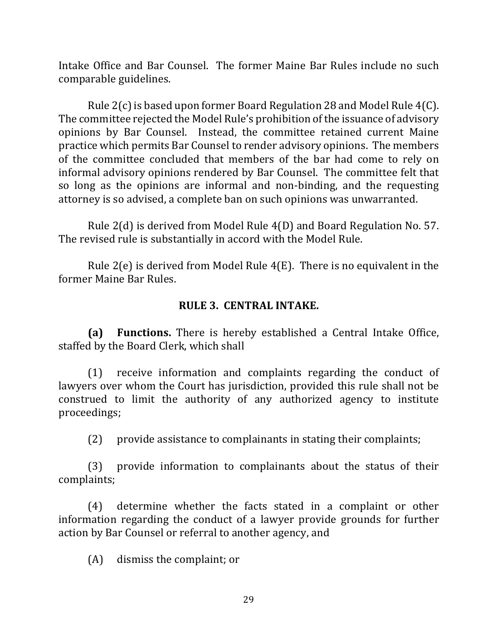Intake Office and Bar Counsel. The former Maine Bar Rules include no such comparable guidelines.

Rule  $2(c)$  is based upon former Board Regulation 28 and Model Rule  $4(C)$ . The committee rejected the Model Rule's prohibition of the issuance of advisory opinions by Bar Counsel. Instead, the committee retained current Maine practice which permits Bar Counsel to render advisory opinions. The members of the committee concluded that members of the bar had come to rely on informal advisory opinions rendered by Bar Counsel. The committee felt that so long as the opinions are informal and non-binding, and the requesting attorney is so advised, a complete ban on such opinions was unwarranted.

Rule  $2(d)$  is derived from Model Rule  $4(D)$  and Board Regulation No. 57. The revised rule is substantially in accord with the Model Rule.

Rule  $2(e)$  is derived from Model Rule  $4(E)$ . There is no equivalent in the former Maine Bar Rules.

#### **RULE 3. CENTRAL INTAKE.**

**(a) Functions.** There is hereby established a Central Intake Office, staffed by the Board Clerk, which shall

 $(1)$  receive information and complaints regarding the conduct of lawyers over whom the Court has jurisdiction, provided this rule shall not be construed to limit the authority of any authorized agency to institute proceedings;

 $(2)$  provide assistance to complainants in stating their complaints;

 $(3)$  provide information to complainants about the status of their complaints;

(4) determine whether the facts stated in a complaint or other information regarding the conduct of a lawyer provide grounds for further action by Bar Counsel or referral to another agency, and

 $(A)$  dismiss the complaint; or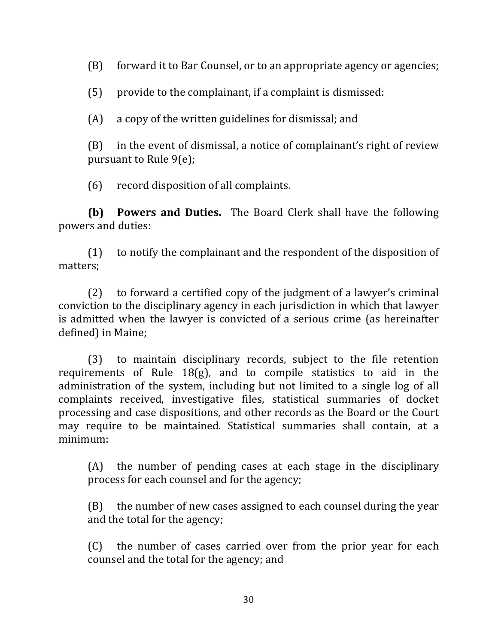(B) forward it to Bar Counsel, or to an appropriate agency or agencies;

 $(5)$  provide to the complainant, if a complaint is dismissed:

 $(A)$  a copy of the written guidelines for dismissal; and

 $(B)$  in the event of dismissal, a notice of complainant's right of review pursuant to Rule  $9(e)$ ;

 $(6)$  record disposition of all complaints.

**(b) Powers and Duties.** The Board Clerk shall have the following powers and duties:

 $(1)$  to notify the complainant and the respondent of the disposition of matters;

 $(2)$  to forward a certified copy of the judgment of a lawyer's criminal conviction to the disciplinary agency in each jurisdiction in which that lawyer is admitted when the lawyer is convicted of a serious crime (as hereinafter defined) in Maine;

(3) to maintain disciplinary records, subject to the file retention requirements of Rule  $18(g)$ , and to compile statistics to aid in the administration of the system, including but not limited to a single log of all complaints received, investigative files, statistical summaries of docket processing and case dispositions, and other records as the Board or the Court may require to be maintained. Statistical summaries shall contain, at a minimum:

 $(A)$  the number of pending cases at each stage in the disciplinary process for each counsel and for the agency;

 $(B)$  the number of new cases assigned to each counsel during the year and the total for the agency;

(C) the number of cases carried over from the prior year for each counsel and the total for the agency; and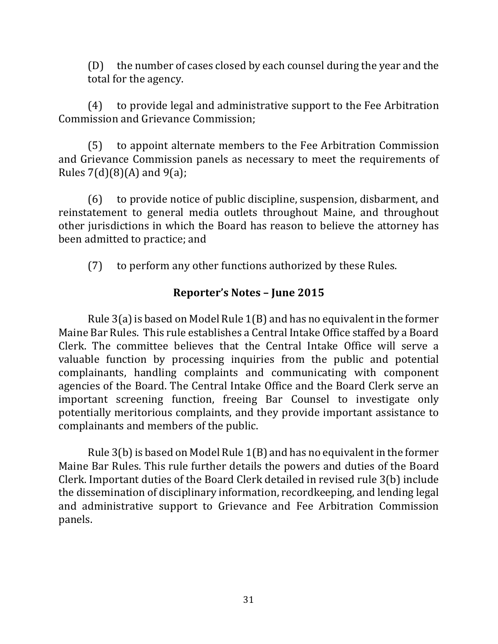(D) the number of cases closed by each counsel during the year and the total for the agency.

(4) to provide legal and administrative support to the Fee Arbitration Commission and Grievance Commission:

(5) to appoint alternate members to the Fee Arbitration Commission and Grievance Commission panels as necessary to meet the requirements of Rules  $7(d)(8)(A)$  and  $9(a)$ ;

 $(6)$  to provide notice of public discipline, suspension, disbarment, and reinstatement to general media outlets throughout Maine, and throughout other jurisdictions in which the Board has reason to believe the attorney has been admitted to practice; and

(7) to perform any other functions authorized by these Rules.

#### **Reporter's Notes – June 2015**

Rule  $3(a)$  is based on Model Rule  $1(B)$  and has no equivalent in the former Maine Bar Rules. This rule establishes a Central Intake Office staffed by a Board Clerk. The committee believes that the Central Intake Office will serve a valuable function by processing inquiries from the public and potential complainants, handling complaints and communicating with component agencies of the Board. The Central Intake Office and the Board Clerk serve an important screening function, freeing Bar Counsel to investigate only potentially meritorious complaints, and they provide important assistance to complainants and members of the public.

Rule  $3(b)$  is based on Model Rule  $1(B)$  and has no equivalent in the former Maine Bar Rules. This rule further details the powers and duties of the Board Clerk. Important duties of the Board Clerk detailed in revised rule 3(b) include the dissemination of disciplinary information, recordkeeping, and lending legal and administrative support to Grievance and Fee Arbitration Commission panels.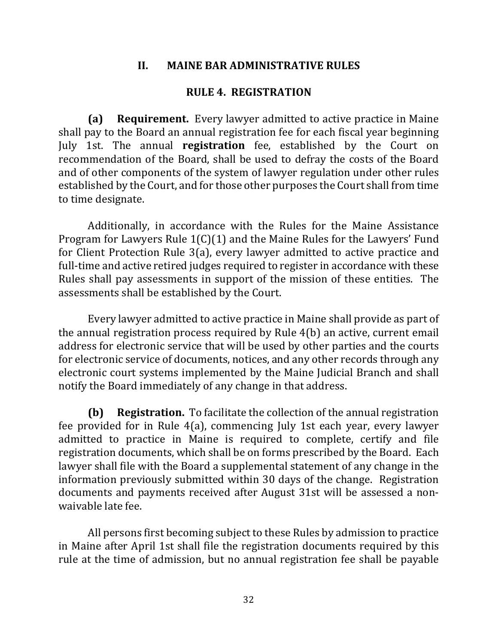#### **II. MAINE BAR ADMINISTRATIVE RULES**

#### **RULE 4. REGISTRATION**

**(a) Requirement.** Every lawyer admitted to active practice in Maine shall pay to the Board an annual registration fee for each fiscal year beginning July 1st. The annual **registration** fee, established by the Court on recommendation of the Board, shall be used to defray the costs of the Board and of other components of the system of lawyer regulation under other rules established by the Court, and for those other purposes the Court shall from time to time designate.

Additionally, in accordance with the Rules for the Maine Assistance Program for Lawyers Rule  $1(C)(1)$  and the Maine Rules for the Lawyers' Fund for Client Protection Rule  $3(a)$ , every lawyer admitted to active practice and full-time and active retired judges required to register in accordance with these Rules shall pay assessments in support of the mission of these entities. The assessments shall be established by the Court.

Every lawyer admitted to active practice in Maine shall provide as part of the annual registration process required by Rule  $4(b)$  an active, current email address for electronic service that will be used by other parties and the courts for electronic service of documents, notices, and any other records through any electronic court systems implemented by the Maine Judicial Branch and shall notify the Board immediately of any change in that address.

**(b) Registration.** To facilitate the collection of the annual registration fee provided for in Rule  $4(a)$ , commencing July 1st each year, every lawyer admitted to practice in Maine is required to complete, certify and file registration documents, which shall be on forms prescribed by the Board. Each lawyer shall file with the Board a supplemental statement of any change in the information previously submitted within 30 days of the change. Registration documents and payments received after August 31st will be assessed a nonwaivable late fee.

All persons first becoming subject to these Rules by admission to practice in Maine after April 1st shall file the registration documents required by this rule at the time of admission, but no annual registration fee shall be payable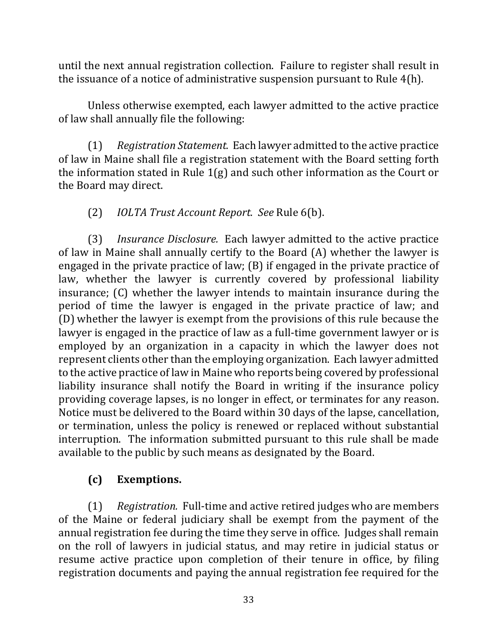until the next annual registration collection. Failure to register shall result in the issuance of a notice of administrative suspension pursuant to Rule  $4(h)$ .

Unless otherwise exempted, each lawyer admitted to the active practice of law shall annually file the following:

(1) Registration Statement. Each lawyer admitted to the active practice of law in Maine shall file a registration statement with the Board setting forth the information stated in Rule  $1(g)$  and such other information as the Court or the Board may direct.

### (2) *IOLTA Trust Account Report. See* Rule 6(b).

(3) *Insurance Disclosure.* Each lawyer admitted to the active practice of law in Maine shall annually certify to the Board  $(A)$  whether the lawyer is engaged in the private practice of law;  $(B)$  if engaged in the private practice of law, whether the lawyer is currently covered by professional liability insurance;  $(C)$  whether the lawyer intends to maintain insurance during the period of time the lawyer is engaged in the private practice of law; and (D) whether the lawyer is exempt from the provisions of this rule because the lawyer is engaged in the practice of law as a full-time government lawyer or is employed by an organization in a capacity in which the lawyer does not represent clients other than the employing organization. Each lawyer admitted to the active practice of law in Maine who reports being covered by professional liability insurance shall notify the Board in writing if the insurance policy providing coverage lapses, is no longer in effect, or terminates for any reason. Notice must be delivered to the Board within 30 days of the lapse, cancellation, or termination, unless the policy is renewed or replaced without substantial interruption. The information submitted pursuant to this rule shall be made available to the public by such means as designated by the Board.

# **(c) Exemptions.**

(1) Registration. Full-time and active retired judges who are members of the Maine or federal judiciary shall be exempt from the payment of the annual registration fee during the time they serve in office. Judges shall remain on the roll of lawyers in judicial status, and may retire in judicial status or resume active practice upon completion of their tenure in office, by filing registration documents and paying the annual registration fee required for the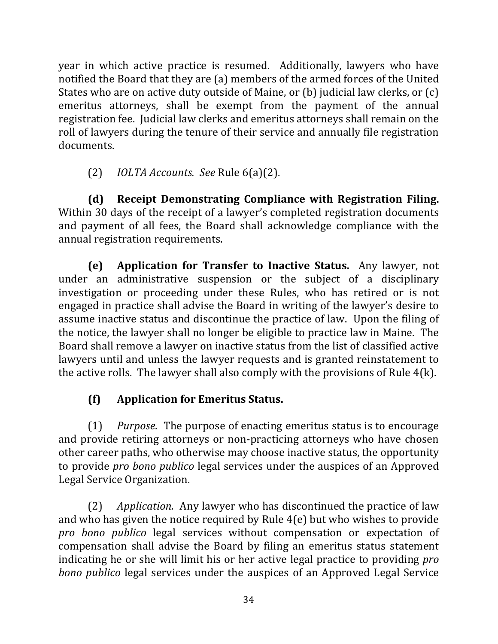year in which active practice is resumed. Additionally, lawyers who have notified the Board that they are (a) members of the armed forces of the United States who are on active duty outside of Maine, or (b) judicial law clerks, or  $(c)$ emeritus attorneys, shall be exempt from the payment of the annual registration fee. Judicial law clerks and emeritus attorneys shall remain on the roll of lawyers during the tenure of their service and annually file registration documents.

(2) *IOLTA Accounts. See* Rule 6(a)(2).

**(d)** Receipt Demonstrating Compliance with Registration Filing. Within 30 days of the receipt of a lawyer's completed registration documents and payment of all fees, the Board shall acknowledge compliance with the annual registration requirements.

**(e)** Application for Transfer to Inactive Status. Any lawyer, not under an administrative suspension or the subject of a disciplinary investigation or proceeding under these Rules, who has retired or is not engaged in practice shall advise the Board in writing of the lawyer's desire to assume inactive status and discontinue the practice of law. Upon the filing of the notice, the lawyer shall no longer be eligible to practice law in Maine. The Board shall remove a lawyer on inactive status from the list of classified active lawyers until and unless the lawyer requests and is granted reinstatement to the active rolls. The lawyer shall also comply with the provisions of Rule  $4(k)$ .

# **(f) Application for Emeritus Status.**

(1) *Purpose.* The purpose of enacting emeritus status is to encourage and provide retiring attorneys or non-practicing attorneys who have chosen other career paths, who otherwise may choose inactive status, the opportunity to provide *pro bono publico* legal services under the auspices of an Approved Legal Service Organization.

(2) *Application.* Any lawyer who has discontinued the practice of law and who has given the notice required by Rule  $4(e)$  but who wishes to provide *pro* bono *publico* legal services without compensation or expectation of compensation shall advise the Board by filing an emeritus status statement indicating he or she will limit his or her active legal practice to providing *pro bono publico* legal services under the auspices of an Approved Legal Service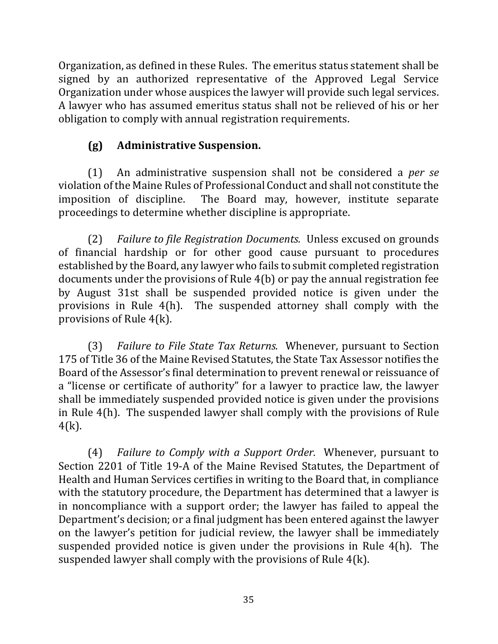Organization, as defined in these Rules. The emeritus status statement shall be signed by an authorized representative of the Approved Legal Service Organization under whose auspices the lawyer will provide such legal services. A lawyer who has assumed emeritus status shall not be relieved of his or her obligation to comply with annual registration requirements.

# **(g) Administrative Suspension.**

(1) An administrative suspension shall not be considered a *per se* violation of the Maine Rules of Professional Conduct and shall not constitute the imposition of discipline. The Board may, however, institute separate proceedings to determine whether discipline is appropriate.

(2) *Failure to file Registration Documents.* Unless excused on grounds of financial hardship or for other good cause pursuant to procedures established by the Board, any lawyer who fails to submit completed registration documents under the provisions of Rule  $4(b)$  or pay the annual registration fee by August 31st shall be suspended provided notice is given under the provisions in Rule  $4(h)$ . The suspended attorney shall comply with the provisions of Rule  $4(k)$ .

(3) *Failure to File State Tax Returns.* Whenever, pursuant to Section 175 of Title 36 of the Maine Revised Statutes, the State Tax Assessor notifies the Board of the Assessor's final determination to prevent renewal or reissuance of a "license or certificate of authority" for a lawyer to practice law, the lawyer shall be immediately suspended provided notice is given under the provisions in Rule 4(h). The suspended lawyer shall comply with the provisions of Rule  $4(k)$ .

(4) *Failure to Comply with a Support Order.* Whenever, pursuant to Section 2201 of Title 19-A of the Maine Revised Statutes, the Department of Health and Human Services certifies in writing to the Board that, in compliance with the statutory procedure, the Department has determined that a lawyer is in noncompliance with a support order; the lawyer has failed to appeal the Department's decision; or a final judgment has been entered against the lawyer on the lawyer's petition for judicial review, the lawyer shall be immediately suspended provided notice is given under the provisions in Rule  $4(h)$ . The suspended lawyer shall comply with the provisions of Rule  $4(k)$ .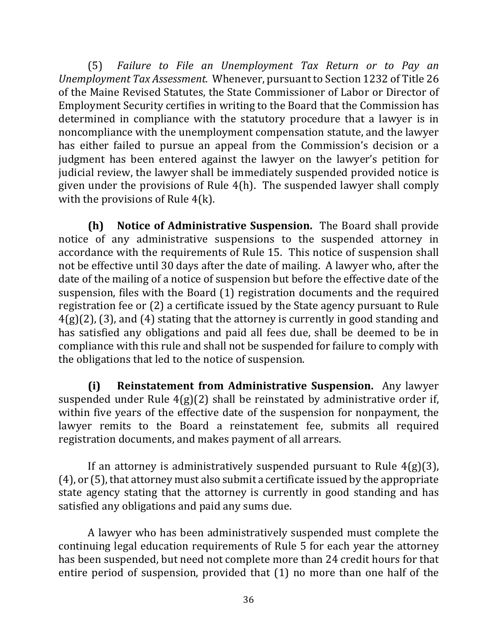(5) Failure to File an Unemployment Tax Return or to Pay an *Unemployment Tax Assessment.* Whenever, pursuant to Section 1232 of Title 26 of the Maine Revised Statutes, the State Commissioner of Labor or Director of Employment Security certifies in writing to the Board that the Commission has determined in compliance with the statutory procedure that a lawyer is in noncompliance with the unemployment compensation statute, and the lawyer has either failed to pursue an appeal from the Commission's decision or a judgment has been entered against the lawyer on the lawyer's petition for judicial review, the lawyer shall be immediately suspended provided notice is given under the provisions of Rule  $4(h)$ . The suspended lawyer shall comply with the provisions of Rule  $4(k)$ .

**(h)** Notice of Administrative Suspension. The Board shall provide notice of any administrative suspensions to the suspended attorney in accordance with the requirements of Rule 15. This notice of suspension shall not be effective until 30 days after the date of mailing. A lawyer who, after the date of the mailing of a notice of suspension but before the effective date of the suspension, files with the Board  $(1)$  registration documents and the required registration fee or  $(2)$  a certificate issued by the State agency pursuant to Rule  $4(g)(2)$ , (3), and (4) stating that the attorney is currently in good standing and has satisfied any obligations and paid all fees due, shall be deemed to be in compliance with this rule and shall not be suspended for failure to comply with the obligations that led to the notice of suspension.

**(i) Reinstatement from Administrative Suspension.** Any lawyer suspended under Rule  $4(g)(2)$  shall be reinstated by administrative order if, within five years of the effective date of the suspension for nonpayment, the lawyer remits to the Board a reinstatement fee, submits all required registration documents, and makes payment of all arrears.

If an attorney is administratively suspended pursuant to Rule  $4(g)(3)$ ,  $(4)$ , or  $(5)$ , that attorney must also submit a certificate issued by the appropriate state agency stating that the attorney is currently in good standing and has satisfied any obligations and paid any sums due.

A lawyer who has been administratively suspended must complete the continuing legal education requirements of Rule 5 for each year the attorney has been suspended, but need not complete more than 24 credit hours for that entire period of suspension, provided that  $(1)$  no more than one half of the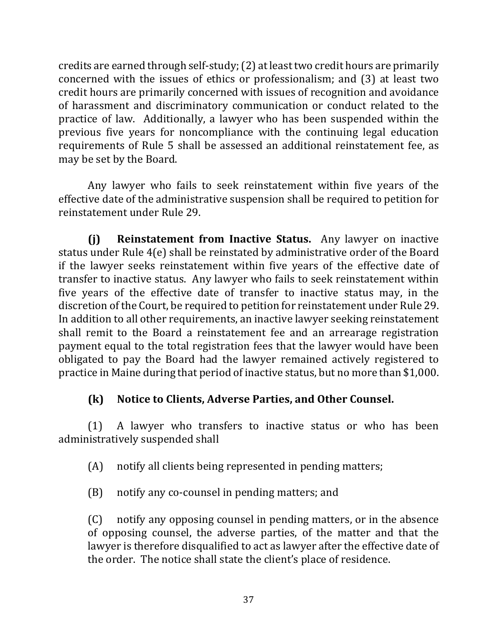credits are earned through self-study; (2) at least two credit hours are primarily concerned with the issues of ethics or professionalism; and  $(3)$  at least two credit hours are primarily concerned with issues of recognition and avoidance of harassment and discriminatory communication or conduct related to the practice of law. Additionally, a lawyer who has been suspended within the previous five years for noncompliance with the continuing legal education requirements of Rule 5 shall be assessed an additional reinstatement fee, as may be set by the Board.

Any lawyer who fails to seek reinstatement within five years of the effective date of the administrative suspension shall be required to petition for reinstatement under Rule 29.

**(i) Reinstatement from Inactive Status.** Any lawyer on inactive status under Rule  $4(e)$  shall be reinstated by administrative order of the Board if the lawyer seeks reinstatement within five years of the effective date of transfer to inactive status. Any lawyer who fails to seek reinstatement within five years of the effective date of transfer to inactive status may, in the discretion of the Court, be required to petition for reinstatement under Rule 29. In addition to all other requirements, an inactive lawyer seeking reinstatement shall remit to the Board a reinstatement fee and an arrearage registration payment equal to the total registration fees that the lawyer would have been obligated to pay the Board had the lawyer remained actively registered to practice in Maine during that period of inactive status, but no more than \$1,000.

## **(k)** Notice to Clients, Adverse Parties, and Other Counsel.

 $(1)$  A lawyer who transfers to inactive status or who has been administratively suspended shall

 $(A)$  notify all clients being represented in pending matters;

(B) notify any co-counsel in pending matters; and

 $(C)$  notify any opposing counsel in pending matters, or in the absence of opposing counsel, the adverse parties, of the matter and that the lawyer is therefore disqualified to act as lawyer after the effective date of the order. The notice shall state the client's place of residence.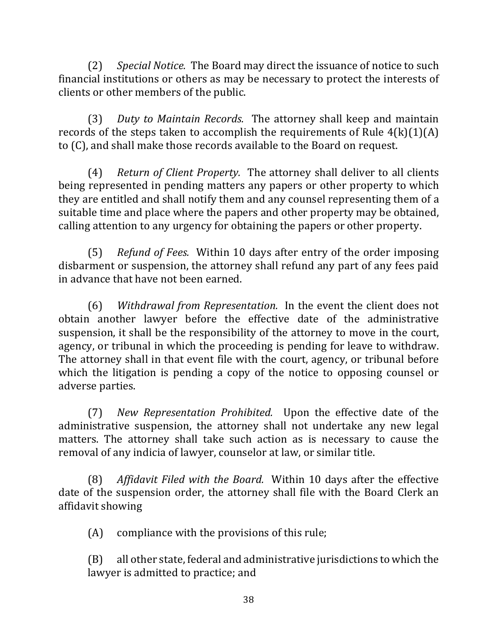(2) *Special Notice.* The Board may direct the issuance of notice to such financial institutions or others as may be necessary to protect the interests of clients or other members of the public.

(3) *Duty to Maintain Records.* The attorney shall keep and maintain records of the steps taken to accomplish the requirements of Rule  $4(k)(1)(A)$ to (C), and shall make those records available to the Board on request.

(4) *Return of Client Property.* The attorney shall deliver to all clients being represented in pending matters any papers or other property to which they are entitled and shall notify them and any counsel representing them of a suitable time and place where the papers and other property may be obtained, calling attention to any urgency for obtaining the papers or other property.

(5) *Refund of Fees.* Within 10 days after entry of the order imposing disbarment or suspension, the attorney shall refund any part of any fees paid in advance that have not been earned.

(6) *Withdrawal from Representation.* In the event the client does not obtain another lawyer before the effective date of the administrative suspension, it shall be the responsibility of the attorney to move in the court, agency, or tribunal in which the proceeding is pending for leave to withdraw. The attorney shall in that event file with the court, agency, or tribunal before which the litigation is pending a copy of the notice to opposing counsel or adverse parties.

(7) *New Representation Prohibited.* Upon the effective date of the administrative suspension, the attorney shall not undertake any new legal matters. The attorney shall take such action as is necessary to cause the removal of any indicia of lawyer, counselor at law, or similar title.

(8) Affidavit Filed with the Board. Within 10 days after the effective date of the suspension order, the attorney shall file with the Board Clerk an affidavit showing

 $(A)$  compliance with the provisions of this rule;

 $(B)$  all other state, federal and administrative jurisdictions to which the lawyer is admitted to practice; and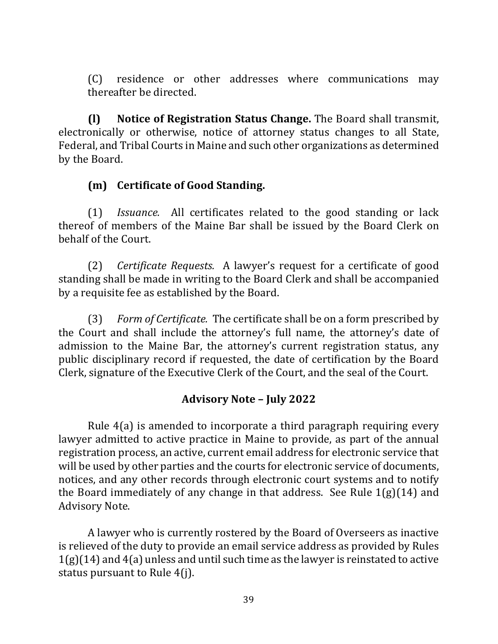(C) residence or other addresses where communications may thereafter be directed.

**(l) Notice of Registration Status Change.** The Board shall transmit, electronically or otherwise, notice of attorney status changes to all State, Federal, and Tribal Courts in Maine and such other organizations as determined by the Board.

## **(m) Certificate of Good Standing.**

(1) *Issuance.* All certificates related to the good standing or lack thereof of members of the Maine Bar shall be issued by the Board Clerk on behalf of the Court.

(2) *Certificate Requests.* A lawyer's request for a certificate of good standing shall be made in writing to the Board Clerk and shall be accompanied by a requisite fee as established by the Board.

(3) *Form of Certificate.* The certificate shall be on a form prescribed by the Court and shall include the attorney's full name, the attorney's date of admission to the Maine Bar, the attorney's current registration status, any public disciplinary record if requested, the date of certification by the Board Clerk, signature of the Executive Clerk of the Court, and the seal of the Court.

## **Advisory Note – July 2022**

Rule  $4(a)$  is amended to incorporate a third paragraph requiring every lawyer admitted to active practice in Maine to provide, as part of the annual registration process, an active, current email address for electronic service that will be used by other parties and the courts for electronic service of documents, notices, and any other records through electronic court systems and to notify the Board immediately of any change in that address. See Rule  $1(g)(14)$  and Advisory Note.

A lawyer who is currently rostered by the Board of Overseers as inactive is relieved of the duty to provide an email service address as provided by Rules  $1(g)(14)$  and  $4(a)$  unless and until such time as the lawyer is reinstated to active status pursuant to Rule  $4(i)$ .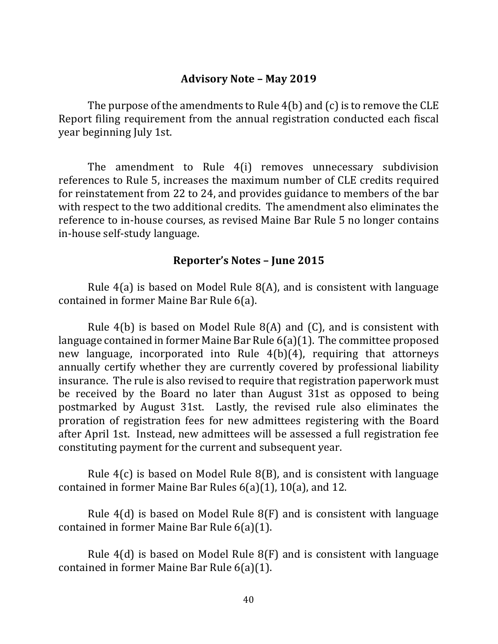#### **Advisory Note – May 2019**

The purpose of the amendments to Rule  $4(b)$  and  $(c)$  is to remove the CLE Report filing requirement from the annual registration conducted each fiscal year beginning July 1st.

The amendment to Rule 4(i) removes unnecessary subdivision references to Rule 5, increases the maximum number of CLE credits required for reinstatement from 22 to 24, and provides guidance to members of the bar with respect to the two additional credits. The amendment also eliminates the reference to in-house courses, as revised Maine Bar Rule 5 no longer contains in-house self-study language.

#### **Reporter's Notes – June 2015**

Rule  $4(a)$  is based on Model Rule  $8(A)$ , and is consistent with language contained in former Maine Bar Rule 6(a).

Rule  $4(b)$  is based on Model Rule  $8(A)$  and  $(C)$ , and is consistent with language contained in former Maine Bar Rule  $6(a)(1)$ . The committee proposed new language, incorporated into Rule  $4(b)(4)$ , requiring that attorneys annually certify whether they are currently covered by professional liability insurance. The rule is also revised to require that registration paperwork must be received by the Board no later than August 31st as opposed to being postmarked by August 31st. Lastly, the revised rule also eliminates the proration of registration fees for new admittees registering with the Board after April 1st. Instead, new admittees will be assessed a full registration fee constituting payment for the current and subsequent year.

Rule  $4(c)$  is based on Model Rule  $8(B)$ , and is consistent with language contained in former Maine Bar Rules  $6(a)(1)$ ,  $10(a)$ , and 12.

Rule  $4(d)$  is based on Model Rule  $8(F)$  and is consistent with language contained in former Maine Bar Rule  $6(a)(1)$ .

Rule  $4(d)$  is based on Model Rule  $8(F)$  and is consistent with language contained in former Maine Bar Rule  $6(a)(1)$ .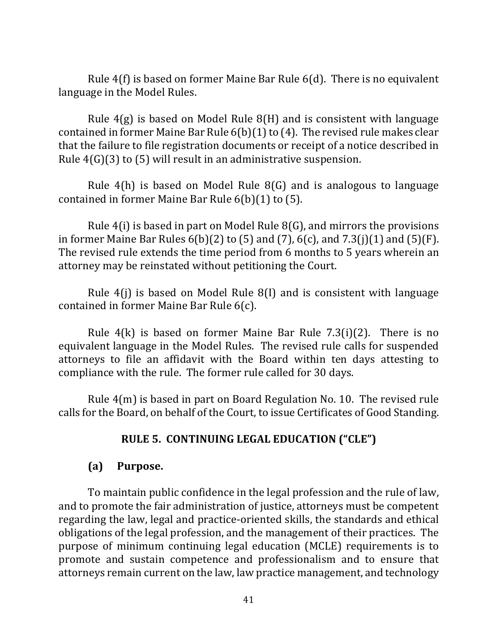Rule  $4(f)$  is based on former Maine Bar Rule  $6(d)$ . There is no equivalent language in the Model Rules.

Rule  $4(g)$  is based on Model Rule  $8(H)$  and is consistent with language contained in former Maine Bar Rule  $6(b)(1)$  to (4). The revised rule makes clear that the failure to file registration documents or receipt of a notice described in Rule  $4(G)(3)$  to (5) will result in an administrative suspension.

Rule  $4(h)$  is based on Model Rule  $8(G)$  and is analogous to language contained in former Maine Bar Rule  $6(b)(1)$  to  $(5)$ .

Rule  $4(i)$  is based in part on Model Rule  $8(G)$ , and mirrors the provisions in former Maine Bar Rules  $6(b)(2)$  to (5) and (7),  $6(c)$ , and  $7.3(j)(1)$  and  $(5)(F)$ . The revised rule extends the time period from 6 months to 5 years wherein an attorney may be reinstated without petitioning the Court.

Rule  $4(i)$  is based on Model Rule  $8(i)$  and is consistent with language contained in former Maine Bar Rule  $6(c)$ .

Rule  $4(k)$  is based on former Maine Bar Rule 7.3(i)(2). There is no equivalent language in the Model Rules. The revised rule calls for suspended attorneys to file an affidavit with the Board within ten days attesting to compliance with the rule. The former rule called for 30 days.

Rule  $4(m)$  is based in part on Board Regulation No. 10. The revised rule calls for the Board, on behalf of the Court, to issue Certificates of Good Standing.

### RULE 5. CONTINUING LEGAL EDUCATION ("CLE")

#### **(a) Purpose.**

To maintain public confidence in the legal profession and the rule of law, and to promote the fair administration of justice, attorneys must be competent regarding the law, legal and practice-oriented skills, the standards and ethical obligations of the legal profession, and the management of their practices. The purpose of minimum continuing legal education (MCLE) requirements is to promote and sustain competence and professionalism and to ensure that attorneys remain current on the law, law practice management, and technology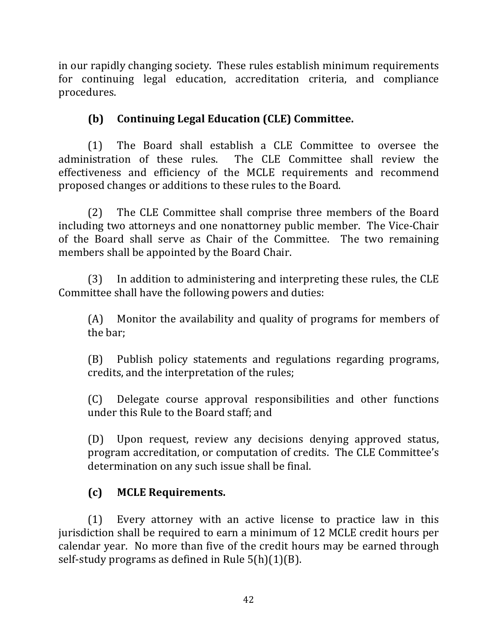in our rapidly changing society. These rules establish minimum requirements for continuing legal education, accreditation criteria, and compliance procedures.

## **(b) Continuing Legal Education (CLE) Committee.**

(1) The Board shall establish a CLE Committee to oversee the administration of these rules. The CLE Committee shall review the effectiveness and efficiency of the MCLE requirements and recommend proposed changes or additions to these rules to the Board.

(2) The CLE Committee shall comprise three members of the Board including two attorneys and one nonattorney public member. The Vice-Chair of the Board shall serve as Chair of the Committee. The two remaining members shall be appointed by the Board Chair.

(3) In addition to administering and interpreting these rules, the CLE Committee shall have the following powers and duties:

 $(A)$  Monitor the availability and quality of programs for members of the bar;

(B) Publish policy statements and regulations regarding programs, credits, and the interpretation of the rules;

(C) Delegate course approval responsibilities and other functions under this Rule to the Board staff; and

(D) Upon request, review any decisions denying approved status, program accreditation, or computation of credits. The CLE Committee's determination on any such issue shall be final.

## **(c) MCLE Requirements.**

(1) Every attorney with an active license to practice law in this jurisdiction shall be required to earn a minimum of 12 MCLE credit hours per calendar year. No more than five of the credit hours may be earned through self-study programs as defined in Rule  $5(h)(1)(B)$ .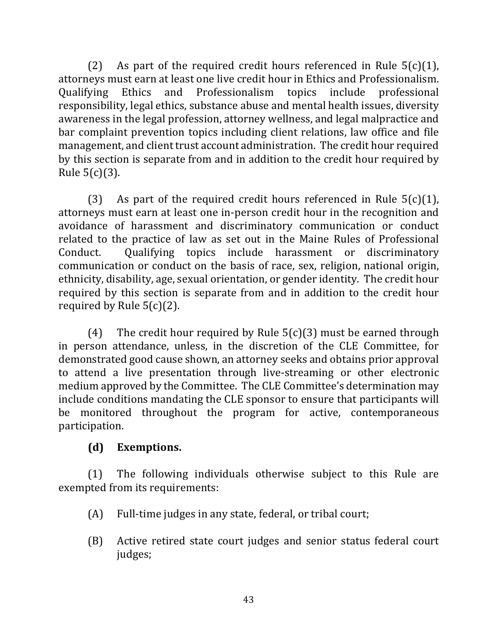(2) As part of the required credit hours referenced in Rule  $5(c)(1)$ , attorneys must earn at least one live credit hour in Ethics and Professionalism. Qualifying Ethics and Professionalism topics include professional responsibility, legal ethics, substance abuse and mental health issues, diversity awareness in the legal profession, attorney wellness, and legal malpractice and bar complaint prevention topics including client relations, law office and file management, and client trust account administration. The credit hour required by this section is separate from and in addition to the credit hour required by Rule  $5(c)(3)$ .

(3) As part of the required credit hours referenced in Rule  $5(c)(1)$ , attorneys must earn at least one in-person credit hour in the recognition and avoidance of harassment and discriminatory communication or conduct related to the practice of law as set out in the Maine Rules of Professional Conduct. Qualifying topics include harassment or discriminatory communication or conduct on the basis of race, sex, religion, national origin, ethnicity, disability, age, sexual orientation, or gender identity. The credit hour required by this section is separate from and in addition to the credit hour required by Rule  $5(c)(2)$ .

(4) The credit hour required by Rule  $5(c)(3)$  must be earned through in person attendance, unless, in the discretion of the CLE Committee, for demonstrated good cause shown, an attorney seeks and obtains prior approval to attend a live presentation through live-streaming or other electronic medium approved by the Committee. The CLE Committee's determination may include conditions mandating the CLE sponsor to ensure that participants will be monitored throughout the program for active, contemporaneous participation.

## **(d) Exemptions.**

 $(1)$  The following individuals otherwise subject to this Rule are exempted from its requirements:

- $(A)$  Full-time judges in any state, federal, or tribal court;
- (B) Active retired state court judges and senior status federal court judges;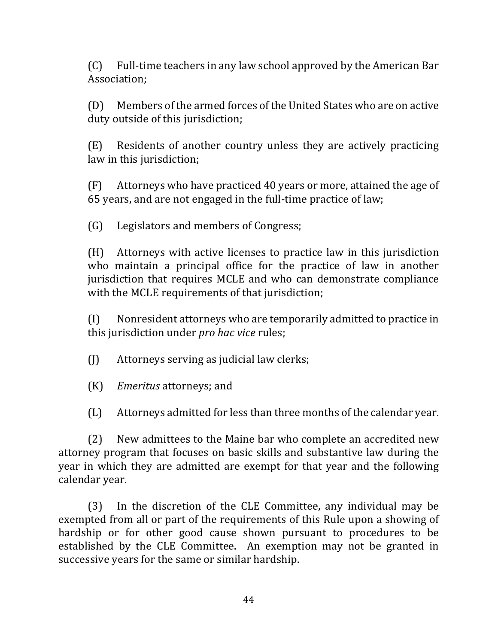$(C)$  Full-time teachers in any law school approved by the American Bar Association;

(D) Members of the armed forces of the United States who are on active duty outside of this jurisdiction;

(E) Residents of another country unless they are actively practicing law in this jurisdiction;

 $(F)$  Attorneys who have practiced 40 years or more, attained the age of 65 years, and are not engaged in the full-time practice of law;

(G) Legislators and members of Congress;

 $(H)$  Attorneys with active licenses to practice law in this jurisdiction who maintain a principal office for the practice of law in another jurisdiction that requires MCLE and who can demonstrate compliance with the MCLE requirements of that jurisdiction;

 $(I)$  Nonresident attorneys who are temporarily admitted to practice in this jurisdiction under *pro hac vice* rules;

 $\begin{bmatrix} 1 \end{bmatrix}$  Attorneys serving as judicial law clerks;

(K) *Emeritus* attorneys; and

(L) Attorneys admitted for less than three months of the calendar year.

(2) New admittees to the Maine bar who complete an accredited new attorney program that focuses on basic skills and substantive law during the year in which they are admitted are exempt for that year and the following calendar year.

(3) In the discretion of the CLE Committee, any individual may be exempted from all or part of the requirements of this Rule upon a showing of hardship or for other good cause shown pursuant to procedures to be established by the CLE Committee. An exemption may not be granted in successive years for the same or similar hardship.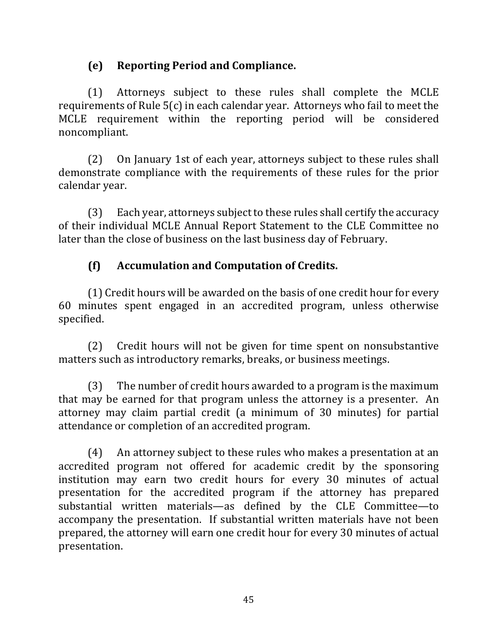## **(e) Reporting Period and Compliance.**

(1) Attorneys subject to these rules shall complete the MCLE requirements of Rule  $5(c)$  in each calendar year. Attorneys who fail to meet the MCLE requirement within the reporting period will be considered noncompliant.

(2) On January 1st of each year, attorneys subject to these rules shall demonstrate compliance with the requirements of these rules for the prior calendar year.

 $(3)$  Each year, attorneys subject to these rules shall certify the accuracy of their individual MCLE Annual Report Statement to the CLE Committee no later than the close of business on the last business day of February.

## **(f) Accumulation and Computation of Credits.**

(1) Credit hours will be awarded on the basis of one credit hour for every 60 minutes spent engaged in an accredited program, unless otherwise specified.

(2) Credit hours will not be given for time spent on nonsubstantive matters such as introductory remarks, breaks, or business meetings.

 $(3)$  The number of credit hours awarded to a program is the maximum that may be earned for that program unless the attorney is a presenter. An attorney may claim partial credit (a minimum of 30 minutes) for partial attendance or completion of an accredited program.

 $(4)$  An attorney subject to these rules who makes a presentation at an accredited program not offered for academic credit by the sponsoring institution may earn two credit hours for every 30 minutes of actual presentation for the accredited program if the attorney has prepared substantial written materials—as defined by the CLE Committee—to accompany the presentation. If substantial written materials have not been prepared, the attorney will earn one credit hour for every 30 minutes of actual presentation.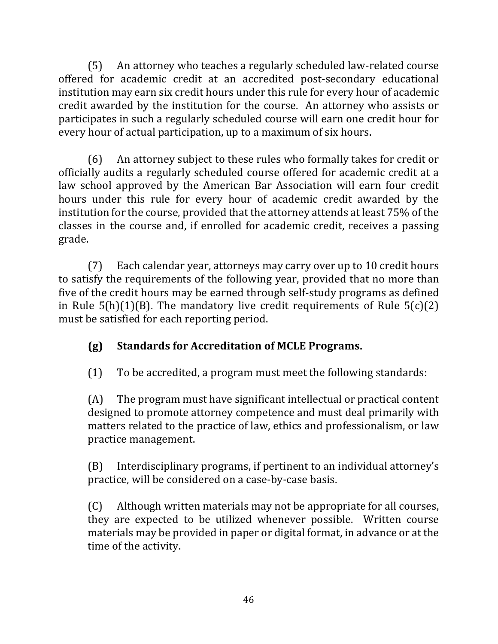(5) An attorney who teaches a regularly scheduled law-related course offered for academic credit at an accredited post-secondary educational institution may earn six credit hours under this rule for every hour of academic credit awarded by the institution for the course. An attorney who assists or participates in such a regularly scheduled course will earn one credit hour for every hour of actual participation, up to a maximum of six hours.

(6) An attorney subject to these rules who formally takes for credit or officially audits a regularly scheduled course offered for academic credit at a law school approved by the American Bar Association will earn four credit hours under this rule for every hour of academic credit awarded by the institution for the course, provided that the attorney attends at least 75% of the classes in the course and, if enrolled for academic credit, receives a passing grade.

(7) Each calendar year, attorneys may carry over up to 10 credit hours to satisfy the requirements of the following year, provided that no more than five of the credit hours may be earned through self-study programs as defined in Rule  $5(h)(1)(B)$ . The mandatory live credit requirements of Rule  $5(c)(2)$ must be satisfied for each reporting period.

# **(g) Standards for Accreditation of MCLE Programs.**

 $(1)$  To be accredited, a program must meet the following standards:

 $(A)$  The program must have significant intellectual or practical content designed to promote attorney competence and must deal primarily with matters related to the practice of law, ethics and professionalism, or law practice management.

(B) Interdisciplinary programs, if pertinent to an individual attorney's practice, will be considered on a case-by-case basis.

(C) Although written materials may not be appropriate for all courses, they are expected to be utilized whenever possible. Written course materials may be provided in paper or digital format, in advance or at the time of the activity.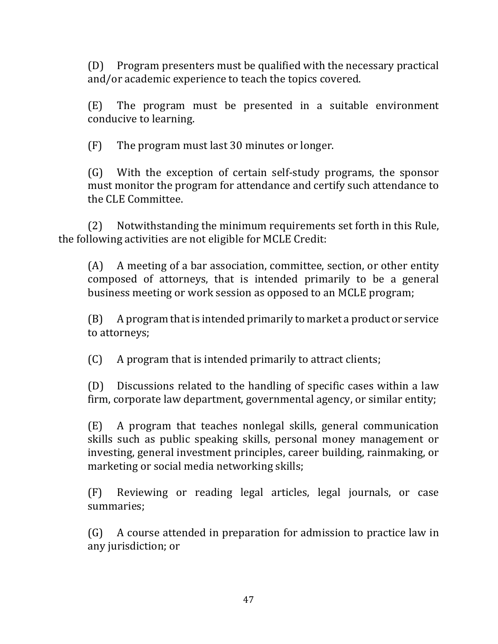(D) Program presenters must be qualified with the necessary practical and/or academic experience to teach the topics covered.

 $(E)$  The program must be presented in a suitable environment conducive to learning.

 $(F)$  The program must last 30 minutes or longer.

(G) With the exception of certain self-study programs, the sponsor must monitor the program for attendance and certify such attendance to the CLE Committee.

(2) Notwithstanding the minimum requirements set forth in this Rule, the following activities are not eligible for MCLE Credit:

 $(A)$  A meeting of a bar association, committee, section, or other entity composed of attorneys, that is intended primarily to be a general business meeting or work session as opposed to an MCLE program;

 $(B)$  A program that is intended primarily to market a product or service to attorneys;

 $(C)$  A program that is intended primarily to attract clients;

 $(D)$  Discussions related to the handling of specific cases within a law firm, corporate law department, governmental agency, or similar entity;

 $(E)$  A program that teaches nonlegal skills, general communication skills such as public speaking skills, personal money management or investing, general investment principles, career building, rainmaking, or marketing or social media networking skills;

(F) Reviewing or reading legal articles, legal journals, or case summaries;

(G) A course attended in preparation for admission to practice law in any jurisdiction; or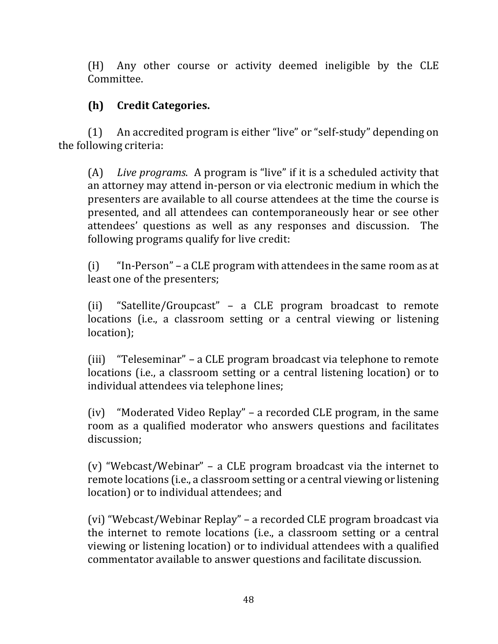(H) Any other course or activity deemed ineligible by the CLE Committee.

## **(h) Credit Categories.**

(1) An accredited program is either "live" or "self-study" depending on the following criteria:

(A) Live programs. A program is "live" if it is a scheduled activity that an attorney may attend in-person or via electronic medium in which the presenters are available to all course attendees at the time the course is presented, and all attendees can contemporaneously hear or see other attendees' questions as well as any responses and discussion. The following programs qualify for live credit:

 $(i)$  "In-Person" – a CLE program with attendees in the same room as at least one of the presenters;

(ii) "Satellite/Groupcast" – a CLE program broadcast to remote locations (i.e., a classroom setting or a central viewing or listening location);

(iii) "Teleseminar" – a CLE program broadcast via telephone to remote locations (i.e., a classroom setting or a central listening location) or to individual attendees via telephone lines;

 $(iv)$  "Moderated Video Replay" – a recorded CLE program, in the same room as a qualified moderator who answers questions and facilitates discussion;

(v) "Webcast/Webinar" – a CLE program broadcast via the internet to remote locations (i.e., a classroom setting or a central viewing or listening location) or to individual attendees; and

(vi) "Webcast/Webinar Replay" - a recorded CLE program broadcast via the internet to remote locations (i.e., a classroom setting or a central viewing or listening location) or to individual attendees with a qualified commentator available to answer questions and facilitate discussion.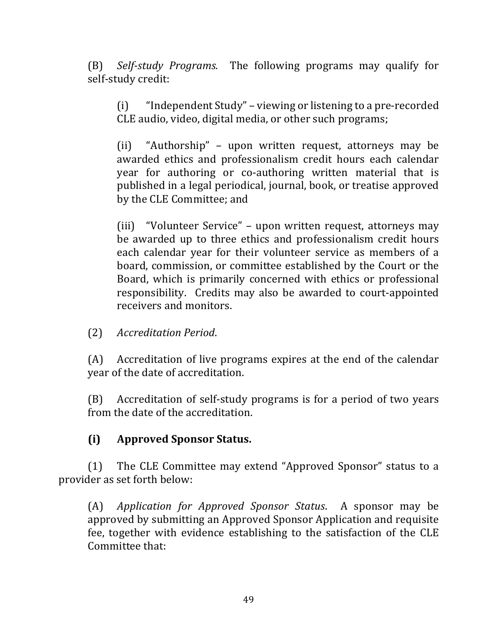(B) *Self-study Programs.* The following programs may qualify for self-study credit:

 $(i)$  "Independent Study" – viewing or listening to a pre-recorded CLE audio, video, digital media, or other such programs;

(ii) "Authorship" - upon written request, attorneys may be awarded ethics and professionalism credit hours each calendar year for authoring or co-authoring written material that is published in a legal periodical, journal, book, or treatise approved by the CLE Committee; and

(iii) "Volunteer Service" – upon written request, attorneys may be awarded up to three ethics and professionalism credit hours each calendar year for their volunteer service as members of a board, commission, or committee established by the Court or the Board, which is primarily concerned with ethics or professional responsibility. Credits may also be awarded to court-appointed receivers and monitors.

(2) *Accreditation Period*.

(A) Accreditation of live programs expires at the end of the calendar year of the date of accreditation.

(B) Accreditation of self-study programs is for a period of two years from the date of the accreditation.

### **(i) Approved Sponsor Status.**

(1) The CLE Committee may extend "Approved Sponsor" status to a provider as set forth below:

(A) *Application for Approved Sponsor Status*. A sponsor may be approved by submitting an Approved Sponsor Application and requisite fee, together with evidence establishing to the satisfaction of the CLE Committee that: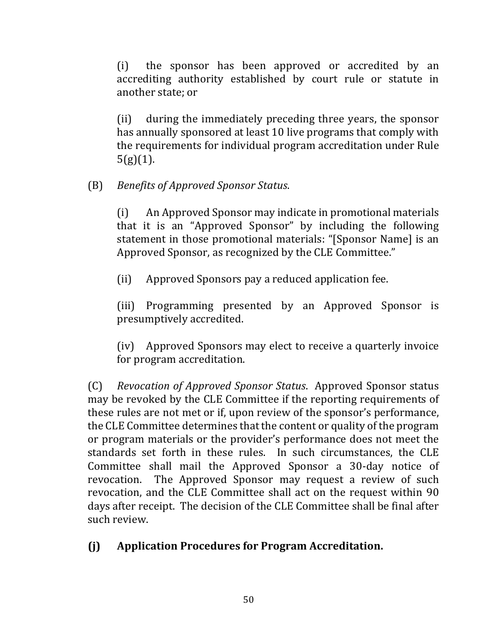(i) the sponsor has been approved or accredited by an accrediting authority established by court rule or statute in another state; or

(ii) during the immediately preceding three years, the sponsor has annually sponsored at least 10 live programs that comply with the requirements for individual program accreditation under Rule  $5(g)(1)$ .

## (B) *Benefits of Approved Sponsor Status*.

(i) An Approved Sponsor may indicate in promotional materials that it is an "Approved Sponsor" by including the following statement in those promotional materials: "[Sponsor Name] is an Approved Sponsor, as recognized by the CLE Committee."

(ii) Approved Sponsors pay a reduced application fee.

(iii) Programming presented by an Approved Sponsor is presumptively accredited.

(iv) Approved Sponsors may elect to receive a quarterly invoice for program accreditation.

(C) *Revocation of Approved Sponsor Status*. Approved Sponsor status may be revoked by the CLE Committee if the reporting requirements of these rules are not met or if, upon review of the sponsor's performance, the CLE Committee determines that the content or quality of the program or program materials or the provider's performance does not meet the standards set forth in these rules. In such circumstances, the CLE Committee shall mail the Approved Sponsor a 30-day notice of revocation. The Approved Sponsor may request a review of such revocation, and the CLE Committee shall act on the request within 90 days after receipt. The decision of the CLE Committee shall be final after such review.

### **(j) Application Procedures for Program Accreditation.**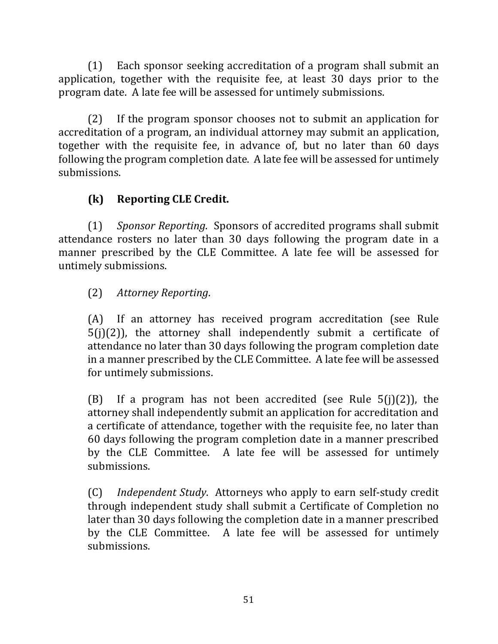$(1)$  Each sponsor seeking accreditation of a program shall submit an application, together with the requisite fee, at least 30 days prior to the program date. A late fee will be assessed for untimely submissions.

 $(2)$  If the program sponsor chooses not to submit an application for accreditation of a program, an individual attorney may submit an application, together with the requisite fee, in advance of, but no later than 60 days following the program completion date. A late fee will be assessed for untimely submissions.

# **(k) Reporting CLE Credit.**

(1) *Sponsor Reporting*. Sponsors of accredited programs shall submit attendance rosters no later than 30 days following the program date in a manner prescribed by the CLE Committee. A late fee will be assessed for untimely submissions.

## (2) *Attorney Reporting*.

(A) If an attorney has received program accreditation (see Rule  $5(i)(2)$ ), the attorney shall independently submit a certificate of attendance no later than 30 days following the program completion date in a manner prescribed by the CLE Committee. A late fee will be assessed for untimely submissions.

(B) If a program has not been accredited (see Rule  $5(j)(2)$ ), the attorney shall independently submit an application for accreditation and a certificate of attendance, together with the requisite fee, no later than 60 days following the program completion date in a manner prescribed by the CLE Committee. A late fee will be assessed for untimely submissions.

(C) *Independent Study*. Attorneys who apply to earn self-study credit through independent study shall submit a Certificate of Completion no later than 30 days following the completion date in a manner prescribed by the CLE Committee. A late fee will be assessed for untimely submissions.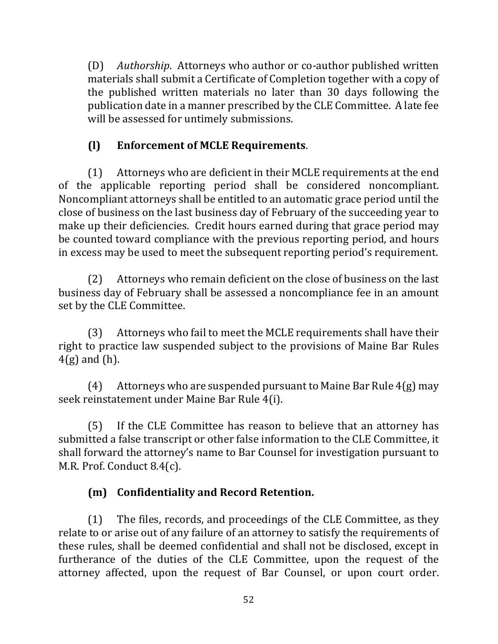(D) *Authorship.* Attorneys who author or co-author published written materials shall submit a Certificate of Completion together with a copy of the published written materials no later than 30 days following the publication date in a manner prescribed by the CLE Committee. A late fee will be assessed for untimely submissions.

## **(l) Enforcement of MCLE Requirements**.

 $(1)$  Attorneys who are deficient in their MCLE requirements at the end of the applicable reporting period shall be considered noncompliant. Noncompliant attorneys shall be entitled to an automatic grace period until the close of business on the last business day of February of the succeeding year to make up their deficiencies. Credit hours earned during that grace period may be counted toward compliance with the previous reporting period, and hours in excess may be used to meet the subsequent reporting period's requirement.

(2) Attorneys who remain deficient on the close of business on the last business day of February shall be assessed a noncompliance fee in an amount set by the CLE Committee.

(3) Attorneys who fail to meet the MCLE requirements shall have their right to practice law suspended subject to the provisions of Maine Bar Rules  $4(g)$  and (h).

(4) Attorneys who are suspended pursuant to Maine Bar Rule  $4(g)$  may seek reinstatement under Maine Bar Rule 4(i).

(5) If the CLE Committee has reason to believe that an attorney has submitted a false transcript or other false information to the CLE Committee, it shall forward the attorney's name to Bar Counsel for investigation pursuant to M.R. Prof. Conduct 8.4(c).

# **(m) Confidentiality and Record Retention.**

(1) The files, records, and proceedings of the CLE Committee, as they relate to or arise out of any failure of an attorney to satisfy the requirements of these rules, shall be deemed confidential and shall not be disclosed, except in furtherance of the duties of the CLE Committee, upon the request of the attorney affected, upon the request of Bar Counsel, or upon court order.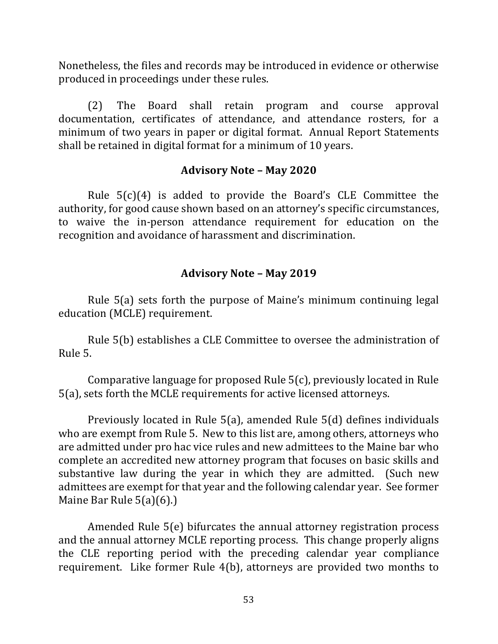Nonetheless, the files and records may be introduced in evidence or otherwise produced in proceedings under these rules.

(2) The Board shall retain program and course approval documentation, certificates of attendance, and attendance rosters, for a minimum of two years in paper or digital format. Annual Report Statements shall be retained in digital format for a minimum of 10 years.

#### **Advisory Note – May 2020**

Rule  $5(c)(4)$  is added to provide the Board's CLE Committee the authority, for good cause shown based on an attorney's specific circumstances, to waive the in-person attendance requirement for education on the recognition and avoidance of harassment and discrimination.

#### **Advisory Note – May 2019**

Rule  $5(a)$  sets forth the purpose of Maine's minimum continuing legal education (MCLE) requirement.

Rule 5(b) establishes a CLE Committee to oversee the administration of Rule 5.

Comparative language for proposed Rule  $5(c)$ , previously located in Rule 5(a), sets forth the MCLE requirements for active licensed attorneys.

Previously located in Rule  $5(a)$ , amended Rule  $5(d)$  defines individuals who are exempt from Rule 5. New to this list are, among others, attorneys who are admitted under pro hac vice rules and new admittees to the Maine bar who complete an accredited new attorney program that focuses on basic skills and substantive law during the year in which they are admitted. (Such new admittees are exempt for that year and the following calendar year. See former Maine Bar Rule  $5(a)(6)$ .)

Amended Rule  $5(e)$  bifurcates the annual attorney registration process and the annual attorney MCLE reporting process. This change properly aligns the CLE reporting period with the preceding calendar year compliance requirement. Like former Rule  $4(b)$ , attorneys are provided two months to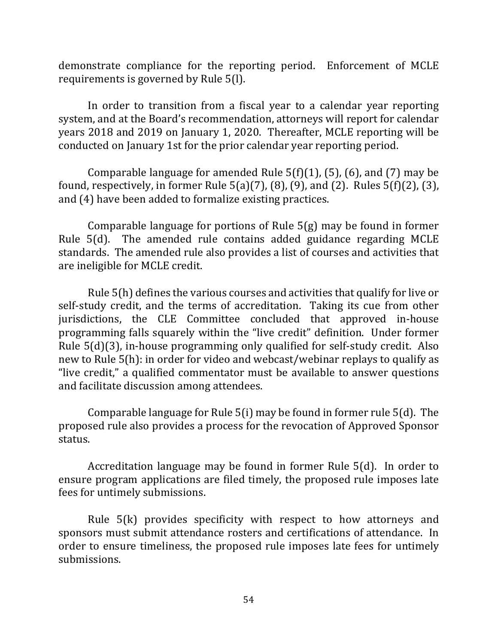demonstrate compliance for the reporting period. Enforcement of MCLE requirements is governed by Rule 5(l).

In order to transition from a fiscal year to a calendar year reporting system, and at the Board's recommendation, attorneys will report for calendar years 2018 and 2019 on January 1, 2020. Thereafter, MCLE reporting will be conducted on January 1st for the prior calendar year reporting period.

Comparable language for amended Rule  $5(f)(1)$ , (5), (6), and (7) may be found, respectively, in former Rule  $5(a)(7)$ ,  $(8)$ ,  $(9)$ , and  $(2)$ . Rules  $5(f)(2)$ ,  $(3)$ , and (4) have been added to formalize existing practices.

Comparable language for portions of Rule  $5(g)$  may be found in former Rule  $5(d)$ . The amended rule contains added guidance regarding MCLE standards. The amended rule also provides a list of courses and activities that are ineligible for MCLE credit.

Rule  $5(h)$  defines the various courses and activities that qualify for live or self-study credit, and the terms of accreditation. Taking its cue from other jurisdictions, the CLE Committee concluded that approved in-house programming falls squarely within the "live credit" definition. Under former Rule  $5(d)(3)$ , in-house programming only qualified for self-study credit. Also new to Rule  $5(h)$ : in order for video and webcast/webinar replays to qualify as "live credit," a qualified commentator must be available to answer questions and facilitate discussion among attendees.

Comparable language for Rule  $5(i)$  may be found in former rule  $5(d)$ . The proposed rule also provides a process for the revocation of Approved Sponsor status.

Accreditation language may be found in former Rule  $5(d)$ . In order to ensure program applications are filed timely, the proposed rule imposes late fees for untimely submissions.

Rule  $5(k)$  provides specificity with respect to how attorneys and sponsors must submit attendance rosters and certifications of attendance. In order to ensure timeliness, the proposed rule imposes late fees for untimely submissions.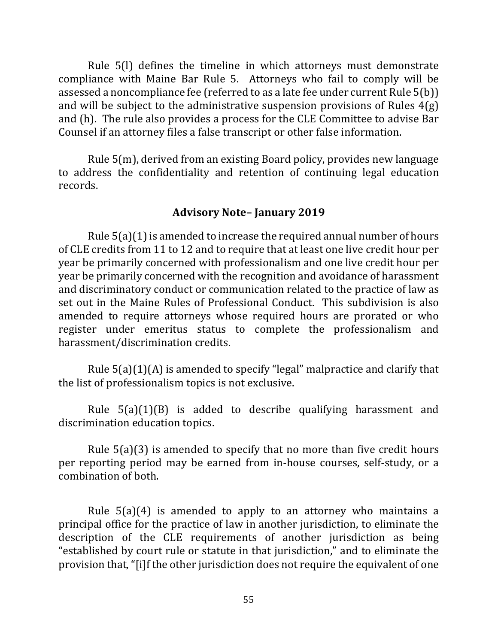Rule 5(I) defines the timeline in which attorneys must demonstrate compliance with Maine Bar Rule 5. Attorneys who fail to comply will be assessed a noncompliance fee (referred to as a late fee under current Rule  $5(b)$ ) and will be subject to the administrative suspension provisions of Rules  $4(g)$ and (h). The rule also provides a process for the CLE Committee to advise Bar Counsel if an attorney files a false transcript or other false information.

Rule  $5(m)$ , derived from an existing Board policy, provides new language to address the confidentiality and retention of continuing legal education records.

#### **Advisory Note– January 2019**

Rule  $5(a)(1)$  is amended to increase the required annual number of hours of CLE credits from 11 to 12 and to require that at least one live credit hour per year be primarily concerned with professionalism and one live credit hour per year be primarily concerned with the recognition and avoidance of harassment and discriminatory conduct or communication related to the practice of law as set out in the Maine Rules of Professional Conduct. This subdivision is also amended to require attorneys whose required hours are prorated or who register under emeritus status to complete the professionalism and harassment/discrimination credits.

Rule  $5(a)(1)(A)$  is amended to specify "legal" malpractice and clarify that the list of professionalism topics is not exclusive.

Rule  $5(a)(1)(B)$  is added to describe qualifying harassment and discrimination education topics.

Rule  $5(a)(3)$  is amended to specify that no more than five credit hours per reporting period may be earned from in-house courses, self-study, or a combination of both.

Rule  $5(a)(4)$  is amended to apply to an attorney who maintains a principal office for the practice of law in another jurisdiction, to eliminate the description of the CLE requirements of another jurisdiction as being "established by court rule or statute in that jurisdiction," and to eliminate the provision that, "[i]f the other jurisdiction does not require the equivalent of one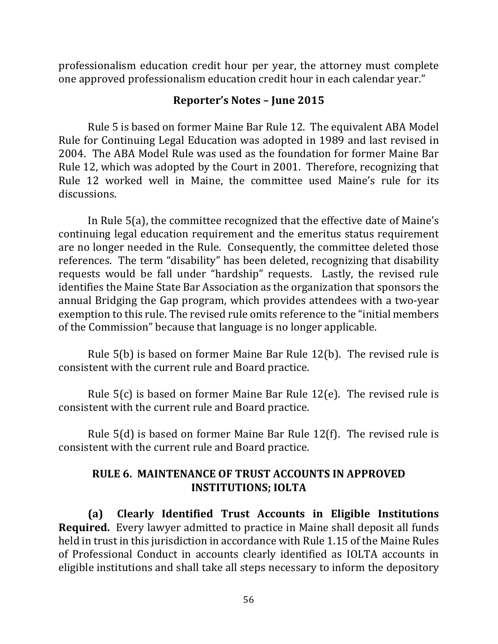professionalism education credit hour per year, the attorney must complete one approved professionalism education credit hour in each calendar year."

#### **Reporter's Notes – June 2015**

Rule 5 is based on former Maine Bar Rule 12. The equivalent ABA Model Rule for Continuing Legal Education was adopted in 1989 and last revised in 2004. The ABA Model Rule was used as the foundation for former Maine Bar Rule 12, which was adopted by the Court in 2001. Therefore, recognizing that Rule 12 worked well in Maine, the committee used Maine's rule for its discussions.

In Rule  $5(a)$ , the committee recognized that the effective date of Maine's continuing legal education requirement and the emeritus status requirement are no longer needed in the Rule. Consequently, the committee deleted those references. The term "disability" has been deleted, recognizing that disability requests would be fall under "hardship" requests. Lastly, the revised rule identifies the Maine State Bar Association as the organization that sponsors the annual Bridging the Gap program, which provides attendees with a two-year exemption to this rule. The revised rule omits reference to the "initial members" of the Commission" because that language is no longer applicable.

Rule  $5(b)$  is based on former Maine Bar Rule  $12(b)$ . The revised rule is consistent with the current rule and Board practice.

Rule  $5(c)$  is based on former Maine Bar Rule  $12(e)$ . The revised rule is consistent with the current rule and Board practice.

Rule  $5(d)$  is based on former Maine Bar Rule 12(f). The revised rule is consistent with the current rule and Board practice.

#### **RULE 6. MAINTENANCE OF TRUST ACCOUNTS IN APPROVED INSTITUTIONS; IOLTA**

**(a) Clearly Identified Trust Accounts in Eligible Institutions Required.** Every lawyer admitted to practice in Maine shall deposit all funds held in trust in this jurisdiction in accordance with Rule 1.15 of the Maine Rules of Professional Conduct in accounts clearly identified as IOLTA accounts in eligible institutions and shall take all steps necessary to inform the depository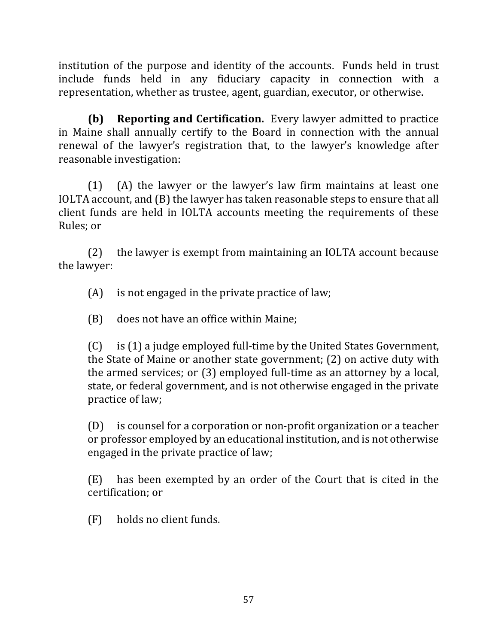institution of the purpose and identity of the accounts. Funds held in trust include funds held in any fiduciary capacity in connection with a representation, whether as trustee, agent, guardian, executor, or otherwise.

**(b) Reporting and Certification.** Every lawyer admitted to practice in Maine shall annually certify to the Board in connection with the annual renewal of the lawyer's registration that, to the lawyer's knowledge after reasonable investigation:

 $(1)$  (A) the lawyer or the lawyer's law firm maintains at least one IOLTA account, and (B) the lawyer has taken reasonable steps to ensure that all client funds are held in IOLTA accounts meeting the requirements of these Rules; or

(2) the lawyer is exempt from maintaining an IOLTA account because the lawyer:

 $(A)$  is not engaged in the private practice of law;

(B) does not have an office within Maine:

 $(C)$  is  $(1)$  a judge employed full-time by the United States Government, the State of Maine or another state government;  $(2)$  on active duty with the armed services; or  $(3)$  employed full-time as an attorney by a local, state, or federal government, and is not otherwise engaged in the private practice of law;

 $(D)$  is counsel for a corporation or non-profit organization or a teacher or professor employed by an educational institution, and is not otherwise engaged in the private practice of law;

 $(E)$  has been exempted by an order of the Court that is cited in the certification; or

 $(F)$  holds no client funds.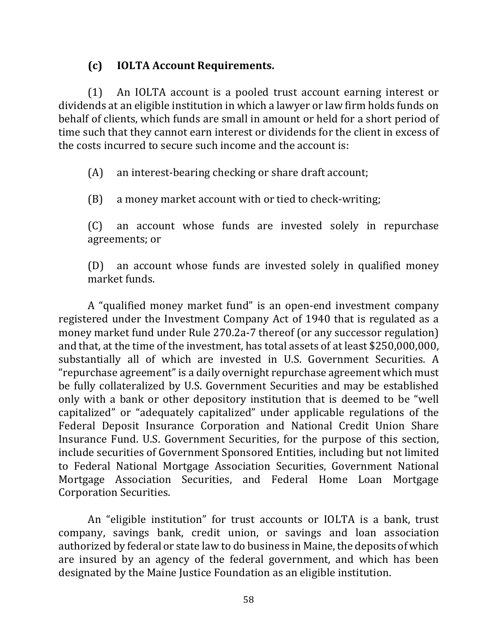### **(c) IOLTA Account Requirements.**

(1) An IOLTA account is a pooled trust account earning interest or dividends at an eligible institution in which a lawyer or law firm holds funds on behalf of clients, which funds are small in amount or held for a short period of time such that they cannot earn interest or dividends for the client in excess of the costs incurred to secure such income and the account is:

 $(A)$  an interest-bearing checking or share draft account;

(B) a money market account with or tied to check-writing;

(C) an account whose funds are invested solely in repurchase agreements; or

(D) an account whose funds are invested solely in qualified money market funds.

A "qualified money market fund" is an open-end investment company registered under the Investment Company Act of 1940 that is regulated as a money market fund under Rule 270.2a-7 thereof (or any successor regulation) and that, at the time of the investment, has total assets of at least \$250,000,000, substantially all of which are invested in U.S. Government Securities. A " repurchase agreement" is a daily overnight repurchase agreement which must be fully collateralized by U.S. Government Securities and may be established only with a bank or other depository institution that is deemed to be "well capitalized" or "adequately capitalized" under applicable regulations of the Federal Deposit Insurance Corporation and National Credit Union Share Insurance Fund. U.S. Government Securities, for the purpose of this section, include securities of Government Sponsored Entities, including but not limited to Federal National Mortgage Association Securities, Government National Mortgage Association Securities, and Federal Home Loan Mortgage Corporation Securities.

An "eligible institution" for trust accounts or IOLTA is a bank, trust company, savings bank, credit union, or savings and loan association authorized by federal or state law to do business in Maine, the deposits of which are insured by an agency of the federal government, and which has been designated by the Maine Justice Foundation as an eligible institution.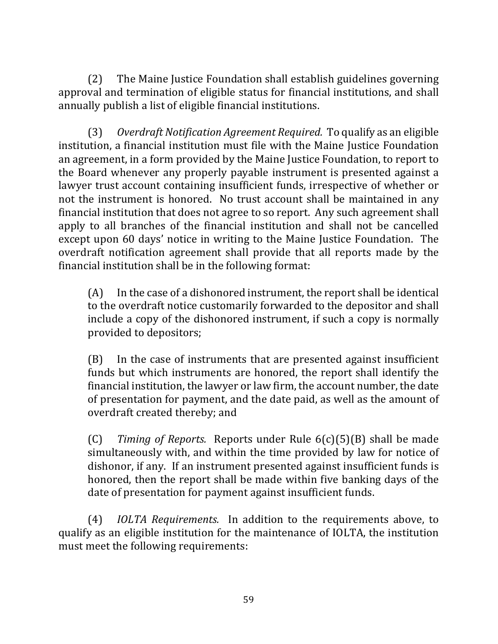(2) The Maine Justice Foundation shall establish guidelines governing approval and termination of eligible status for financial institutions, and shall annually publish a list of eligible financial institutions.

(3) Overdraft Notification Agreement Required. To qualify as an eligible institution, a financial institution must file with the Maine Justice Foundation an agreement, in a form provided by the Maine Justice Foundation, to report to the Board whenever any properly payable instrument is presented against a lawyer trust account containing insufficient funds, irrespective of whether or not the instrument is honored. No trust account shall be maintained in any financial institution that does not agree to so report. Any such agreement shall apply to all branches of the financial institution and shall not be cancelled except upon 60 days' notice in writing to the Maine Justice Foundation. The overdraft notification agreement shall provide that all reports made by the financial institution shall be in the following format:

 $(A)$  In the case of a dishonored instrument, the report shall be identical to the overdraft notice customarily forwarded to the depositor and shall include a copy of the dishonored instrument, if such a copy is normally provided to depositors;

 $(B)$  In the case of instruments that are presented against insufficient funds but which instruments are honored, the report shall identify the financial institution, the lawyer or law firm, the account number, the date of presentation for payment, and the date paid, as well as the amount of overdraft created thereby; and

(C) *Timing of Reports.* Reports under Rule  $6(c)(5)(B)$  shall be made simultaneously with, and within the time provided by law for notice of dishonor, if any. If an instrument presented against insufficient funds is honored, then the report shall be made within five banking days of the date of presentation for payment against insufficient funds.

(4) *IOLTA Requirements.* In addition to the requirements above, to qualify as an eligible institution for the maintenance of IOLTA, the institution must meet the following requirements: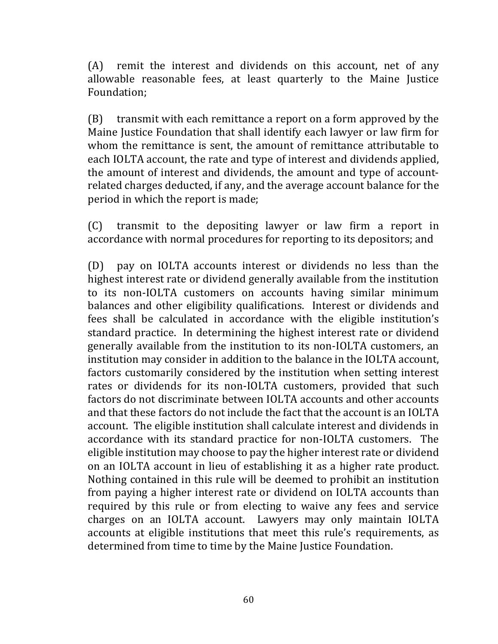$(A)$  remit the interest and dividends on this account, net of any allowable reasonable fees, at least quarterly to the Maine Justice Foundation;

 $(B)$  transmit with each remittance a report on a form approved by the Maine Justice Foundation that shall identify each lawyer or law firm for whom the remittance is sent, the amount of remittance attributable to each IOLTA account, the rate and type of interest and dividends applied, the amount of interest and dividends, the amount and type of accountrelated charges deducted, if any, and the average account balance for the period in which the report is made;

 $(C)$  transmit to the depositing lawyer or law firm a report in accordance with normal procedures for reporting to its depositors; and

(D) pay on IOLTA accounts interest or dividends no less than the highest interest rate or dividend generally available from the institution to its non-IOLTA customers on accounts having similar minimum balances and other eligibility qualifications. Interest or dividends and fees shall be calculated in accordance with the eligible institution's standard practice. In determining the highest interest rate or dividend generally available from the institution to its non-IOLTA customers, an institution may consider in addition to the balance in the IOLTA account, factors customarily considered by the institution when setting interest rates or dividends for its non-IOLTA customers, provided that such factors do not discriminate between IOLTA accounts and other accounts and that these factors do not include the fact that the account is an IOLTA account. The eligible institution shall calculate interest and dividends in accordance with its standard practice for non-IOLTA customers. The eligible institution may choose to pay the higher interest rate or dividend on an IOLTA account in lieu of establishing it as a higher rate product. Nothing contained in this rule will be deemed to prohibit an institution from paying a higher interest rate or dividend on IOLTA accounts than required by this rule or from electing to waive any fees and service charges on an IOLTA account. Lawyers may only maintain IOLTA accounts at eligible institutions that meet this rule's requirements, as determined from time to time by the Maine Justice Foundation.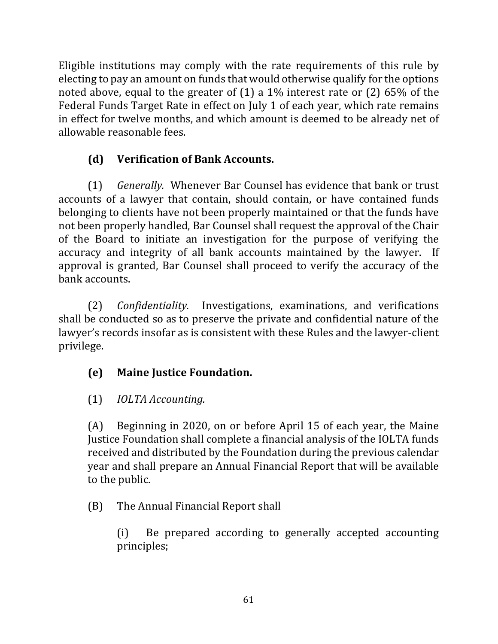Eligible institutions may comply with the rate requirements of this rule by electing to pay an amount on funds that would otherwise qualify for the options noted above, equal to the greater of  $(1)$  a 1% interest rate or  $(2)$  65% of the Federal Funds Target Rate in effect on July 1 of each year, which rate remains in effect for twelve months, and which amount is deemed to be already net of allowable reasonable fees.

## **(d) Verification of Bank Accounts.**

(1) *Generally.*  Whenever Bar Counsel has evidence that bank or trust accounts of a lawyer that contain, should contain, or have contained funds belonging to clients have not been properly maintained or that the funds have not been properly handled, Bar Counsel shall request the approval of the Chair of the Board to initiate an investigation for the purpose of verifying the accuracy and integrity of all bank accounts maintained by the lawyer. If approval is granted, Bar Counsel shall proceed to verify the accuracy of the bank accounts.

(2) *Confidentiality.* Investigations, examinations, and verifications shall be conducted so as to preserve the private and confidential nature of the lawyer's records insofar as is consistent with these Rules and the lawyer-client privilege.

# **(e) Maine Justice Foundation.**

# (1) *IOLTA Accounting.*

(A) Beginning in 2020, on or before April 15 of each year, the Maine Justice Foundation shall complete a financial analysis of the IOLTA funds received and distributed by the Foundation during the previous calendar year and shall prepare an Annual Financial Report that will be available to the public.

# (B) The Annual Financial Report shall

(i) Be prepared according to generally accepted accounting principles;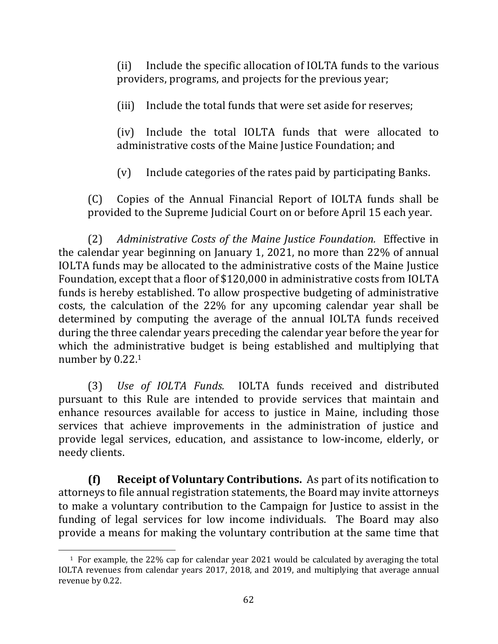(ii) Include the specific allocation of IOLTA funds to the various providers, programs, and projects for the previous year;

(iii) Include the total funds that were set aside for reserves;

(iv) Include the total IOLTA funds that were allocated to administrative costs of the Maine Justice Foundation; and

 $(v)$  Include categories of the rates paid by participating Banks.

(C) Copies of the Annual Financial Report of IOLTA funds shall be provided to the Supreme Judicial Court on or before April 15 each year.

(2) Administrative Costs of the Maine Justice Foundation. Effective in the calendar year beginning on January 1, 2021, no more than  $22\%$  of annual IOLTA funds may be allocated to the administrative costs of the Maine Justice Foundation, except that a floor of \$120,000 in administrative costs from IOLTA funds is hereby established. To allow prospective budgeting of administrative costs, the calculation of the 22% for any upcoming calendar year shall be determined by computing the average of the annual IOLTA funds received during the three calendar years preceding the calendar year before the year for which the administrative budget is being established and multiplying that number by 0.22.1

(3) *Use of IOLTA Funds.* IOLTA funds received and distributed pursuant to this Rule are intended to provide services that maintain and enhance resources available for access to justice in Maine, including those services that achieve improvements in the administration of justice and provide legal services, education, and assistance to low-income, elderly, or needy clients.

**(f) Receipt of Voluntary Contributions.** As part of its notification to attorneys to file annual registration statements, the Board may invite attorneys to make a voluntary contribution to the Campaign for Justice to assist in the funding of legal services for low income individuals. The Board may also provide a means for making the voluntary contribution at the same time that

 $1$  For example, the 22% cap for calendar year 2021 would be calculated by averaging the total IOLTA revenues from calendar years 2017, 2018, and 2019, and multiplying that average annual revenue by 0.22.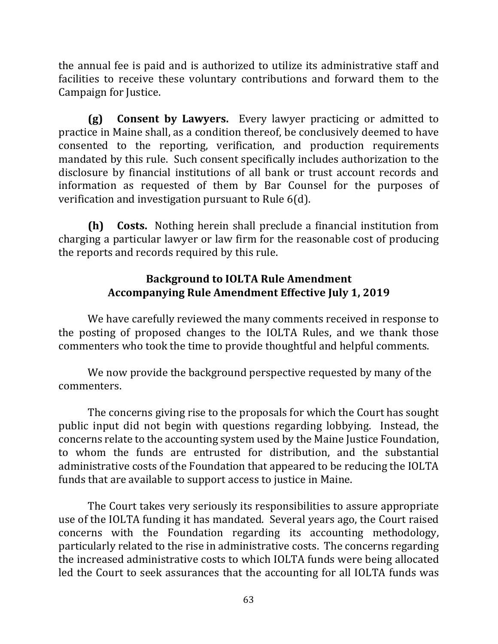the annual fee is paid and is authorized to utilize its administrative staff and facilities to receive these voluntary contributions and forward them to the Campaign for Justice.

**(g) Consent by Lawyers.** Every lawyer practicing or admitted to practice in Maine shall, as a condition thereof, be conclusively deemed to have consented to the reporting, verification, and production requirements mandated by this rule. Such consent specifically includes authorization to the disclosure by financial institutions of all bank or trust account records and information as requested of them by Bar Counsel for the purposes of verification and investigation pursuant to Rule  $6(d)$ .

**(h) Costs.** Nothing herein shall preclude a financial institution from charging a particular lawyer or law firm for the reasonable cost of producing the reports and records required by this rule.

### **Background to IOLTA Rule Amendment** Accompanying Rule Amendment Effective July 1, 2019

We have carefully reviewed the many comments received in response to the posting of proposed changes to the IOLTA Rules, and we thank those commenters who took the time to provide thoughtful and helpful comments.

We now provide the background perspective requested by many of the commenters.

The concerns giving rise to the proposals for which the Court has sought public input did not begin with questions regarding lobbying. Instead, the concerns relate to the accounting system used by the Maine Justice Foundation, to whom the funds are entrusted for distribution, and the substantial administrative costs of the Foundation that appeared to be reducing the IOLTA funds that are available to support access to justice in Maine.

The Court takes very seriously its responsibilities to assure appropriate use of the IOLTA funding it has mandated. Several years ago, the Court raised concerns with the Foundation regarding its accounting methodology, particularly related to the rise in administrative costs. The concerns regarding the increased administrative costs to which IOLTA funds were being allocated led the Court to seek assurances that the accounting for all IOLTA funds was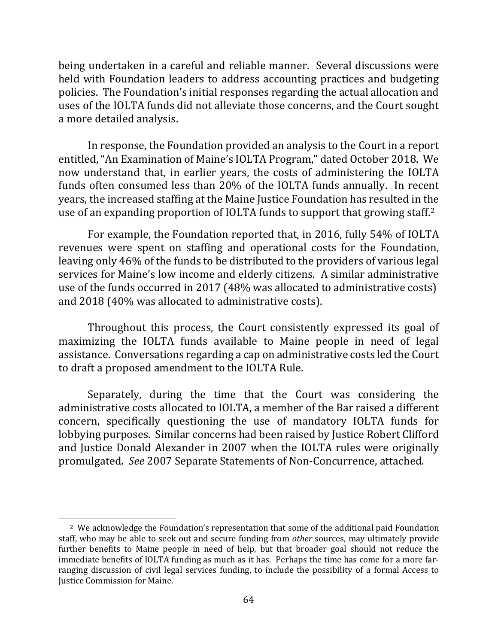being undertaken in a careful and reliable manner. Several discussions were held with Foundation leaders to address accounting practices and budgeting policies. The Foundation's initial responses regarding the actual allocation and uses of the IOLTA funds did not alleviate those concerns, and the Court sought a more detailed analysis.

In response, the Foundation provided an analysis to the Court in a report entitled, "An Examination of Maine's IOLTA Program," dated October 2018. We now understand that, in earlier years, the costs of administering the IOLTA funds often consumed less than 20% of the IOLTA funds annually. In recent years, the increased staffing at the Maine Justice Foundation has resulted in the use of an expanding proportion of IOLTA funds to support that growing staff.<sup>2</sup>

For example, the Foundation reported that, in 2016, fully 54% of IOLTA revenues were spent on staffing and operational costs for the Foundation, leaving only 46% of the funds to be distributed to the providers of various legal services for Maine's low income and elderly citizens. A similar administrative use of the funds occurred in 2017 (48% was allocated to administrative costs) and 2018 (40% was allocated to administrative costs).

Throughout this process, the Court consistently expressed its goal of maximizing the IOLTA funds available to Maine people in need of legal assistance. Conversations regarding a cap on administrative costs led the Court to draft a proposed amendment to the IOLTA Rule.

Separately, during the time that the Court was considering the administrative costs allocated to IOLTA, a member of the Bar raised a different concern, specifically questioning the use of mandatory IOLTA funds for lobbying purposes. Similar concerns had been raised by Justice Robert Clifford and Justice Donald Alexander in 2007 when the IOLTA rules were originally promulgated. See 2007 Separate Statements of Non-Concurrence, attached.

<sup>&</sup>lt;sup>2</sup> We acknowledge the Foundation's representation that some of the additional paid Foundation staff, who may be able to seek out and secure funding from *other* sources, may ultimately provide further benefits to Maine people in need of help, but that broader goal should not reduce the immediate benefits of IOLTA funding as much as it has. Perhaps the time has come for a more farranging discussion of civil legal services funding, to include the possibility of a formal Access to Justice Commission for Maine.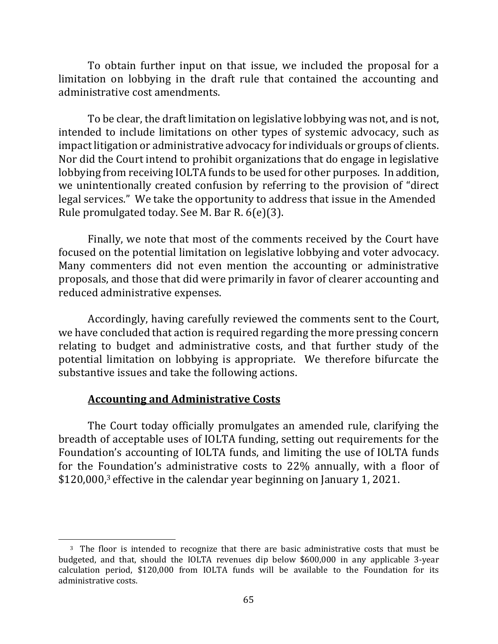To obtain further input on that issue, we included the proposal for a limitation on lobbying in the draft rule that contained the accounting and administrative cost amendments.

To be clear, the draft limitation on legislative lobbying was not, and is not, intended to include limitations on other types of systemic advocacy, such as impact litigation or administrative advocacy for individuals or groups of clients. Nor did the Court intend to prohibit organizations that do engage in legislative lobbying from receiving IOLTA funds to be used for other purposes. In addition, we unintentionally created confusion by referring to the provision of "direct" legal services." We take the opportunity to address that issue in the Amended Rule promulgated today. See M. Bar R.  $6(e)(3)$ .

Finally, we note that most of the comments received by the Court have focused on the potential limitation on legislative lobbying and voter advocacy. Many commenters did not even mention the accounting or administrative proposals, and those that did were primarily in favor of clearer accounting and reduced administrative expenses.

Accordingly, having carefully reviewed the comments sent to the Court, we have concluded that action is required regarding the more pressing concern relating to budget and administrative costs, and that further study of the potential limitation on lobbying is appropriate. We therefore bifurcate the substantive issues and take the following actions.

#### **Accounting and Administrative Costs**

The Court today officially promulgates an amended rule, clarifying the breadth of acceptable uses of IOLTA funding, setting out requirements for the Foundation's accounting of IOLTA funds, and limiting the use of IOLTA funds for the Foundation's administrative costs to  $22\%$  annually, with a floor of \$120,000,<sup>3</sup> effective in the calendar year beginning on January 1, 2021.

<sup>&</sup>lt;sup>3</sup> The floor is intended to recognize that there are basic administrative costs that must be budgeted, and that, should the IOLTA revenues dip below \$600,000 in any applicable 3-year calculation period, \$120,000 from IOLTA funds will be available to the Foundation for its administrative costs.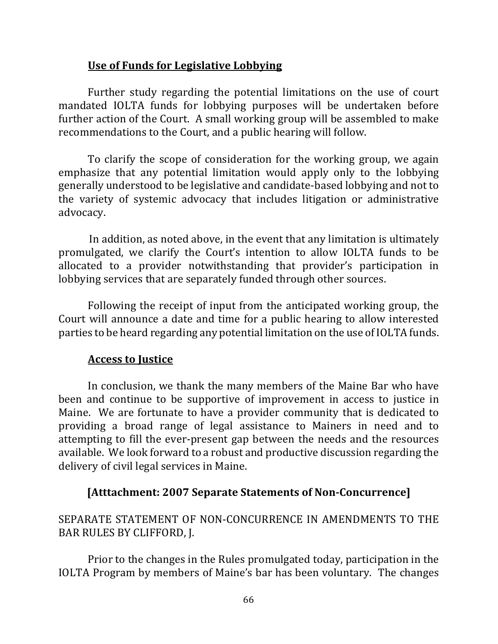#### **Use of Funds for Legislative Lobbying**

Further study regarding the potential limitations on the use of court mandated IOLTA funds for lobbying purposes will be undertaken before further action of the Court. A small working group will be assembled to make recommendations to the Court, and a public hearing will follow.

To clarify the scope of consideration for the working group, we again emphasize that any potential limitation would apply only to the lobbying generally understood to be legislative and candidate-based lobbying and not to the variety of systemic advocacy that includes litigation or administrative advocacy.

In addition, as noted above, in the event that any limitation is ultimately promulgated, we clarify the Court's intention to allow IOLTA funds to be allocated to a provider notwithstanding that provider's participation in lobbying services that are separately funded through other sources.

Following the receipt of input from the anticipated working group, the Court will announce a date and time for a public hearing to allow interested parties to be heard regarding any potential limitation on the use of IOLTA funds.

### **Access to Justice**

In conclusion, we thank the many members of the Maine Bar who have been and continue to be supportive of improvement in access to justice in Maine. We are fortunate to have a provider community that is dedicated to providing a broad range of legal assistance to Mainers in need and to attempting to fill the ever-present gap between the needs and the resources available. We look forward to a robust and productive discussion regarding the delivery of civil legal services in Maine.

### **[Atttachment: 2007 Separate Statements of Non-Concurrence]**

## SEPARATE STATEMENT OF NON-CONCURRENCE IN AMENDMENTS TO THE BAR RULES BY CLIFFORD, J.

Prior to the changes in the Rules promulgated today, participation in the IOLTA Program by members of Maine's bar has been voluntary. The changes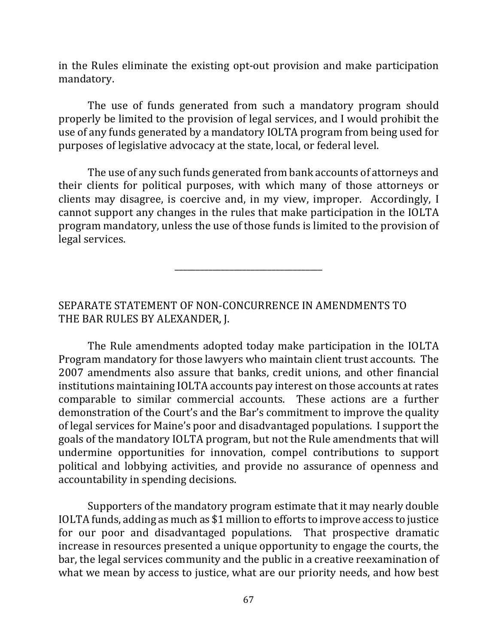in the Rules eliminate the existing opt-out provision and make participation mandatory.

The use of funds generated from such a mandatory program should properly be limited to the provision of legal services, and I would prohibit the use of any funds generated by a mandatory IOLTA program from being used for purposes of legislative advocacy at the state, local, or federal level.

The use of any such funds generated from bank accounts of attorneys and their clients for political purposes, with which many of those attorneys or clients may disagree, is coercive and, in my view, improper. Accordingly, I cannot support any changes in the rules that make participation in the IOLTA program mandatory, unless the use of those funds is limited to the provision of legal services.

\_\_\_\_\_\_\_\_\_\_\_\_\_\_\_\_\_\_\_\_\_\_\_\_\_\_\_\_\_\_\_\_\_\_\_

SEPARATE STATEMENT OF NON-CONCURRENCE IN AMENDMENTS TO THE BAR RULES BY ALEXANDER, J.

The Rule amendments adopted today make participation in the IOLTA Program mandatory for those lawyers who maintain client trust accounts. The 2007 amendments also assure that banks, credit unions, and other financial institutions maintaining IOLTA accounts pay interest on those accounts at rates comparable to similar commercial accounts. These actions are a further demonstration of the Court's and the Bar's commitment to improve the quality of legal services for Maine's poor and disadvantaged populations. I support the goals of the mandatory IOLTA program, but not the Rule amendments that will undermine opportunities for innovation, compel contributions to support political and lobbying activities, and provide no assurance of openness and accountability in spending decisions.

Supporters of the mandatory program estimate that it may nearly double IOLTA funds, adding as much as \$1 million to efforts to improve access to justice for our poor and disadvantaged populations. That prospective dramatic increase in resources presented a unique opportunity to engage the courts, the bar, the legal services community and the public in a creative reexamination of what we mean by access to justice, what are our priority needs, and how best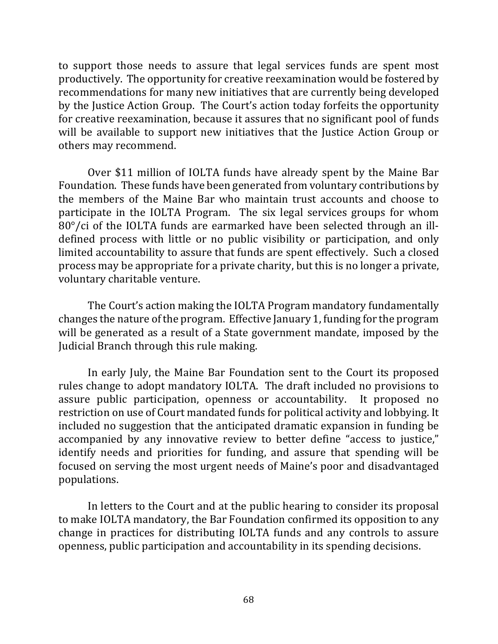to support those needs to assure that legal services funds are spent most productively. The opportunity for creative reexamination would be fostered by recommendations for many new initiatives that are currently being developed by the Justice Action Group. The Court's action today forfeits the opportunity for creative reexamination, because it assures that no significant pool of funds will be available to support new initiatives that the Justice Action Group or others may recommend.

Over \$11 million of IOLTA funds have already spent by the Maine Bar Foundation. These funds have been generated from voluntary contributions by the members of the Maine Bar who maintain trust accounts and choose to participate in the IOLTA Program. The six legal services groups for whom  $80^{\circ}$ /ci of the IOLTA funds are earmarked have been selected through an illdefined process with little or no public visibility or participation, and only limited accountability to assure that funds are spent effectively. Such a closed process may be appropriate for a private charity, but this is no longer a private, voluntary charitable venture.

The Court's action making the IOLTA Program mandatory fundamentally changes the nature of the program. Effective January 1, funding for the program will be generated as a result of a State government mandate, imposed by the Judicial Branch through this rule making.

In early July, the Maine Bar Foundation sent to the Court its proposed rules change to adopt mandatory IOLTA. The draft included no provisions to assure public participation, openness or accountability. It proposed no restriction on use of Court mandated funds for political activity and lobbying. It included no suggestion that the anticipated dramatic expansion in funding be accompanied by any innovative review to better define "access to justice," identify needs and priorities for funding, and assure that spending will be focused on serving the most urgent needs of Maine's poor and disadvantaged populations.

In letters to the Court and at the public hearing to consider its proposal to make IOLTA mandatory, the Bar Foundation confirmed its opposition to any change in practices for distributing IOLTA funds and any controls to assure openness, public participation and accountability in its spending decisions.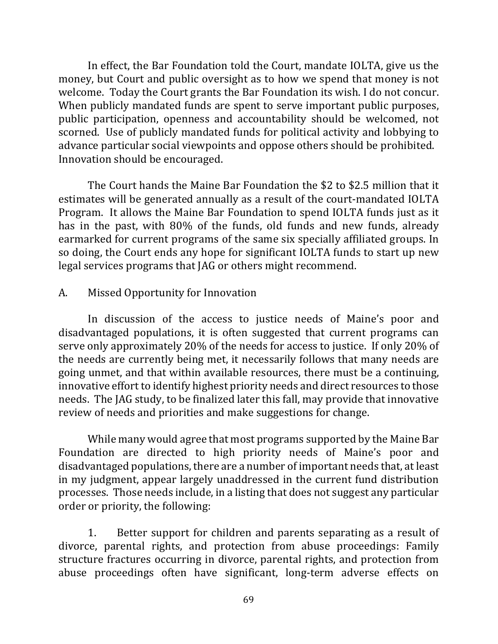In effect, the Bar Foundation told the Court, mandate IOLTA, give us the money, but Court and public oversight as to how we spend that money is not welcome. Today the Court grants the Bar Foundation its wish. I do not concur. When publicly mandated funds are spent to serve important public purposes, public participation, openness and accountability should be welcomed, not scorned. Use of publicly mandated funds for political activity and lobbying to advance particular social viewpoints and oppose others should be prohibited. Innovation should be encouraged.

The Court hands the Maine Bar Foundation the \$2 to \$2.5 million that it estimates will be generated annually as a result of the court-mandated IOLTA Program. It allows the Maine Bar Foundation to spend IOLTA funds just as it has in the past, with 80% of the funds, old funds and new funds, already earmarked for current programs of the same six specially affiliated groups. In so doing, the Court ends any hope for significant IOLTA funds to start up new legal services programs that JAG or others might recommend.

#### A. Missed Opportunity for Innovation

In discussion of the access to justice needs of Maine's poor and disadvantaged populations, it is often suggested that current programs can serve only approximately 20% of the needs for access to justice. If only 20% of the needs are currently being met, it necessarily follows that many needs are going unmet, and that within available resources, there must be a continuing, innovative effort to identify highest priority needs and direct resources to those needs. The JAG study, to be finalized later this fall, may provide that innovative review of needs and priorities and make suggestions for change.

While many would agree that most programs supported by the Maine Bar Foundation are directed to high priority needs of Maine's poor and disadvantaged populations, there are a number of important needs that, at least in my judgment, appear largely unaddressed in the current fund distribution processes. Those needs include, in a listing that does not suggest any particular order or priority, the following:

1. Better support for children and parents separating as a result of divorce, parental rights, and protection from abuse proceedings: Family structure fractures occurring in divorce, parental rights, and protection from abuse proceedings often have significant, long-term adverse effects on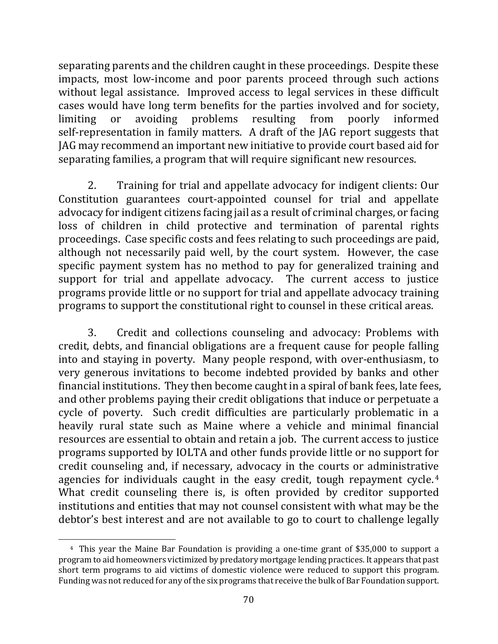separating parents and the children caught in these proceedings. Despite these impacts, most low-income and poor parents proceed through such actions without legal assistance. Improved access to legal services in these difficult cases would have long term benefits for the parties involved and for society, limiting or avoiding problems resulting from poorly informed self-representation in family matters. A draft of the JAG report suggests that JAG may recommend an important new initiative to provide court based aid for separating families, a program that will require significant new resources.

2. Training for trial and appellate advocacy for indigent clients: Our Constitution guarantees court-appointed counsel for trial and appellate advocacy for indigent citizens facing jail as a result of criminal charges, or facing loss of children in child protective and termination of parental rights proceedings. Case specific costs and fees relating to such proceedings are paid, although not necessarily paid well, by the court system. However, the case specific payment system has no method to pay for generalized training and support for trial and appellate advocacy. The current access to justice programs provide little or no support for trial and appellate advocacy training programs to support the constitutional right to counsel in these critical areas.

3. Credit and collections counseling and advocacy: Problems with credit, debts, and financial obligations are a frequent cause for people falling into and staying in poverty. Many people respond, with over-enthusiasm, to very generous invitations to become indebted provided by banks and other financial institutions. They then become caught in a spiral of bank fees, late fees, and other problems paying their credit obligations that induce or perpetuate a cycle of poverty. Such credit difficulties are particularly problematic in a heavily rural state such as Maine where a vehicle and minimal financial resources are essential to obtain and retain a job. The current access to justice programs supported by IOLTA and other funds provide little or no support for credit counseling and, if necessary, advocacy in the courts or administrative agencies for individuals caught in the easy credit, tough repayment cycle.<sup>4</sup> What credit counseling there is, is often provided by creditor supported institutions and entities that may not counsel consistent with what may be the debtor's best interest and are not available to go to court to challenge legally

<sup>&</sup>lt;sup>4</sup> This year the Maine Bar Foundation is providing a one-time grant of \$35,000 to support a program to aid homeowners victimized by predatory mortgage lending practices. It appears that past short term programs to aid victims of domestic violence were reduced to support this program. Funding was not reduced for any of the six programs that receive the bulk of Bar Foundation support.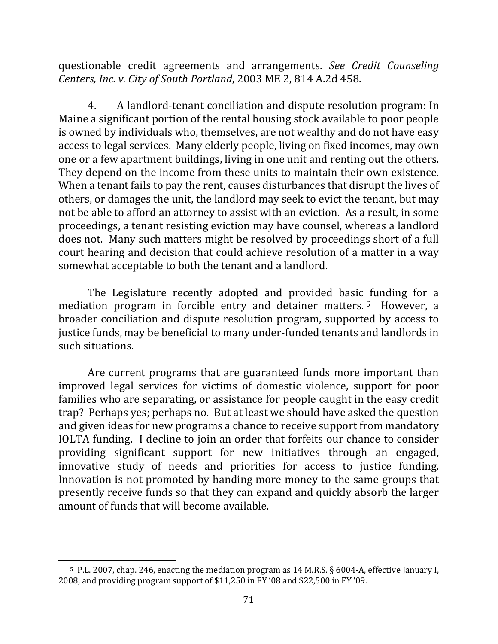questionable credit agreements and arrangements. See Credit Counseling *Centers, Inc. v. City of South Portland*, 2003 ME 2, 814 A.2d 458.

4. A landlord-tenant conciliation and dispute resolution program: In Maine a significant portion of the rental housing stock available to poor people is owned by individuals who, themselves, are not wealthy and do not have easy access to legal services. Many elderly people, living on fixed incomes, may own one or a few apartment buildings, living in one unit and renting out the others. They depend on the income from these units to maintain their own existence. When a tenant fails to pay the rent, causes disturbances that disrupt the lives of others, or damages the unit, the landlord may seek to evict the tenant, but may not be able to afford an attorney to assist with an eviction. As a result, in some proceedings, a tenant resisting eviction may have counsel, whereas a landlord does not. Many such matters might be resolved by proceedings short of a full court hearing and decision that could achieve resolution of a matter in a way somewhat acceptable to both the tenant and a landlord.

The Legislature recently adopted and provided basic funding for a mediation program in forcible entry and detainer matters.<sup>5</sup> However, a broader conciliation and dispute resolution program, supported by access to justice funds, may be beneficial to many under-funded tenants and landlords in such situations.

Are current programs that are guaranteed funds more important than improved legal services for victims of domestic violence, support for poor families who are separating, or assistance for people caught in the easy credit trap? Perhaps yes; perhaps no. But at least we should have asked the question and given ideas for new programs a chance to receive support from mandatory IOLTA funding. I decline to join an order that forfeits our chance to consider providing significant support for new initiatives through an engaged, innovative study of needs and priorities for access to justice funding. Innovation is not promoted by handing more money to the same groups that presently receive funds so that they can expand and quickly absorb the larger amount of funds that will become available.

<sup>&</sup>lt;sup>5</sup> P.L. 2007, chap. 246, enacting the mediation program as 14 M.R.S. § 6004-A, effective January I, 2008, and providing program support of  $$11,250$  in FY '08 and  $$22,500$  in FY '09.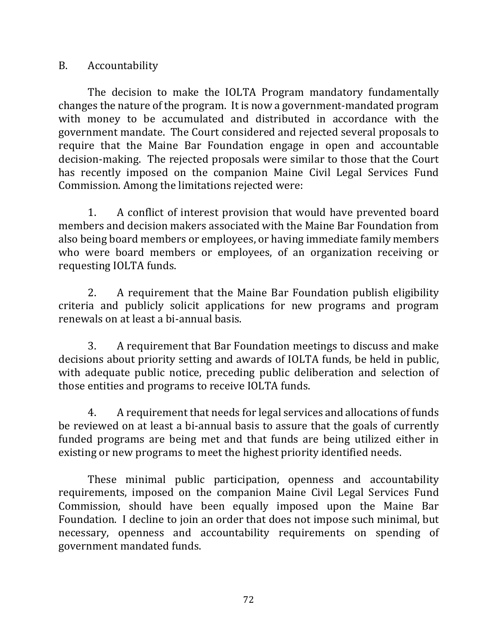#### B. Accountability

The decision to make the IOLTA Program mandatory fundamentally changes the nature of the program. It is now a government-mandated program with money to be accumulated and distributed in accordance with the government mandate. The Court considered and rejected several proposals to require that the Maine Bar Foundation engage in open and accountable decision-making. The rejected proposals were similar to those that the Court has recently imposed on the companion Maine Civil Legal Services Fund Commission. Among the limitations rejected were:

1. A conflict of interest provision that would have prevented board members and decision makers associated with the Maine Bar Foundation from also being board members or employees, or having immediate family members who were board members or employees, of an organization receiving or requesting IOLTA funds.

2. A requirement that the Maine Bar Foundation publish eligibility criteria and publicly solicit applications for new programs and program renewals on at least a bi-annual basis.

3. A requirement that Bar Foundation meetings to discuss and make decisions about priority setting and awards of IOLTA funds, be held in public, with adequate public notice, preceding public deliberation and selection of those entities and programs to receive IOLTA funds.

4. A requirement that needs for legal services and allocations of funds be reviewed on at least a bi-annual basis to assure that the goals of currently funded programs are being met and that funds are being utilized either in existing or new programs to meet the highest priority identified needs.

These minimal public participation, openness and accountability requirements, imposed on the companion Maine Civil Legal Services Fund Commission, should have been equally imposed upon the Maine Bar Foundation. I decline to join an order that does not impose such minimal, but necessary, openness and accountability requirements on spending of government mandated funds.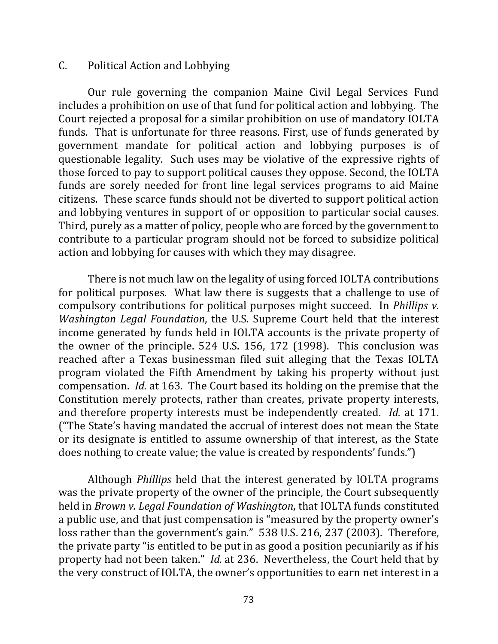#### C. Political Action and Lobbying

Our rule governing the companion Maine Civil Legal Services Fund includes a prohibition on use of that fund for political action and lobbying. The Court rejected a proposal for a similar prohibition on use of mandatory IOLTA funds. That is unfortunate for three reasons. First, use of funds generated by government mandate for political action and lobbying purposes is of questionable legality. Such uses may be violative of the expressive rights of those forced to pay to support political causes they oppose. Second, the IOLTA funds are sorely needed for front line legal services programs to aid Maine citizens. These scarce funds should not be diverted to support political action and lobbying ventures in support of or opposition to particular social causes. Third, purely as a matter of policy, people who are forced by the government to contribute to a particular program should not be forced to subsidize political action and lobbying for causes with which they may disagree.

There is not much law on the legality of using forced IOLTA contributions for political purposes. What law there is suggests that a challenge to use of compulsory contributions for political purposes might succeed. In *Phillips v. Washington Legal Foundation*, the U.S. Supreme Court held that the interest income generated by funds held in IOLTA accounts is the private property of the owner of the principle.  $524$  U.S. 156, 172 (1998). This conclusion was reached after a Texas businessman filed suit alleging that the Texas IOLTA program violated the Fifth Amendment by taking his property without just compensation. *Id.* at 163. The Court based its holding on the premise that the Constitution merely protects, rather than creates, private property interests, and therefore property interests must be independently created. *Id.* at 171. ("The State's having mandated the accrual of interest does not mean the State or its designate is entitled to assume ownership of that interest, as the State does nothing to create value; the value is created by respondents' funds.")

Although *Phillips* held that the interest generated by IOLTA programs was the private property of the owner of the principle, the Court subsequently held in *Brown v. Legal Foundation of Washington*, that IOLTA funds constituted a public use, and that just compensation is "measured by the property owner's loss rather than the government's gain." 538 U.S. 216, 237 (2003). Therefore, the private party "is entitled to be put in as good a position pecuniarily as if his property had not been taken." *Id.* at 236. Nevertheless, the Court held that by the very construct of IOLTA, the owner's opportunities to earn net interest in a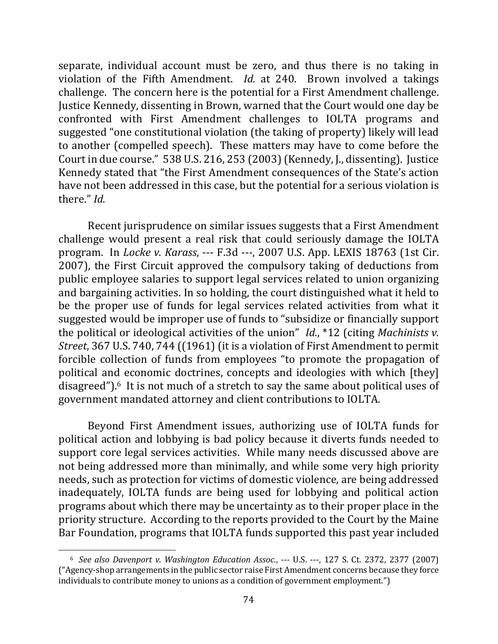separate, individual account must be zero, and thus there is no taking in violation of the Fifth Amendment. *Id.* at 240. Brown involved a takings challenge. The concern here is the potential for a First Amendment challenge. Justice Kennedy, dissenting in Brown, warned that the Court would one day be confronted with First Amendment challenges to IOLTA programs and suggested "one constitutional violation (the taking of property) likely will lead to another (compelled speech). These matters may have to come before the Court in due course." 538 U.S. 216, 253 (2003) (Kennedy, J., dissenting). Justice Kennedy stated that "the First Amendment consequences of the State's action have not been addressed in this case, but the potential for a serious violation is there." *Id.*

Recent jurisprudence on similar issues suggests that a First Amendment challenge would present a real risk that could seriously damage the IOLTA program. In *Locke v. Karass*, --- F.3d ---, 2007 U.S. App. LEXIS 18763 (1st Cir. 2007), the First Circuit approved the compulsory taking of deductions from public employee salaries to support legal services related to union organizing and bargaining activities. In so holding, the court distinguished what it held to be the proper use of funds for legal services related activities from what it suggested would be improper use of funds to "subsidize or financially support the political or ideological activities of the union" *Id.*, \*12 (citing *Machinists v. Street*, 367 U.S. 740, 744 ((1961) (it is a violation of First Amendment to permit forcible collection of funds from employees "to promote the propagation of political and economic doctrines, concepts and ideologies with which [they] disagreed"). $6$  It is not much of a stretch to say the same about political uses of government mandated attorney and client contributions to IOLTA.

Beyond First Amendment issues, authorizing use of IOLTA funds for political action and lobbying is bad policy because it diverts funds needed to support core legal services activities. While many needs discussed above are not being addressed more than minimally, and while some very high priority needs, such as protection for victims of domestic violence, are being addressed inadequately, IOLTA funds are being used for lobbying and political action programs about which there may be uncertainty as to their proper place in the priority structure. According to the reports provided to the Court by the Maine Bar Foundation, programs that IOLTA funds supported this past year included

<sup>&</sup>lt;sup>6</sup> See also Davenport v. Washington Education Assoc., --- U.S. ---, 127 S. Ct. 2372, 2377 (2007) ("Agency-shop arrangements in the public sector raise First Amendment concerns because they force individuals to contribute money to unions as a condition of government employment.")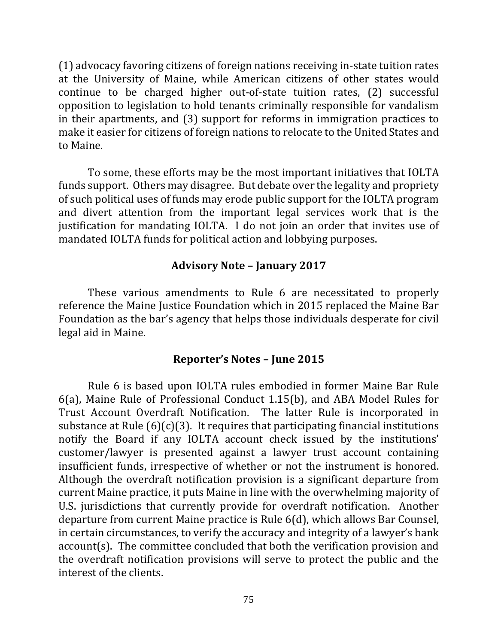(1) advocacy favoring citizens of foreign nations receiving in-state tuition rates at the University of Maine, while American citizens of other states would continue to be charged higher out-of-state tuition rates, (2) successful opposition to legislation to hold tenants criminally responsible for vandalism in their apartments, and  $(3)$  support for reforms in immigration practices to make it easier for citizens of foreign nations to relocate to the United States and to Maine.

To some, these efforts may be the most important initiatives that IOLTA funds support. Others may disagree. But debate over the legality and propriety of such political uses of funds may erode public support for the IOLTA program and divert attention from the important legal services work that is the justification for mandating IOLTA. I do not join an order that invites use of mandated IOLTA funds for political action and lobbying purposes.

### **Advisory Note – January 2017**

These various amendments to Rule 6 are necessitated to properly reference the Maine Justice Foundation which in 2015 replaced the Maine Bar Foundation as the bar's agency that helps those individuals desperate for civil legal aid in Maine.

### **Reporter's Notes – June 2015**

Rule 6 is based upon IOLTA rules embodied in former Maine Bar Rule 6(a), Maine Rule of Professional Conduct 1.15(b), and ABA Model Rules for Trust Account Overdraft Notification. The latter Rule is incorporated in substance at Rule  $(6)(c)(3)$ . It requires that participating financial institutions notify the Board if any IOLTA account check issued by the institutions' customer/lawyer is presented against a lawyer trust account containing insufficient funds, irrespective of whether or not the instrument is honored. Although the overdraft notification provision is a significant departure from current Maine practice, it puts Maine in line with the overwhelming majority of U.S. jurisdictions that currently provide for overdraft notification. Another departure from current Maine practice is Rule 6(d), which allows Bar Counsel, in certain circumstances, to verify the accuracy and integrity of a lawyer's bank account(s). The committee concluded that both the verification provision and the overdraft notification provisions will serve to protect the public and the interest of the clients.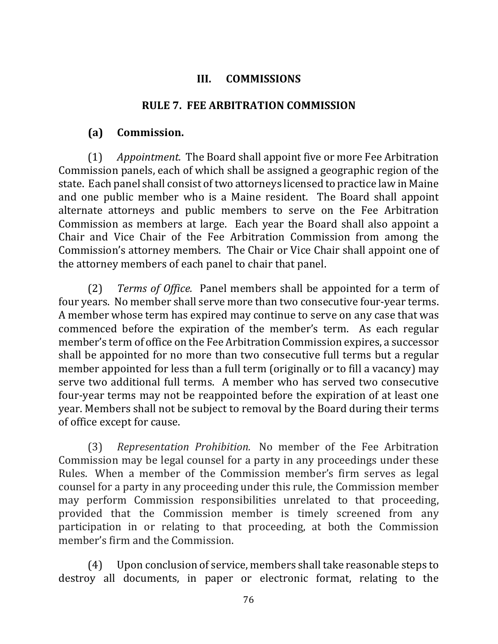#### **III. COMMISSIONS**

#### **RULE 7. FEE ARBITRATION COMMISSION**

### **(a) Commission.**

(1) *Appointment.* The Board shall appoint five or more Fee Arbitration Commission panels, each of which shall be assigned a geographic region of the state. Each panel shall consist of two attorneys licensed to practice law in Maine and one public member who is a Maine resident. The Board shall appoint alternate attorneys and public members to serve on the Fee Arbitration Commission as members at large. Each year the Board shall also appoint a Chair and Vice Chair of the Fee Arbitration Commission from among the Commission's attorney members. The Chair or Vice Chair shall appoint one of the attorney members of each panel to chair that panel.

(2) *Terms of Office.* Panel members shall be appointed for a term of four years. No member shall serve more than two consecutive four-year terms. A member whose term has expired may continue to serve on any case that was commenced before the expiration of the member's term. As each regular member's term of office on the Fee Arbitration Commission expires, a successor shall be appointed for no more than two consecutive full terms but a regular member appointed for less than a full term (originally or to fill a vacancy) may serve two additional full terms. A member who has served two consecutive four-year terms may not be reappointed before the expiration of at least one year. Members shall not be subject to removal by the Board during their terms of office except for cause.

(3) *Representation Prohibition.*  No member of the Fee Arbitration Commission may be legal counsel for a party in any proceedings under these Rules. When a member of the Commission member's firm serves as legal counsel for a party in any proceeding under this rule, the Commission member may perform Commission responsibilities unrelated to that proceeding, provided that the Commission member is timely screened from any participation in or relating to that proceeding, at both the Commission member's firm and the Commission.

(4) Upon conclusion of service, members shall take reasonable steps to destroy all documents, in paper or electronic format, relating to the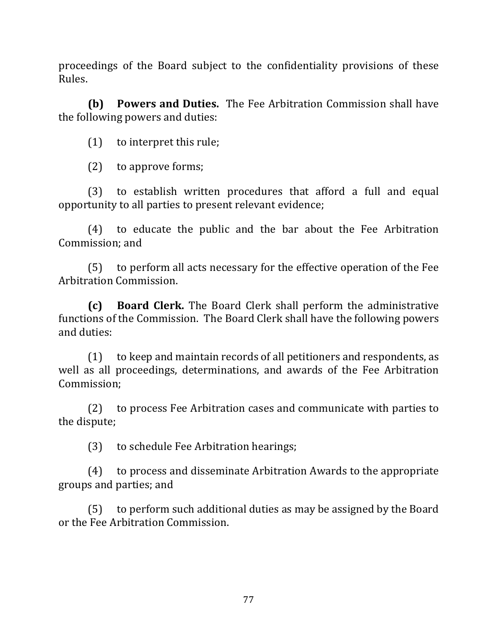proceedings of the Board subject to the confidentiality provisions of these Rules.

**(b) Powers and Duties.** The Fee Arbitration Commission shall have the following powers and duties:

 $(1)$  to interpret this rule;

 $(2)$  to approve forms;

(3) to establish written procedures that afford a full and equal opportunity to all parties to present relevant evidence;

(4) to educate the public and the bar about the Fee Arbitration Commission; and

 $(5)$  to perform all acts necessary for the effective operation of the Fee Arbitration Commission.

**(c) Board Clerk.** The Board Clerk shall perform the administrative functions of the Commission. The Board Clerk shall have the following powers and duties:

 $(1)$  to keep and maintain records of all petitioners and respondents, as well as all proceedings, determinations, and awards of the Fee Arbitration Commission;

(2) to process Fee Arbitration cases and communicate with parties to the dispute;

(3) to schedule Fee Arbitration hearings;

(4) to process and disseminate Arbitration Awards to the appropriate groups and parties; and

(5) to perform such additional duties as may be assigned by the Board or the Fee Arbitration Commission.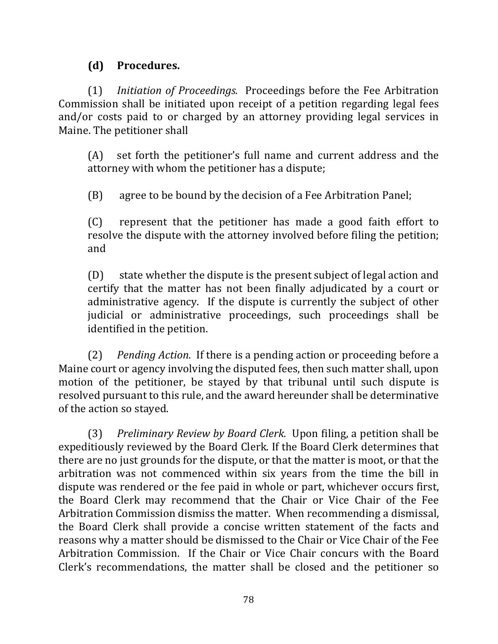## **(d) Procedures.**

(1) *Initiation of Proceedings.* Proceedings before the Fee Arbitration Commission shall be initiated upon receipt of a petition regarding legal fees and/or costs paid to or charged by an attorney providing legal services in Maine. The petitioner shall

 $(A)$  set forth the petitioner's full name and current address and the attorney with whom the petitioner has a dispute;

(B) agree to be bound by the decision of a Fee Arbitration Panel;

(C) represent that the petitioner has made a good faith effort to resolve the dispute with the attorney involved before filing the petition; and 

 $(D)$  state whether the dispute is the present subject of legal action and certify that the matter has not been finally adjudicated by a court or administrative agency. If the dispute is currently the subject of other judicial or administrative proceedings, such proceedings shall be identified in the petition.

(2) *Pending Action.* If there is a pending action or proceeding before a Maine court or agency involving the disputed fees, then such matter shall, upon motion of the petitioner, be stayed by that tribunal until such dispute is resolved pursuant to this rule, and the award hereunder shall be determinative of the action so stayed.

(3) *Preliminary Review by Board Clerk.* Upon filing, a petition shall be expeditiously reviewed by the Board Clerk. If the Board Clerk determines that there are no just grounds for the dispute, or that the matter is moot, or that the arbitration was not commenced within six years from the time the bill in dispute was rendered or the fee paid in whole or part, whichever occurs first, the Board Clerk may recommend that the Chair or Vice Chair of the Fee Arbitration Commission dismiss the matter. When recommending a dismissal, the Board Clerk shall provide a concise written statement of the facts and reasons why a matter should be dismissed to the Chair or Vice Chair of the Fee Arbitration Commission. If the Chair or Vice Chair concurs with the Board Clerk's recommendations, the matter shall be closed and the petitioner so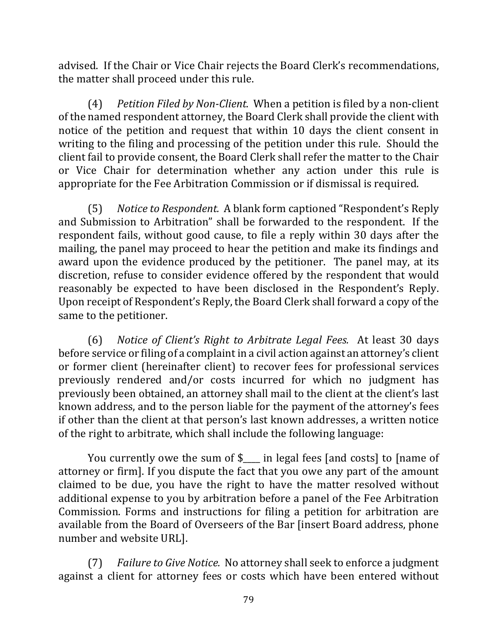advised. If the Chair or Vice Chair rejects the Board Clerk's recommendations, the matter shall proceed under this rule.

(4) *Petition Filed by Non-Client.* When a petition is filed by a non-client of the named respondent attorney, the Board Clerk shall provide the client with notice of the petition and request that within 10 days the client consent in writing to the filing and processing of the petition under this rule. Should the client fail to provide consent, the Board Clerk shall refer the matter to the Chair or Vice Chair for determination whether any action under this rule is appropriate for the Fee Arbitration Commission or if dismissal is required.

(5) Notice to Respondent. A blank form captioned "Respondent's Reply and Submission to Arbitration" shall be forwarded to the respondent. If the respondent fails, without good cause, to file a reply within 30 days after the mailing, the panel may proceed to hear the petition and make its findings and award upon the evidence produced by the petitioner. The panel may, at its discretion, refuse to consider evidence offered by the respondent that would reasonably be expected to have been disclosed in the Respondent's Reply. Upon receipt of Respondent's Reply, the Board Clerk shall forward a copy of the same to the petitioner.

(6) *Notice of Client's Right to Arbitrate Legal Fees.* At least 30 days before service or filing of a complaint in a civil action against an attorney's client or former client (hereinafter client) to recover fees for professional services previously rendered and/or costs incurred for which no judgment has previously been obtained, an attorney shall mail to the client at the client's last known address, and to the person liable for the payment of the attorney's fees if other than the client at that person's last known addresses, a written notice of the right to arbitrate, which shall include the following language:

You currently owe the sum of  $\ell$  in legal fees [and costs] to [name of attorney or firm]. If you dispute the fact that you owe any part of the amount claimed to be due, you have the right to have the matter resolved without additional expense to you by arbitration before a panel of the Fee Arbitration Commission. Forms and instructions for filing a petition for arbitration are available from the Board of Overseers of the Bar [insert Board address, phone number and website URL].

(7) *Failure to Give Notice.* No attorney shall seek to enforce a judgment against a client for attorney fees or costs which have been entered without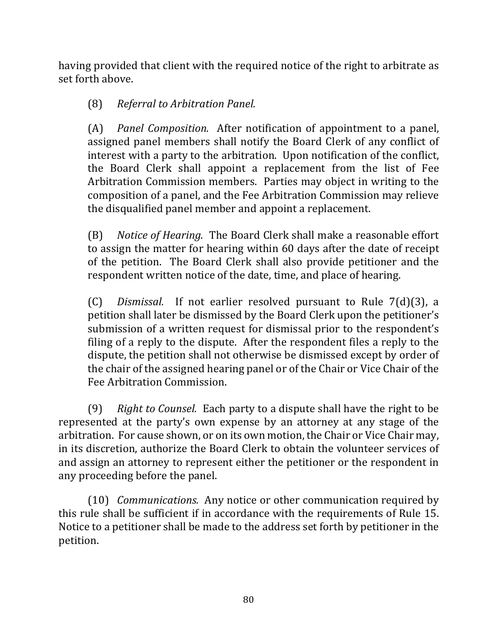having provided that client with the required notice of the right to arbitrate as set forth above.

# (8) *Referral to Arbitration Panel.*

(A) *Panel Composition.* After notification of appointment to a panel, assigned panel members shall notify the Board Clerk of any conflict of interest with a party to the arbitration. Upon notification of the conflict, the Board Clerk shall appoint a replacement from the list of Fee Arbitration Commission members. Parties may object in writing to the composition of a panel, and the Fee Arbitration Commission may relieve the disqualified panel member and appoint a replacement.

(B) *Notice of Hearing.* The Board Clerk shall make a reasonable effort to assign the matter for hearing within 60 days after the date of receipt of the petition. The Board Clerk shall also provide petitioner and the respondent written notice of the date, time, and place of hearing.

(C) *Dismissal.* If not earlier resolved pursuant to Rule 7(d)(3), a petition shall later be dismissed by the Board Clerk upon the petitioner's submission of a written request for dismissal prior to the respondent's filing of a reply to the dispute. After the respondent files a reply to the dispute, the petition shall not otherwise be dismissed except by order of the chair of the assigned hearing panel or of the Chair or Vice Chair of the Fee Arbitration Commission.

(9) Right to Counsel. Each party to a dispute shall have the right to be represented at the party's own expense by an attorney at any stage of the arbitration. For cause shown, or on its own motion, the Chair or Vice Chair may, in its discretion, authorize the Board Clerk to obtain the volunteer services of and assign an attorney to represent either the petitioner or the respondent in any proceeding before the panel.

(10) *Communications.* Any notice or other communication required by this rule shall be sufficient if in accordance with the requirements of Rule 15. Notice to a petitioner shall be made to the address set forth by petitioner in the petition.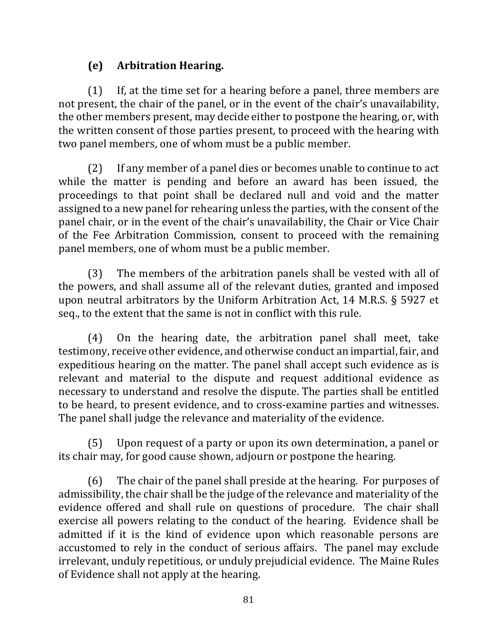# **(e) Arbitration Hearing.**

 $(1)$  If, at the time set for a hearing before a panel, three members are not present, the chair of the panel, or in the event of the chair's unavailability, the other members present, may decide either to postpone the hearing, or, with the written consent of those parties present, to proceed with the hearing with two panel members, one of whom must be a public member.

(2) If any member of a panel dies or becomes unable to continue to act while the matter is pending and before an award has been issued, the proceedings to that point shall be declared null and void and the matter assigned to a new panel for rehearing unless the parties, with the consent of the panel chair, or in the event of the chair's unavailability, the Chair or Vice Chair of the Fee Arbitration Commission, consent to proceed with the remaining panel members, one of whom must be a public member.

 $(3)$  The members of the arbitration panels shall be vested with all of the powers, and shall assume all of the relevant duties, granted and imposed upon neutral arbitrators by the Uniform Arbitration Act, 14 M.R.S.  $\S$  5927 et seq., to the extent that the same is not in conflict with this rule.

 $(4)$  On the hearing date, the arbitration panel shall meet, take testimony, receive other evidence, and otherwise conduct an impartial, fair, and expeditious hearing on the matter. The panel shall accept such evidence as is relevant and material to the dispute and request additional evidence as necessary to understand and resolve the dispute. The parties shall be entitled to be heard, to present evidence, and to cross-examine parties and witnesses. The panel shall judge the relevance and materiality of the evidence.

(5) Upon request of a party or upon its own determination, a panel or its chair may, for good cause shown, adjourn or postpone the hearing.

(6) The chair of the panel shall preside at the hearing. For purposes of admissibility, the chair shall be the judge of the relevance and materiality of the evidence offered and shall rule on questions of procedure. The chair shall exercise all powers relating to the conduct of the hearing. Evidence shall be admitted if it is the kind of evidence upon which reasonable persons are accustomed to rely in the conduct of serious affairs. The panel may exclude irrelevant, unduly repetitious, or unduly prejudicial evidence. The Maine Rules of Evidence shall not apply at the hearing.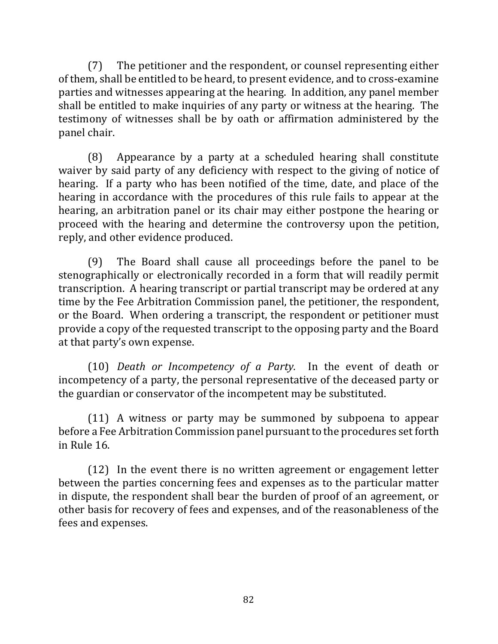(7) The petitioner and the respondent, or counsel representing either of them, shall be entitled to be heard, to present evidence, and to cross-examine parties and witnesses appearing at the hearing. In addition, any panel member shall be entitled to make inquiries of any party or witness at the hearing. The testimony of witnesses shall be by oath or affirmation administered by the panel chair.

 $(8)$  Appearance by a party at a scheduled hearing shall constitute waiver by said party of any deficiency with respect to the giving of notice of hearing. If a party who has been notified of the time, date, and place of the hearing in accordance with the procedures of this rule fails to appear at the hearing, an arbitration panel or its chair may either postpone the hearing or proceed with the hearing and determine the controversy upon the petition, reply, and other evidence produced.

 $(9)$  The Board shall cause all proceedings before the panel to be stenographically or electronically recorded in a form that will readily permit transcription. A hearing transcript or partial transcript may be ordered at any time by the Fee Arbitration Commission panel, the petitioner, the respondent, or the Board. When ordering a transcript, the respondent or petitioner must provide a copy of the requested transcript to the opposing party and the Board at that party's own expense.

(10) *Death or Incompetency of a Party*. In the event of death or incompetency of a party, the personal representative of the deceased party or the guardian or conservator of the incompetent may be substituted.

 $(11)$  A witness or party may be summoned by subpoena to appear before a Fee Arbitration Commission panel pursuant to the procedures set forth in Rule 16.

 $(12)$  In the event there is no written agreement or engagement letter between the parties concerning fees and expenses as to the particular matter in dispute, the respondent shall bear the burden of proof of an agreement, or other basis for recovery of fees and expenses, and of the reasonableness of the fees and expenses.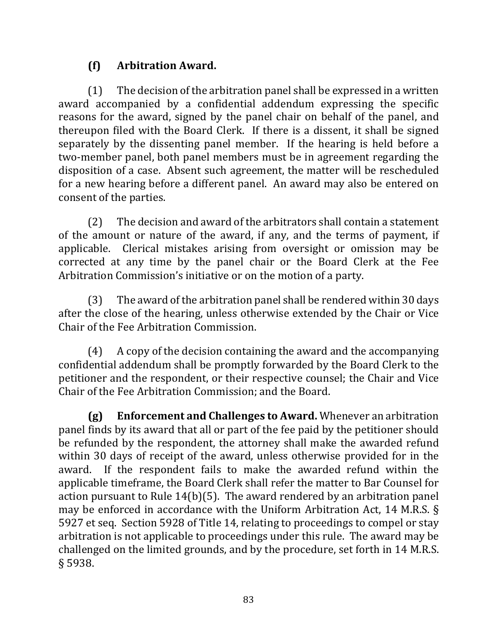# **(f) Arbitration Award.**

 $(1)$  The decision of the arbitration panel shall be expressed in a written award accompanied by a confidential addendum expressing the specific reasons for the award, signed by the panel chair on behalf of the panel, and thereupon filed with the Board Clerk. If there is a dissent, it shall be signed separately by the dissenting panel member. If the hearing is held before a two-member panel, both panel members must be in agreement regarding the disposition of a case. Absent such agreement, the matter will be rescheduled for a new hearing before a different panel. An award may also be entered on consent of the parties.

 $(2)$  The decision and award of the arbitrators shall contain a statement of the amount or nature of the award, if any, and the terms of payment, if applicable. Clerical mistakes arising from oversight or omission may be corrected at any time by the panel chair or the Board Clerk at the Fee Arbitration Commission's initiative or on the motion of a party.

 $(3)$  The award of the arbitration panel shall be rendered within 30 days after the close of the hearing, unless otherwise extended by the Chair or Vice Chair of the Fee Arbitration Commission.

 $(4)$  A copy of the decision containing the award and the accompanying confidential addendum shall be promptly forwarded by the Board Clerk to the petitioner and the respondent, or their respective counsel; the Chair and Vice Chair of the Fee Arbitration Commission; and the Board.

**(g)** Enforcement and Challenges to Award. Whenever an arbitration panel finds by its award that all or part of the fee paid by the petitioner should be refunded by the respondent, the attorney shall make the awarded refund within 30 days of receipt of the award, unless otherwise provided for in the award. If the respondent fails to make the awarded refund within the applicable timeframe, the Board Clerk shall refer the matter to Bar Counsel for action pursuant to Rule  $14(b)(5)$ . The award rendered by an arbitration panel may be enforced in accordance with the Uniform Arbitration Act, 14 M.R.S.  $\S$ 5927 et seq. Section 5928 of Title 14, relating to proceedings to compel or stay arbitration is not applicable to proceedings under this rule. The award may be challenged on the limited grounds, and by the procedure, set forth in 14 M.R.S. § 5938.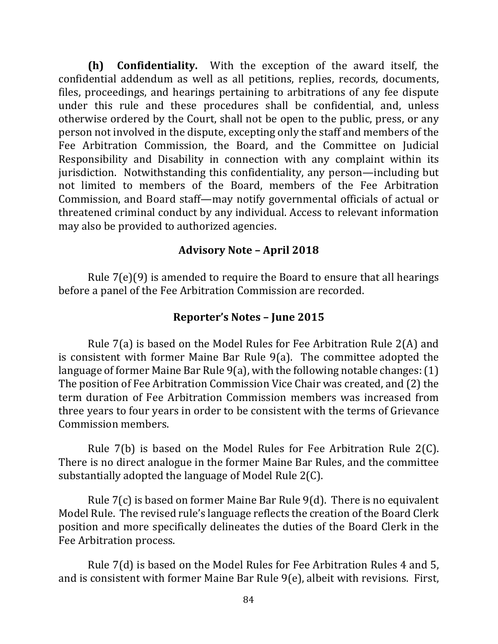**(h) Confidentiality.** With the exception of the award itself, the confidential addendum as well as all petitions, replies, records, documents, files, proceedings, and hearings pertaining to arbitrations of any fee dispute under this rule and these procedures shall be confidential, and, unless otherwise ordered by the Court, shall not be open to the public, press, or any person not involved in the dispute, excepting only the staff and members of the Fee Arbitration Commission, the Board, and the Committee on Judicial Responsibility and Disability in connection with any complaint within its jurisdiction. Notwithstanding this confidentiality, any person—including but not limited to members of the Board, members of the Fee Arbitration Commission, and Board staff—may notify governmental officials of actual or threatened criminal conduct by any individual. Access to relevant information may also be provided to authorized agencies.

### **Advisory Note – April 2018**

Rule  $7(e)(9)$  is amended to require the Board to ensure that all hearings before a panel of the Fee Arbitration Commission are recorded.

### **Reporter's Notes – June 2015**

Rule  $7(a)$  is based on the Model Rules for Fee Arbitration Rule  $2(A)$  and is consistent with former Maine Bar Rule  $9(a)$ . The committee adopted the language of former Maine Bar Rule  $9(a)$ , with the following notable changes:  $(1)$ The position of Fee Arbitration Commission Vice Chair was created, and (2) the term duration of Fee Arbitration Commission members was increased from three years to four years in order to be consistent with the terms of Grievance Commission members.

Rule  $7(b)$  is based on the Model Rules for Fee Arbitration Rule 2(C). There is no direct analogue in the former Maine Bar Rules, and the committee substantially adopted the language of Model Rule  $2(C)$ .

Rule  $7(c)$  is based on former Maine Bar Rule  $9(d)$ . There is no equivalent Model Rule. The revised rule's language reflects the creation of the Board Clerk position and more specifically delineates the duties of the Board Clerk in the Fee Arbitration process.

Rule 7(d) is based on the Model Rules for Fee Arbitration Rules 4 and 5, and is consistent with former Maine Bar Rule  $9(e)$ , albeit with revisions. First,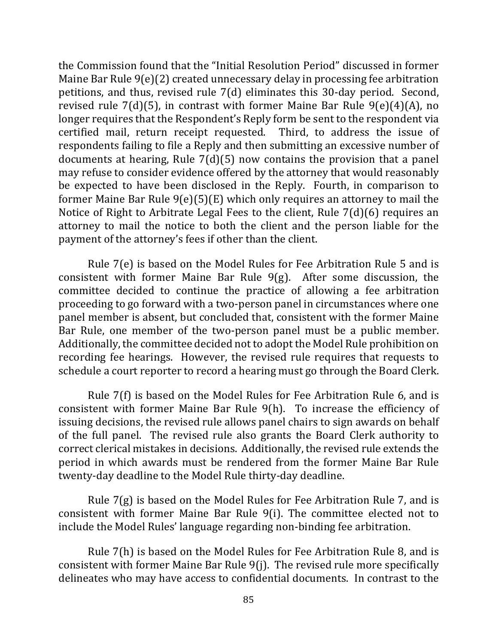the Commission found that the "Initial Resolution Period" discussed in former Maine Bar Rule  $9(e)(2)$  created unnecessary delay in processing fee arbitration petitions, and thus, revised rule  $7(d)$  eliminates this 30-day period. Second, revised rule  $7(d)(5)$ , in contrast with former Maine Bar Rule  $9(e)(4)(A)$ , no longer requires that the Respondent's Reply form be sent to the respondent via certified mail, return receipt requested. Third, to address the issue of respondents failing to file a Reply and then submitting an excessive number of documents at hearing, Rule  $7(d)(5)$  now contains the provision that a panel may refuse to consider evidence offered by the attorney that would reasonably be expected to have been disclosed in the Reply. Fourth, in comparison to former Maine Bar Rule  $9(e)(5)(E)$  which only requires an attorney to mail the Notice of Right to Arbitrate Legal Fees to the client, Rule  $7(d)(6)$  requires an attorney to mail the notice to both the client and the person liable for the payment of the attorney's fees if other than the client.

Rule  $7(e)$  is based on the Model Rules for Fee Arbitration Rule 5 and is consistent with former Maine Bar Rule  $9(g)$ . After some discussion, the committee decided to continue the practice of allowing a fee arbitration proceeding to go forward with a two-person panel in circumstances where one panel member is absent, but concluded that, consistent with the former Maine Bar Rule, one member of the two-person panel must be a public member. Additionally, the committee decided not to adopt the Model Rule prohibition on recording fee hearings. However, the revised rule requires that requests to schedule a court reporter to record a hearing must go through the Board Clerk.

Rule  $7(f)$  is based on the Model Rules for Fee Arbitration Rule 6, and is consistent with former Maine Bar Rule  $9(h)$ . To increase the efficiency of issuing decisions, the revised rule allows panel chairs to sign awards on behalf of the full panel. The revised rule also grants the Board Clerk authority to correct clerical mistakes in decisions. Additionally, the revised rule extends the period in which awards must be rendered from the former Maine Bar Rule twenty-day deadline to the Model Rule thirty-day deadline.

Rule  $7(g)$  is based on the Model Rules for Fee Arbitration Rule 7, and is consistent with former Maine Bar Rule 9(i). The committee elected not to include the Model Rules' language regarding non-binding fee arbitration.

Rule  $7(h)$  is based on the Model Rules for Fee Arbitration Rule 8, and is consistent with former Maine Bar Rule 9(j). The revised rule more specifically delineates who may have access to confidential documents. In contrast to the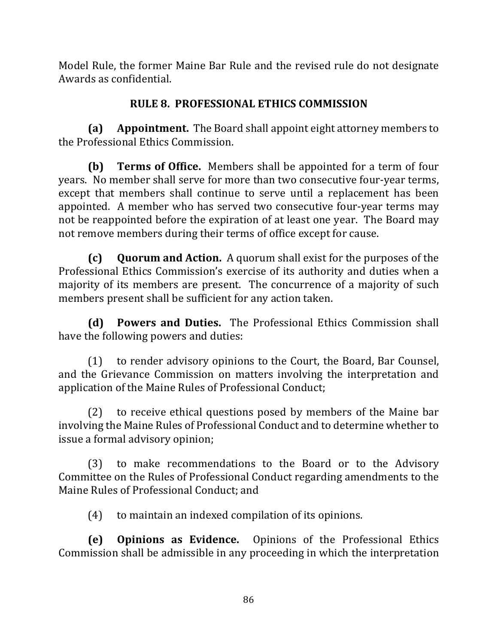Model Rule, the former Maine Bar Rule and the revised rule do not designate Awards as confidential.

# **RULE 8. PROFESSIONAL ETHICS COMMISSION**

**(a) Appointment.** The Board shall appoint eight attorney members to the Professional Ethics Commission.

**(b) Terms of Office.** Members shall be appointed for a term of four years. No member shall serve for more than two consecutive four-year terms, except that members shall continue to serve until a replacement has been appointed. A member who has served two consecutive four-year terms may not be reappointed before the expiration of at least one year. The Board may not remove members during their terms of office except for cause.

**(c)** Quorum and Action. A quorum shall exist for the purposes of the Professional Ethics Commission's exercise of its authority and duties when a majority of its members are present. The concurrence of a majority of such members present shall be sufficient for any action taken.

**(d) Powers and Duties.** The Professional Ethics Commission shall have the following powers and duties:

(1) to render advisory opinions to the Court, the Board, Bar Counsel, and the Grievance Commission on matters involving the interpretation and application of the Maine Rules of Professional Conduct;

(2) to receive ethical questions posed by members of the Maine bar involving the Maine Rules of Professional Conduct and to determine whether to issue a formal advisory opinion;

(3) to make recommendations to the Board or to the Advisory Committee on the Rules of Professional Conduct regarding amendments to the Maine Rules of Professional Conduct: and

(4) to maintain an indexed compilation of its opinions.

**(e) Opinions as Evidence.** Opinions of the Professional Ethics Commission shall be admissible in any proceeding in which the interpretation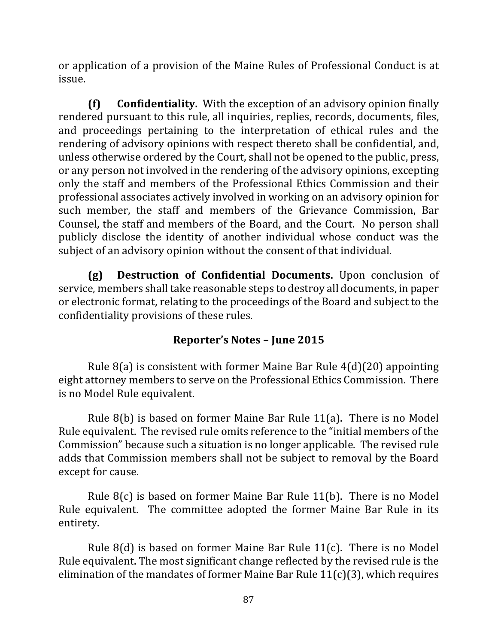or application of a provision of the Maine Rules of Professional Conduct is at issue. 

**(f)** Confidentiality. With the exception of an advisory opinion finally rendered pursuant to this rule, all inquiries, replies, records, documents, files, and proceedings pertaining to the interpretation of ethical rules and the rendering of advisory opinions with respect thereto shall be confidential, and, unless otherwise ordered by the Court, shall not be opened to the public, press, or any person not involved in the rendering of the advisory opinions, excepting only the staff and members of the Professional Ethics Commission and their professional associates actively involved in working on an advisory opinion for such member, the staff and members of the Grievance Commission, Bar Counsel, the staff and members of the Board, and the Court. No person shall publicly disclose the identity of another individual whose conduct was the subject of an advisory opinion without the consent of that individual.

**(g) Destruction of Confidential Documents.** Upon conclusion of service, members shall take reasonable steps to destroy all documents, in paper or electronic format, relating to the proceedings of the Board and subject to the confidentiality provisions of these rules.

### **Reporter's Notes – June 2015**

Rule  $8(a)$  is consistent with former Maine Bar Rule  $4(d)(20)$  appointing eight attorney members to serve on the Professional Ethics Commission. There is no Model Rule equivalent.

Rule  $8(b)$  is based on former Maine Bar Rule 11(a). There is no Model Rule equivalent. The revised rule omits reference to the "initial members of the Commission" because such a situation is no longer applicable. The revised rule adds that Commission members shall not be subject to removal by the Board except for cause.

Rule  $8(c)$  is based on former Maine Bar Rule 11(b). There is no Model Rule equivalent. The committee adopted the former Maine Bar Rule in its entirety.

Rule  $8(d)$  is based on former Maine Bar Rule 11(c). There is no Model Rule equivalent. The most significant change reflected by the revised rule is the elimination of the mandates of former Maine Bar Rule  $11(c)(3)$ , which requires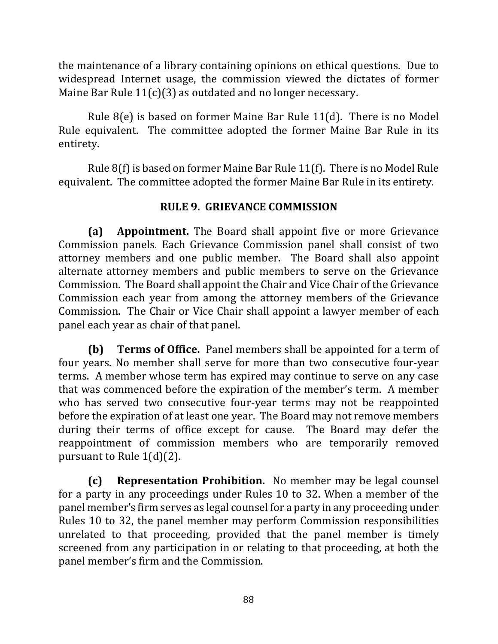the maintenance of a library containing opinions on ethical questions. Due to widespread Internet usage, the commission viewed the dictates of former Maine Bar Rule  $11(c)(3)$  as outdated and no longer necessary.

Rule  $8(e)$  is based on former Maine Bar Rule 11(d). There is no Model Rule equivalent. The committee adopted the former Maine Bar Rule in its entirety.

Rule  $8(f)$  is based on former Maine Bar Rule 11(f). There is no Model Rule equivalent. The committee adopted the former Maine Bar Rule in its entirety.

### **RULE 9. GRIEVANCE COMMISSION**

**(a) Appointment.** The Board shall appoint five or more Grievance Commission panels. Each Grievance Commission panel shall consist of two attorney members and one public member. The Board shall also appoint alternate attorney members and public members to serve on the Grievance Commission. The Board shall appoint the Chair and Vice Chair of the Grievance Commission each year from among the attorney members of the Grievance Commission. The Chair or Vice Chair shall appoint a lawyer member of each panel each year as chair of that panel.

**(b) Terms of Office.** Panel members shall be appointed for a term of four years. No member shall serve for more than two consecutive four-year terms. A member whose term has expired may continue to serve on any case that was commenced before the expiration of the member's term. A member who has served two consecutive four-year terms may not be reappointed before the expiration of at least one year. The Board may not remove members during their terms of office except for cause. The Board may defer the reappointment of commission members who are temporarily removed pursuant to Rule  $1(d)(2)$ .

**(c) Representation Prohibition.** No member may be legal counsel for a party in any proceedings under Rules 10 to 32. When a member of the panel member's firm serves as legal counsel for a party in any proceeding under Rules 10 to 32, the panel member may perform Commission responsibilities unrelated to that proceeding, provided that the panel member is timely screened from any participation in or relating to that proceeding, at both the panel member's firm and the Commission.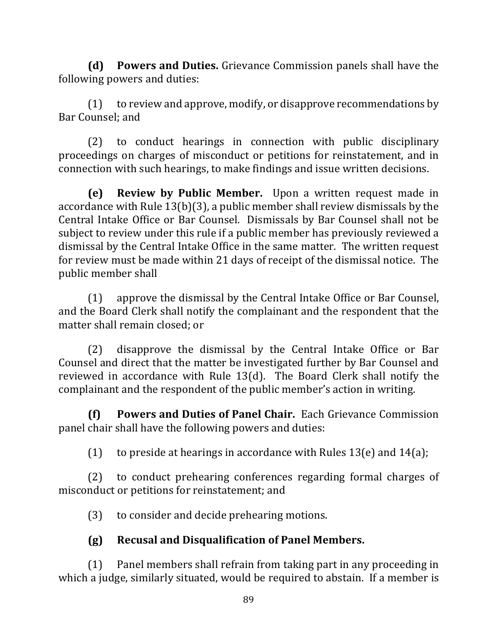**(d)** Powers and Duties. Grievance Commission panels shall have the following powers and duties:

 $(1)$  to review and approve, modify, or disapprove recommendations by Bar Counsel: and

(2) to conduct hearings in connection with public disciplinary proceedings on charges of misconduct or petitions for reinstatement, and in connection with such hearings, to make findings and issue written decisions.

**(e) Review by Public Member.** Upon a written request made in accordance with Rule  $13(b)(3)$ , a public member shall review dismissals by the Central Intake Office or Bar Counsel. Dismissals by Bar Counsel shall not be subject to review under this rule if a public member has previously reviewed a dismissal by the Central Intake Office in the same matter. The written request for review must be made within 21 days of receipt of the dismissal notice. The public member shall

 $(1)$  approve the dismissal by the Central Intake Office or Bar Counsel, and the Board Clerk shall notify the complainant and the respondent that the matter shall remain closed; or

(2) disapprove the dismissal by the Central Intake Office or Bar Counsel and direct that the matter be investigated further by Bar Counsel and reviewed in accordance with Rule  $13(d)$ . The Board Clerk shall notify the complainant and the respondent of the public member's action in writing.

**(f)** Powers and Duties of Panel Chair. Each Grievance Commission panel chair shall have the following powers and duties:

(1) to preside at hearings in accordance with Rules  $13(e)$  and  $14(a)$ ;

(2) to conduct prehearing conferences regarding formal charges of misconduct or petitions for reinstatement; and

(3) to consider and decide prehearing motions.

# **(g) Recusal and Disqualification of Panel Members.**

 $(1)$  Panel members shall refrain from taking part in any proceeding in which a judge, similarly situated, would be required to abstain. If a member is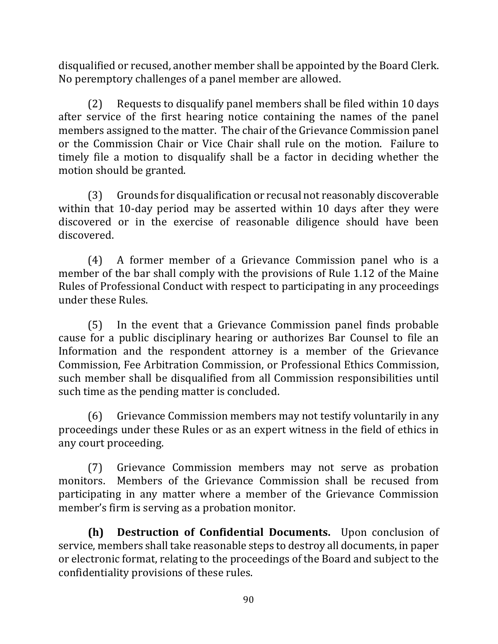disqualified or recused, another member shall be appointed by the Board Clerk. No peremptory challenges of a panel member are allowed.

(2) Requests to disqualify panel members shall be filed within 10 days after service of the first hearing notice containing the names of the panel members assigned to the matter. The chair of the Grievance Commission panel or the Commission Chair or Vice Chair shall rule on the motion. Failure to timely file a motion to disqualify shall be a factor in deciding whether the motion should be granted.

(3) Grounds for disqualification or recusal not reasonably discoverable within that 10-day period may be asserted within 10 days after they were discovered or in the exercise of reasonable diligence should have been discovered.

 $(4)$  A former member of a Grievance Commission panel who is a member of the bar shall comply with the provisions of Rule 1.12 of the Maine Rules of Professional Conduct with respect to participating in any proceedings under these Rules.

(5) In the event that a Grievance Commission panel finds probable cause for a public disciplinary hearing or authorizes Bar Counsel to file an Information and the respondent attorney is a member of the Grievance Commission, Fee Arbitration Commission, or Professional Ethics Commission, such member shall be disqualified from all Commission responsibilities until such time as the pending matter is concluded.

(6) Grievance Commission members may not testify voluntarily in any proceedings under these Rules or as an expert witness in the field of ethics in any court proceeding.

(7) Grievance Commission members may not serve as probation monitors. Members of the Grievance Commission shall be recused from participating in any matter where a member of the Grievance Commission member's firm is serving as a probation monitor.

**(h) Destruction of Confidential Documents.** Upon conclusion of service, members shall take reasonable steps to destroy all documents, in paper or electronic format, relating to the proceedings of the Board and subject to the confidentiality provisions of these rules.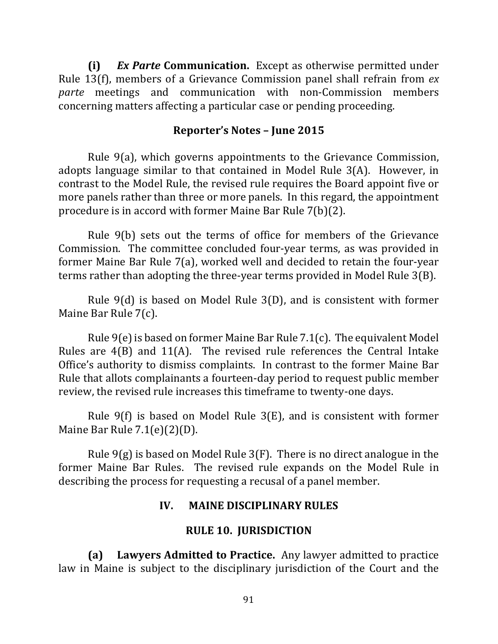**(i)** *Ex Parte* **Communication.**  Except as otherwise permitted under Rule 13(f), members of a Grievance Commission panel shall refrain from *ex parte* meetings and communication with non-Commission members concerning matters affecting a particular case or pending proceeding.

#### **Reporter's Notes – June 2015**

Rule  $9(a)$ , which governs appointments to the Grievance Commission, adopts language similar to that contained in Model Rule  $3(A)$ . However, in contrast to the Model Rule, the revised rule requires the Board appoint five or more panels rather than three or more panels. In this regard, the appointment procedure is in accord with former Maine Bar Rule  $7(b)(2)$ .

Rule  $9(b)$  sets out the terms of office for members of the Grievance Commission. The committee concluded four-year terms, as was provided in former Maine Bar Rule  $7(a)$ , worked well and decided to retain the four-year terms rather than adopting the three-year terms provided in Model Rule 3(B).

Rule  $9(d)$  is based on Model Rule  $3(D)$ , and is consistent with former Maine Bar Rule 7(c).

Rule  $9(e)$  is based on former Maine Bar Rule 7.1(c). The equivalent Model Rules are  $4(B)$  and  $11(A)$ . The revised rule references the Central Intake Office's authority to dismiss complaints. In contrast to the former Maine Bar Rule that allots complainants a fourteen-day period to request public member review, the revised rule increases this timeframe to twenty-one days.

Rule  $9(f)$  is based on Model Rule  $3(E)$ , and is consistent with former Maine Bar Rule 7.1(e)(2)(D).

Rule  $9(g)$  is based on Model Rule  $3(F)$ . There is no direct analogue in the former Maine Bar Rules. The revised rule expands on the Model Rule in describing the process for requesting a recusal of a panel member.

### **IV. MAINE DISCIPLINARY RULES**

#### **RULE 10. JURISDICTION**

**(a)** Lawyers Admitted to Practice. Any lawyer admitted to practice law in Maine is subject to the disciplinary jurisdiction of the Court and the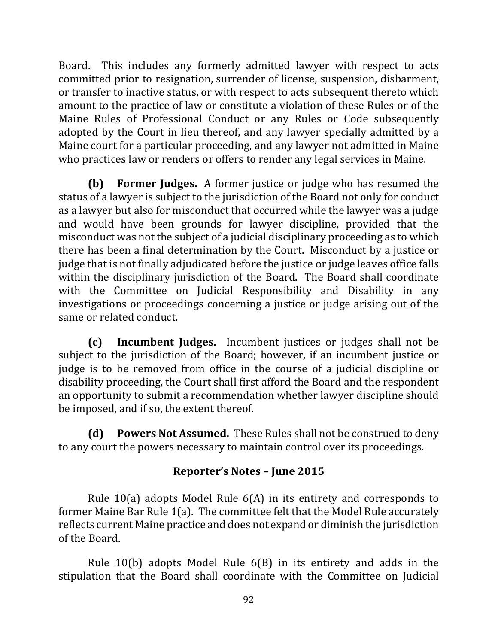Board. This includes any formerly admitted lawyer with respect to acts committed prior to resignation, surrender of license, suspension, disbarment, or transfer to inactive status, or with respect to acts subsequent thereto which amount to the practice of law or constitute a violation of these Rules or of the Maine Rules of Professional Conduct or any Rules or Code subsequently adopted by the Court in lieu thereof, and any lawyer specially admitted by a Maine court for a particular proceeding, and any lawyer not admitted in Maine who practices law or renders or offers to render any legal services in Maine.

**(b) Former Judges.** A former justice or judge who has resumed the status of a lawyer is subject to the jurisdiction of the Board not only for conduct as a lawyer but also for misconduct that occurred while the lawyer was a judge and would have been grounds for lawyer discipline, provided that the misconduct was not the subject of a judicial disciplinary proceeding as to which there has been a final determination by the Court. Misconduct by a justice or judge that is not finally adjudicated before the justice or judge leaves office falls within the disciplinary jurisdiction of the Board. The Board shall coordinate with the Committee on Judicial Responsibility and Disability in any investigations or proceedings concerning a justice or judge arising out of the same or related conduct.

**(c) Incumbent Judges.** Incumbent justices or judges shall not be subject to the jurisdiction of the Board; however, if an incumbent justice or judge is to be removed from office in the course of a judicial discipline or disability proceeding, the Court shall first afford the Board and the respondent an opportunity to submit a recommendation whether lawyer discipline should be imposed, and if so, the extent thereof.

**(d)** Powers Not Assumed. These Rules shall not be construed to deny to any court the powers necessary to maintain control over its proceedings.

# **Reporter's Notes – June 2015**

Rule 10(a) adopts Model Rule  $6(A)$  in its entirety and corresponds to former Maine Bar Rule  $1(a)$ . The committee felt that the Model Rule accurately reflects current Maine practice and does not expand or diminish the jurisdiction of the Board.

Rule 10(b) adopts Model Rule  $6(B)$  in its entirety and adds in the stipulation that the Board shall coordinate with the Committee on Judicial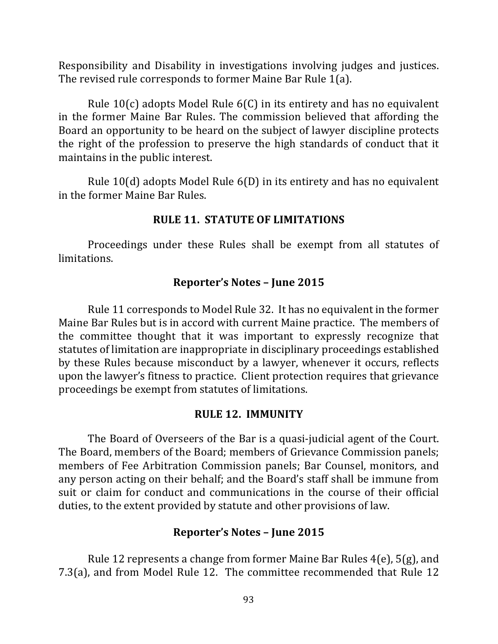Responsibility and Disability in investigations involving judges and justices. The revised rule corresponds to former Maine Bar Rule 1(a).

Rule  $10(c)$  adopts Model Rule  $6(C)$  in its entirety and has no equivalent in the former Maine Bar Rules. The commission believed that affording the Board an opportunity to be heard on the subject of lawyer discipline protects the right of the profession to preserve the high standards of conduct that it maintains in the public interest.

Rule  $10(d)$  adopts Model Rule  $6(D)$  in its entirety and has no equivalent in the former Maine Bar Rules.

#### **RULE 11. STATUTE OF LIMITATIONS**

Proceedings under these Rules shall be exempt from all statutes of limitations.

#### **Reporter's Notes – June 2015**

Rule 11 corresponds to Model Rule 32. It has no equivalent in the former Maine Bar Rules but is in accord with current Maine practice. The members of the committee thought that it was important to expressly recognize that statutes of limitation are inappropriate in disciplinary proceedings established by these Rules because misconduct by a lawyer, whenever it occurs, reflects upon the lawyer's fitness to practice. Client protection requires that grievance proceedings be exempt from statutes of limitations.

#### **RULE 12. IMMUNITY**

The Board of Overseers of the Bar is a quasi-judicial agent of the Court. The Board, members of the Board; members of Grievance Commission panels; members of Fee Arbitration Commission panels; Bar Counsel, monitors, and any person acting on their behalf; and the Board's staff shall be immune from suit or claim for conduct and communications in the course of their official duties, to the extent provided by statute and other provisions of law.

#### **Reporter's Notes – June 2015**

Rule 12 represents a change from former Maine Bar Rules  $4(e)$ , 5(g), and 7.3(a), and from Model Rule 12. The committee recommended that Rule 12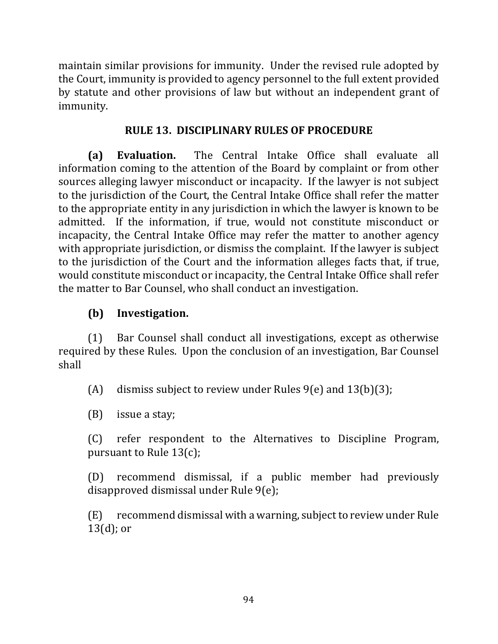maintain similar provisions for immunity. Under the revised rule adopted by the Court, immunity is provided to agency personnel to the full extent provided by statute and other provisions of law but without an independent grant of immunity. 

## **RULE 13. DISCIPLINARY RULES OF PROCEDURE**

**(a) Evaluation.** The Central Intake Office shall evaluate all information coming to the attention of the Board by complaint or from other sources alleging lawyer misconduct or incapacity. If the lawyer is not subject to the jurisdiction of the Court, the Central Intake Office shall refer the matter to the appropriate entity in any jurisdiction in which the lawyer is known to be admitted. If the information, if true, would not constitute misconduct or incapacity, the Central Intake Office may refer the matter to another agency with appropriate jurisdiction, or dismiss the complaint. If the lawyer is subject to the jurisdiction of the Court and the information alleges facts that, if true, would constitute misconduct or incapacity, the Central Intake Office shall refer the matter to Bar Counsel, who shall conduct an investigation.

## **(b) Investigation.**

(1) Bar Counsel shall conduct all investigations, except as otherwise required by these Rules. Upon the conclusion of an investigation, Bar Counsel shall

(A) dismiss subject to review under Rules  $9(e)$  and  $13(b)(3)$ ;

 $(B)$  issue a stay;

(C) refer respondent to the Alternatives to Discipline Program, pursuant to Rule  $13(c)$ ;

(D) recommend dismissal, if a public member had previously disapproved dismissal under Rule  $9(e)$ ;

(E) recommend dismissal with a warning, subject to review under Rule  $13(d)$ ; or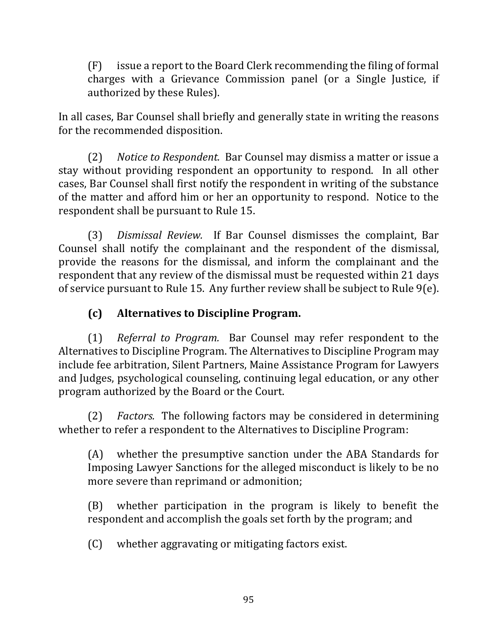$(F)$  issue a report to the Board Clerk recommending the filing of formal charges with a Grievance Commission panel (or a Single Justice, if authorized by these Rules).

In all cases, Bar Counsel shall briefly and generally state in writing the reasons for the recommended disposition.

(2) Notice to Respondent. Bar Counsel may dismiss a matter or issue a stay without providing respondent an opportunity to respond. In all other cases, Bar Counsel shall first notify the respondent in writing of the substance of the matter and afford him or her an opportunity to respond. Notice to the respondent shall be pursuant to Rule 15.

(3) *Dismissal Review.* If Bar Counsel dismisses the complaint, Bar Counsel shall notify the complainant and the respondent of the dismissal, provide the reasons for the dismissal, and inform the complainant and the respondent that any review of the dismissal must be requested within 21 days of service pursuant to Rule 15. Any further review shall be subject to Rule  $9(e)$ .

# **(c) Alternatives to Discipline Program.**

(1) *Referral to Program.* Bar Counsel may refer respondent to the Alternatives to Discipline Program. The Alternatives to Discipline Program may include fee arbitration, Silent Partners, Maine Assistance Program for Lawyers and Judges, psychological counseling, continuing legal education, or any other program authorized by the Board or the Court.

(2) *Factors.* The following factors may be considered in determining whether to refer a respondent to the Alternatives to Discipline Program:

(A) whether the presumptive sanction under the ABA Standards for Imposing Lawyer Sanctions for the alleged misconduct is likely to be no more severe than reprimand or admonition;

 $(B)$  whether participation in the program is likely to benefit the respondent and accomplish the goals set forth by the program; and

 $(C)$  whether aggravating or mitigating factors exist.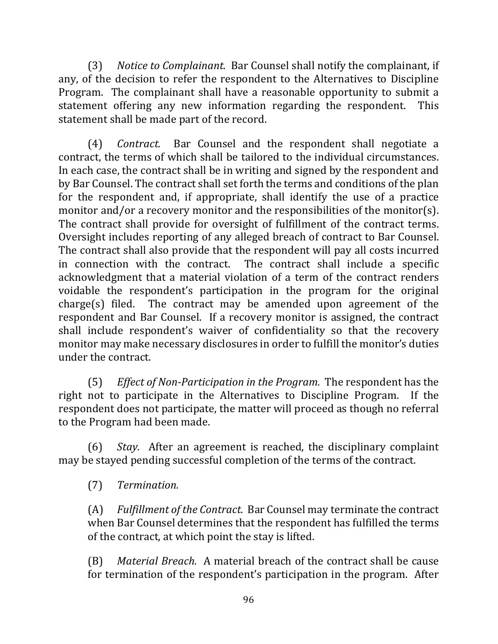(3) Notice to Complainant. Bar Counsel shall notify the complainant, if any, of the decision to refer the respondent to the Alternatives to Discipline Program. The complainant shall have a reasonable opportunity to submit a statement offering any new information regarding the respondent. This statement shall be made part of the record.

(4) *Contract.* Bar Counsel and the respondent shall negotiate a contract, the terms of which shall be tailored to the individual circumstances. In each case, the contract shall be in writing and signed by the respondent and by Bar Counsel. The contract shall set forth the terms and conditions of the plan for the respondent and, if appropriate, shall identify the use of a practice monitor and/or a recovery monitor and the responsibilities of the monitor(s). The contract shall provide for oversight of fulfillment of the contract terms. Oversight includes reporting of any alleged breach of contract to Bar Counsel. The contract shall also provide that the respondent will pay all costs incurred in connection with the contract. The contract shall include a specific acknowledgment that a material violation of a term of the contract renders voidable the respondent's participation in the program for the original  $charge(s)$  filed. The contract may be amended upon agreement of the respondent and Bar Counsel. If a recovery monitor is assigned, the contract shall include respondent's waiver of confidentiality so that the recovery monitor may make necessary disclosures in order to fulfill the monitor's duties under the contract.

(5) *Effect of Non-Participation in the Program.* The respondent has the right not to participate in the Alternatives to Discipline Program. If the respondent does not participate, the matter will proceed as though no referral to the Program had been made.

(6) *Stay.* After an agreement is reached, the disciplinary complaint may be stayed pending successful completion of the terms of the contract.

(7) *Termination.*

(A) Fulfillment of the Contract. Bar Counsel may terminate the contract when Bar Counsel determines that the respondent has fulfilled the terms of the contract, at which point the stay is lifted.

(B) *Material Breach.* A material breach of the contract shall be cause for termination of the respondent's participation in the program. After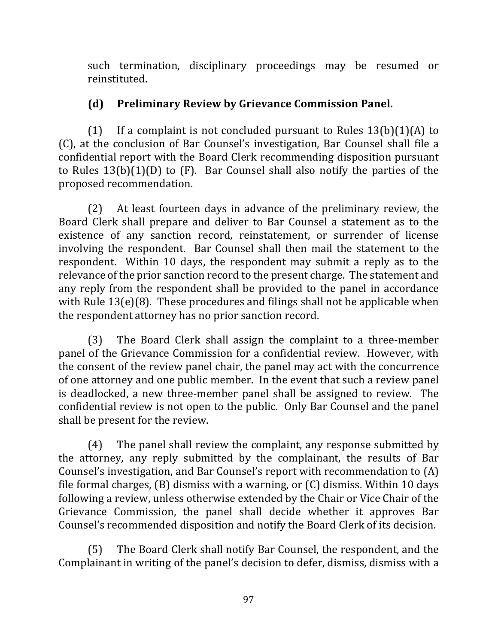such termination, disciplinary proceedings may be resumed or reinstituted.

# **(d) Preliminary Review by Grievance Commission Panel.**

(1) If a complaint is not concluded pursuant to Rules  $13(b)(1)(A)$  to (C), at the conclusion of Bar Counsel's investigation, Bar Counsel shall file a confidential report with the Board Clerk recommending disposition pursuant to Rules  $13(b)(1)(D)$  to  $(F)$ . Bar Counsel shall also notify the parties of the proposed recommendation.

(2) At least fourteen days in advance of the preliminary review, the Board Clerk shall prepare and deliver to Bar Counsel a statement as to the existence of any sanction record, reinstatement, or surrender of license involving the respondent. Bar Counsel shall then mail the statement to the respondent. Within 10 days, the respondent may submit a reply as to the relevance of the prior sanction record to the present charge. The statement and any reply from the respondent shall be provided to the panel in accordance with Rule  $13(e)(8)$ . These procedures and filings shall not be applicable when the respondent attorney has no prior sanction record.

(3) The Board Clerk shall assign the complaint to a three-member panel of the Grievance Commission for a confidential review. However, with the consent of the review panel chair, the panel may act with the concurrence of one attorney and one public member. In the event that such a review panel is deadlocked, a new three-member panel shall be assigned to review. The confidential review is not open to the public. Only Bar Counsel and the panel shall be present for the review.

 $(4)$  The panel shall review the complaint, any response submitted by the attorney, any reply submitted by the complainant, the results of Bar Counsel's investigation, and Bar Counsel's report with recommendation to  $(A)$ file formal charges,  $(B)$  dismiss with a warning, or  $(C)$  dismiss. Within 10 days following a review, unless otherwise extended by the Chair or Vice Chair of the Grievance Commission, the panel shall decide whether it approves Bar Counsel's recommended disposition and notify the Board Clerk of its decision.

(5) The Board Clerk shall notify Bar Counsel, the respondent, and the Complainant in writing of the panel's decision to defer, dismiss, dismiss with a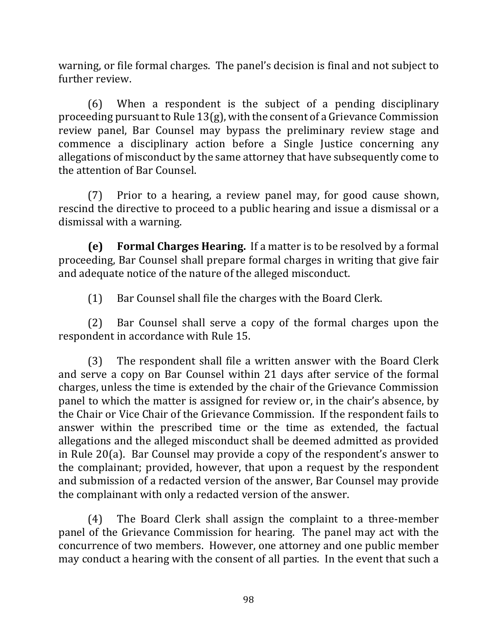warning, or file formal charges. The panel's decision is final and not subject to further review.

 $(6)$  When a respondent is the subject of a pending disciplinary proceeding pursuant to Rule  $13(g)$ , with the consent of a Grievance Commission review panel, Bar Counsel may bypass the preliminary review stage and commence a disciplinary action before a Single Justice concerning any allegations of misconduct by the same attorney that have subsequently come to the attention of Bar Counsel.

 $(7)$  Prior to a hearing, a review panel may, for good cause shown, rescind the directive to proceed to a public hearing and issue a dismissal or a dismissal with a warning.

**(e) Formal Charges Hearing.** If a matter is to be resolved by a formal proceeding, Bar Counsel shall prepare formal charges in writing that give fair and adequate notice of the nature of the alleged misconduct.

(1) Bar Counsel shall file the charges with the Board Clerk.

(2) Bar Counsel shall serve a copy of the formal charges upon the respondent in accordance with Rule 15.

 $(3)$  The respondent shall file a written answer with the Board Clerk and serve a copy on Bar Counsel within 21 days after service of the formal charges, unless the time is extended by the chair of the Grievance Commission panel to which the matter is assigned for review or, in the chair's absence, by the Chair or Vice Chair of the Grievance Commission. If the respondent fails to answer within the prescribed time or the time as extended, the factual allegations and the alleged misconduct shall be deemed admitted as provided in Rule 20(a). Bar Counsel may provide a copy of the respondent's answer to the complainant; provided, however, that upon a request by the respondent and submission of a redacted version of the answer, Bar Counsel may provide the complainant with only a redacted version of the answer.

(4) The Board Clerk shall assign the complaint to a three-member panel of the Grievance Commission for hearing. The panel may act with the concurrence of two members. However, one attorney and one public member may conduct a hearing with the consent of all parties. In the event that such a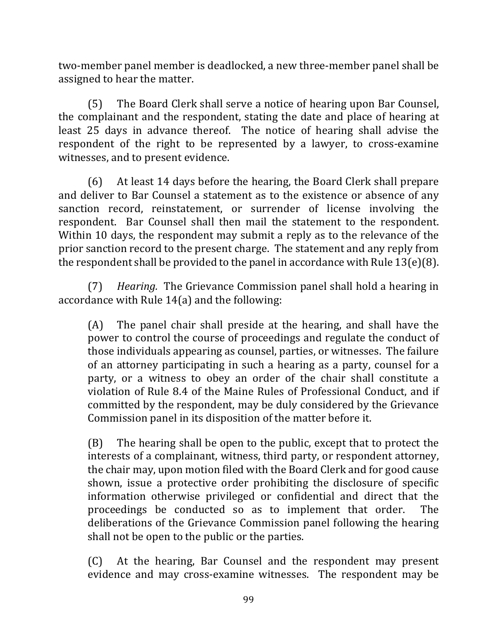two-member panel member is deadlocked, a new three-member panel shall be assigned to hear the matter.

(5) The Board Clerk shall serve a notice of hearing upon Bar Counsel, the complainant and the respondent, stating the date and place of hearing at least 25 days in advance thereof. The notice of hearing shall advise the respondent of the right to be represented by a lawyer, to cross-examine witnesses, and to present evidence.

(6) At least 14 days before the hearing, the Board Clerk shall prepare and deliver to Bar Counsel a statement as to the existence or absence of any sanction record, reinstatement, or surrender of license involving the respondent. Bar Counsel shall then mail the statement to the respondent. Within 10 days, the respondent may submit a reply as to the relevance of the prior sanction record to the present charge. The statement and any reply from the respondent shall be provided to the panel in accordance with Rule  $13(e)(8)$ .

(7) *Hearing.* The Grievance Commission panel shall hold a hearing in accordance with Rule  $14(a)$  and the following:

 $(A)$  The panel chair shall preside at the hearing, and shall have the power to control the course of proceedings and regulate the conduct of those individuals appearing as counsel, parties, or witnesses. The failure of an attorney participating in such a hearing as a party, counsel for a party, or a witness to obey an order of the chair shall constitute a violation of Rule 8.4 of the Maine Rules of Professional Conduct, and if committed by the respondent, may be duly considered by the Grievance Commission panel in its disposition of the matter before it.

 $(B)$  The hearing shall be open to the public, except that to protect the interests of a complainant, witness, third party, or respondent attorney, the chair may, upon motion filed with the Board Clerk and for good cause shown, issue a protective order prohibiting the disclosure of specific information otherwise privileged or confidential and direct that the proceedings be conducted so as to implement that order. The deliberations of the Grievance Commission panel following the hearing shall not be open to the public or the parties.

(C) At the hearing, Bar Counsel and the respondent may present evidence and may cross-examine witnesses. The respondent may be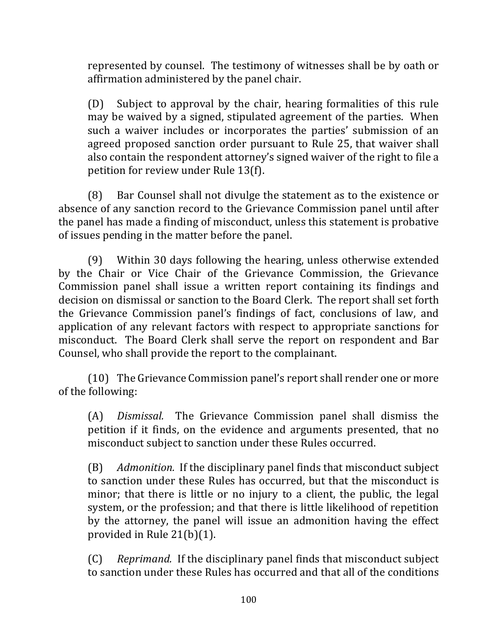represented by counsel. The testimony of witnesses shall be by oath or affirmation administered by the panel chair.

 $(D)$  Subject to approval by the chair, hearing formalities of this rule may be waived by a signed, stipulated agreement of the parties. When such a waiver includes or incorporates the parties' submission of an agreed proposed sanction order pursuant to Rule 25, that waiver shall also contain the respondent attorney's signed waiver of the right to file a petition for review under Rule 13(f).

(8) Bar Counsel shall not divulge the statement as to the existence or absence of any sanction record to the Grievance Commission panel until after the panel has made a finding of misconduct, unless this statement is probative of issues pending in the matter before the panel.

(9) Within 30 days following the hearing, unless otherwise extended by the Chair or Vice Chair of the Grievance Commission, the Grievance Commission panel shall issue a written report containing its findings and decision on dismissal or sanction to the Board Clerk. The report shall set forth the Grievance Commission panel's findings of fact, conclusions of law, and application of any relevant factors with respect to appropriate sanctions for misconduct. The Board Clerk shall serve the report on respondent and Bar Counsel, who shall provide the report to the complainant.

(10) The Grievance Commission panel's report shall render one or more of the following:

(A) *Dismissal.* The Grievance Commission panel shall dismiss the petition if it finds, on the evidence and arguments presented, that no misconduct subject to sanction under these Rules occurred.

(B) *Admonition.* If the disciplinary panel finds that misconduct subject to sanction under these Rules has occurred, but that the misconduct is minor; that there is little or no injury to a client, the public, the legal system, or the profession; and that there is little likelihood of repetition by the attorney, the panel will issue an admonition having the effect provided in Rule  $21(b)(1)$ .

(C) Reprimand. If the disciplinary panel finds that misconduct subject to sanction under these Rules has occurred and that all of the conditions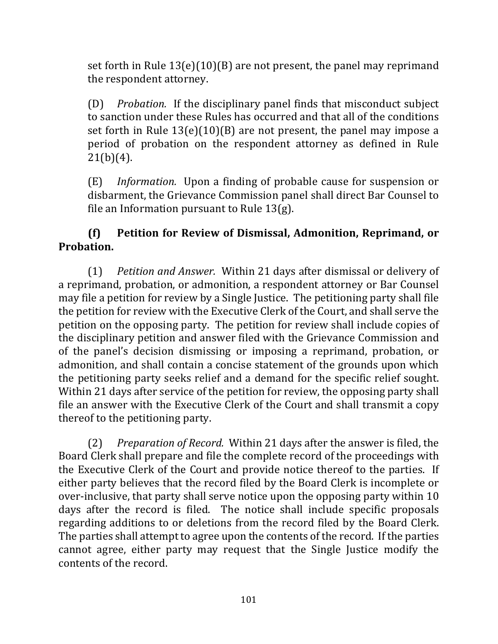set forth in Rule  $13(e)(10)(B)$  are not present, the panel may reprimand the respondent attorney.

(D) *Probation.* If the disciplinary panel finds that misconduct subject to sanction under these Rules has occurred and that all of the conditions set forth in Rule  $13(e)(10)(B)$  are not present, the panel may impose a period of probation on the respondent attorney as defined in Rule  $21(b)(4)$ .

(E) *Information*. Upon a finding of probable cause for suspension or disbarment, the Grievance Commission panel shall direct Bar Counsel to file an Information pursuant to Rule  $13(g)$ .

# **(f) Petition for Review of Dismissal, Admonition, Reprimand, or Probation.**

(1) *Petition and Answer.* Within 21 days after dismissal or delivery of a reprimand, probation, or admonition, a respondent attorney or Bar Counsel may file a petition for review by a Single Justice. The petitioning party shall file the petition for review with the Executive Clerk of the Court, and shall serve the petition on the opposing party. The petition for review shall include copies of the disciplinary petition and answer filed with the Grievance Commission and of the panel's decision dismissing or imposing a reprimand, probation, or admonition, and shall contain a concise statement of the grounds upon which the petitioning party seeks relief and a demand for the specific relief sought. Within 21 days after service of the petition for review, the opposing party shall file an answer with the Executive Clerk of the Court and shall transmit a copy thereof to the petitioning party.

(2) Preparation of Record. Within 21 days after the answer is filed, the Board Clerk shall prepare and file the complete record of the proceedings with the Executive Clerk of the Court and provide notice thereof to the parties. If either party believes that the record filed by the Board Clerk is incomplete or over-inclusive, that party shall serve notice upon the opposing party within 10 days after the record is filed. The notice shall include specific proposals regarding additions to or deletions from the record filed by the Board Clerk. The parties shall attempt to agree upon the contents of the record. If the parties cannot agree, either party may request that the Single Justice modify the contents of the record.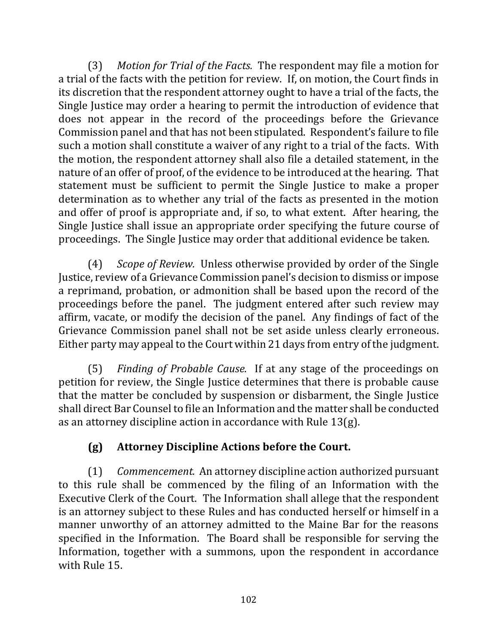(3) Motion for Trial of the Facts. The respondent may file a motion for a trial of the facts with the petition for review. If, on motion, the Court finds in its discretion that the respondent attorney ought to have a trial of the facts, the Single Justice may order a hearing to permit the introduction of evidence that does not appear in the record of the proceedings before the Grievance Commission panel and that has not been stipulated. Respondent's failure to file such a motion shall constitute a waiver of any right to a trial of the facts. With the motion, the respondent attorney shall also file a detailed statement, in the nature of an offer of proof, of the evidence to be introduced at the hearing. That statement must be sufficient to permit the Single Justice to make a proper determination as to whether any trial of the facts as presented in the motion and offer of proof is appropriate and, if so, to what extent. After hearing, the Single Justice shall issue an appropriate order specifying the future course of proceedings. The Single Justice may order that additional evidence be taken.

(4) *Scope of Review.* Unless otherwise provided by order of the Single Justice, review of a Grievance Commission panel's decision to dismiss or impose a reprimand, probation, or admonition shall be based upon the record of the proceedings before the panel. The judgment entered after such review may affirm, vacate, or modify the decision of the panel. Any findings of fact of the Grievance Commission panel shall not be set aside unless clearly erroneous. Either party may appeal to the Court within 21 days from entry of the judgment.

(5) *Finding of Probable Cause.* If at any stage of the proceedings on petition for review, the Single Justice determines that there is probable cause that the matter be concluded by suspension or disbarment, the Single Justice shall direct Bar Counsel to file an Information and the matter shall be conducted as an attorney discipline action in accordance with Rule  $13(g)$ .

# **(g) Attorney Discipline Actions before the Court.**

(1) *Commencement.* An attorney discipline action authorized pursuant to this rule shall be commenced by the filing of an Information with the Executive Clerk of the Court. The Information shall allege that the respondent is an attorney subject to these Rules and has conducted herself or himself in a manner unworthy of an attorney admitted to the Maine Bar for the reasons specified in the Information. The Board shall be responsible for serving the Information, together with a summons, upon the respondent in accordance with Rule 15.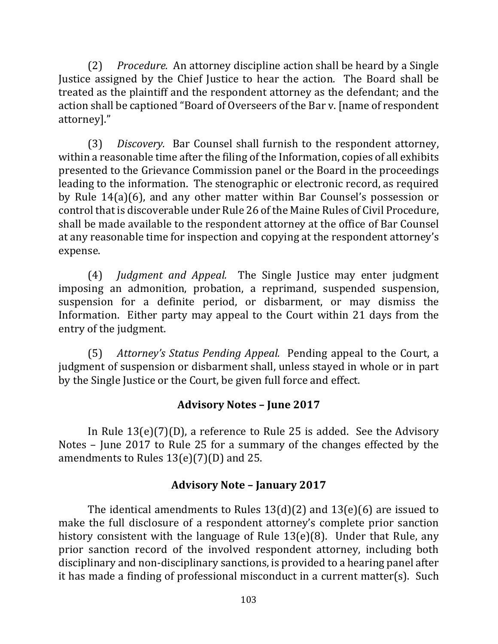(2) *Procedure.* An attorney discipline action shall be heard by a Single Justice assigned by the Chief Justice to hear the action. The Board shall be treated as the plaintiff and the respondent attorney as the defendant; and the action shall be captioned "Board of Overseers of the Bar v. [name of respondent attorney]."

(3) *Discovery.* Bar Counsel shall furnish to the respondent attorney, within a reasonable time after the filing of the Information, copies of all exhibits presented to the Grievance Commission panel or the Board in the proceedings leading to the information. The stenographic or electronic record, as required by Rule 14(a)(6), and any other matter within Bar Counsel's possession or control that is discoverable under Rule 26 of the Maine Rules of Civil Procedure, shall be made available to the respondent attorney at the office of Bar Counsel at any reasonable time for inspection and copying at the respondent attorney's expense.

(4) *Judgment and Appeal.* The Single Justice may enter judgment imposing an admonition, probation, a reprimand, suspended suspension, suspension for a definite period, or disbarment, or may dismiss the Information. Either party may appeal to the Court within 21 days from the entry of the judgment.

(5) *Attorney's Status Pending Appeal.* Pending appeal to the Court, a judgment of suspension or disbarment shall, unless stayed in whole or in part by the Single Justice or the Court, be given full force and effect.

### **Advisory Notes – June 2017**

In Rule  $13(e)(7)(D)$ , a reference to Rule 25 is added. See the Advisory Notes – June  $2017$  to Rule 25 for a summary of the changes effected by the amendments to Rules  $13(e)(7)(D)$  and 25.

# **Advisory Note – January 2017**

The identical amendments to Rules  $13(d)(2)$  and  $13(e)(6)$  are issued to make the full disclosure of a respondent attorney's complete prior sanction history consistent with the language of Rule  $13(e)(8)$ . Under that Rule, any prior sanction record of the involved respondent attorney, including both disciplinary and non-disciplinary sanctions, is provided to a hearing panel after it has made a finding of professional misconduct in a current matter(s). Such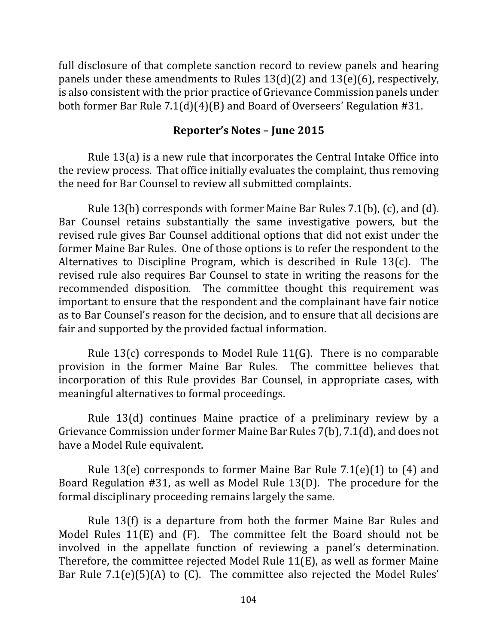full disclosure of that complete sanction record to review panels and hearing panels under these amendments to Rules  $13(d)(2)$  and  $13(e)(6)$ , respectively, is also consistent with the prior practice of Grievance Commission panels under both former Bar Rule  $7.1(d)(4)(B)$  and Board of Overseers' Regulation #31.

### **Reporter's Notes – June 2015**

Rule  $13(a)$  is a new rule that incorporates the Central Intake Office into the review process. That office initially evaluates the complaint, thus removing the need for Bar Counsel to review all submitted complaints.

Rule 13(b) corresponds with former Maine Bar Rules  $7.1(b)$ , (c), and (d). Bar Counsel retains substantially the same investigative powers, but the revised rule gives Bar Counsel additional options that did not exist under the former Maine Bar Rules. One of those options is to refer the respondent to the Alternatives to Discipline Program, which is described in Rule  $13(c)$ . The revised rule also requires Bar Counsel to state in writing the reasons for the recommended disposition. The committee thought this requirement was important to ensure that the respondent and the complainant have fair notice as to Bar Counsel's reason for the decision, and to ensure that all decisions are fair and supported by the provided factual information.

Rule  $13(c)$  corresponds to Model Rule  $11(G)$ . There is no comparable provision in the former Maine Bar Rules. The committee believes that incorporation of this Rule provides Bar Counsel, in appropriate cases, with meaningful alternatives to formal proceedings.

Rule 13(d) continues Maine practice of a preliminary review by a Grievance Commission under former Maine Bar Rules 7(b), 7.1(d), and does not have a Model Rule equivalent.

Rule 13(e) corresponds to former Maine Bar Rule  $7.1(e)(1)$  to (4) and Board Regulation  $#31$ , as well as Model Rule 13(D). The procedure for the formal disciplinary proceeding remains largely the same.

Rule  $13(f)$  is a departure from both the former Maine Bar Rules and Model Rules  $11(E)$  and  $(F)$ . The committee felt the Board should not be involved in the appellate function of reviewing a panel's determination. Therefore, the committee rejected Model Rule  $11(E)$ , as well as former Maine Bar Rule  $7.1(e)(5)(A)$  to (C). The committee also rejected the Model Rules'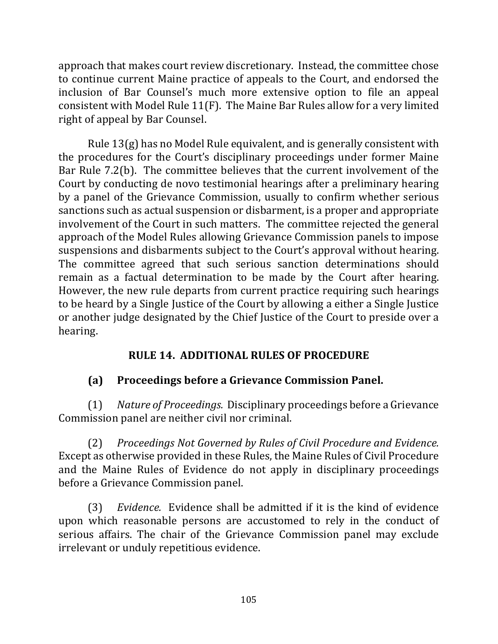approach that makes court review discretionary. Instead, the committee chose to continue current Maine practice of appeals to the Court, and endorsed the inclusion of Bar Counsel's much more extensive option to file an appeal consistent with Model Rule  $11(F)$ . The Maine Bar Rules allow for a very limited right of appeal by Bar Counsel.

Rule  $13(g)$  has no Model Rule equivalent, and is generally consistent with the procedures for the Court's disciplinary proceedings under former Maine Bar Rule 7.2(b). The committee believes that the current involvement of the Court by conducting de novo testimonial hearings after a preliminary hearing by a panel of the Grievance Commission, usually to confirm whether serious sanctions such as actual suspension or disbarment, is a proper and appropriate involvement of the Court in such matters. The committee rejected the general approach of the Model Rules allowing Grievance Commission panels to impose suspensions and disbarments subject to the Court's approval without hearing. The committee agreed that such serious sanction determinations should remain as a factual determination to be made by the Court after hearing. However, the new rule departs from current practice requiring such hearings to be heard by a Single Justice of the Court by allowing a either a Single Justice or another judge designated by the Chief Justice of the Court to preside over a hearing.

# **RULE 14. ADDITIONAL RULES OF PROCEDURE**

### **(a) Proceedings before a Grievance Commission Panel.**

(1) Nature of Proceedings. Disciplinary proceedings before a Grievance Commission panel are neither civil nor criminal.

(2) Proceedings Not Governed by Rules of Civil Procedure and Evidence. Except as otherwise provided in these Rules, the Maine Rules of Civil Procedure and the Maine Rules of Evidence do not apply in disciplinary proceedings before a Grievance Commission panel.

(3) *Evidence.* Evidence shall be admitted if it is the kind of evidence upon which reasonable persons are accustomed to rely in the conduct of serious affairs. The chair of the Grievance Commission panel may exclude irrelevant or unduly repetitious evidence.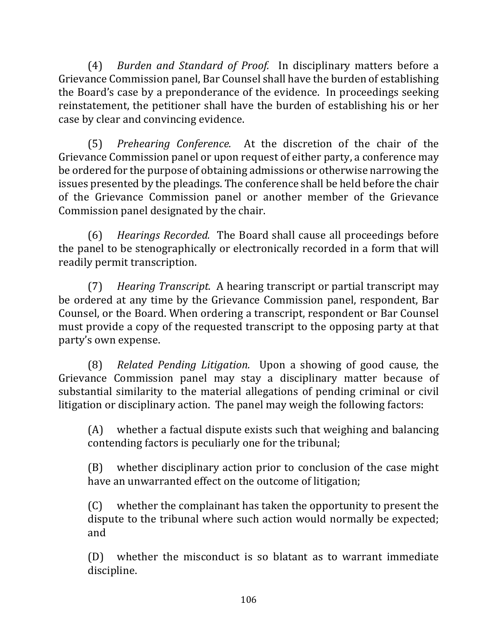(4) *Burden and Standard of Proof.* In disciplinary matters before a Grievance Commission panel, Bar Counsel shall have the burden of establishing the Board's case by a preponderance of the evidence. In proceedings seeking reinstatement, the petitioner shall have the burden of establishing his or her case by clear and convincing evidence.

(5) *Prehearing Conference.* At the discretion of the chair of the Grievance Commission panel or upon request of either party, a conference may be ordered for the purpose of obtaining admissions or otherwise narrowing the issues presented by the pleadings. The conference shall be held before the chair of the Grievance Commission panel or another member of the Grievance Commission panel designated by the chair.

(6) *Hearings Recorded.* The Board shall cause all proceedings before the panel to be stenographically or electronically recorded in a form that will readily permit transcription.

(7) *Hearing Transcript.* A hearing transcript or partial transcript may be ordered at any time by the Grievance Commission panel, respondent, Bar Counsel, or the Board. When ordering a transcript, respondent or Bar Counsel must provide a copy of the requested transcript to the opposing party at that party's own expense.

(8) *Related Pending Litigation.* Upon a showing of good cause, the Grievance Commission panel may stay a disciplinary matter because of substantial similarity to the material allegations of pending criminal or civil litigation or disciplinary action. The panel may weigh the following factors:

 $(A)$  whether a factual dispute exists such that weighing and balancing contending factors is peculiarly one for the tribunal;

(B) whether disciplinary action prior to conclusion of the case might have an unwarranted effect on the outcome of litigation;

 $(C)$  whether the complainant has taken the opportunity to present the dispute to the tribunal where such action would normally be expected; and

 $(D)$  whether the misconduct is so blatant as to warrant immediate discipline.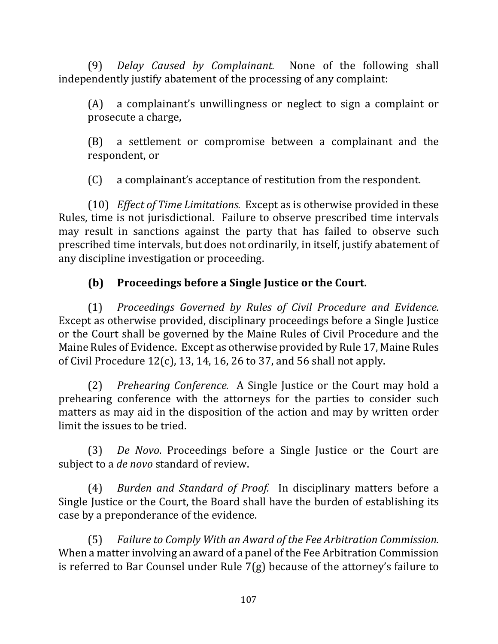(9) *Delay Caused by Complainant.* None of the following shall independently justify abatement of the processing of any complaint:

 $(A)$  a complainant's unwillingness or neglect to sign a complaint or prosecute a charge,

(B) a settlement or compromise between a complainant and the respondent, or

(C) a complainant's acceptance of restitution from the respondent.

(10) *Effect of Time Limitations.* Except as is otherwise provided in these Rules, time is not jurisdictional. Failure to observe prescribed time intervals may result in sanctions against the party that has failed to observe such prescribed time intervals, but does not ordinarily, in itself, justify abatement of any discipline investigation or proceeding.

# **(b) Proceedings before a Single Justice or the Court.**

(1) *Proceedings Governed by Rules of Civil Procedure and Evidence.*  Except as otherwise provided, disciplinary proceedings before a Single Justice or the Court shall be governed by the Maine Rules of Civil Procedure and the Maine Rules of Evidence. Except as otherwise provided by Rule 17, Maine Rules of Civil Procedure  $12(c)$ , 13, 14, 16, 26 to 37, and 56 shall not apply.

(2) *Prehearing Conference.* A Single Justice or the Court may hold a prehearing conference with the attorneys for the parties to consider such matters as may aid in the disposition of the action and may by written order limit the issues to be tried.

(3) *De Novo*. Proceedings before a Single Justice or the Court are subject to a *de novo* standard of review.

(4) *Burden and Standard of Proof.* In disciplinary matters before a Single Justice or the Court, the Board shall have the burden of establishing its case by a preponderance of the evidence.

(5) Failure to Comply With an Award of the Fee Arbitration Commission. When a matter involving an award of a panel of the Fee Arbitration Commission is referred to Bar Counsel under Rule  $7(g)$  because of the attorney's failure to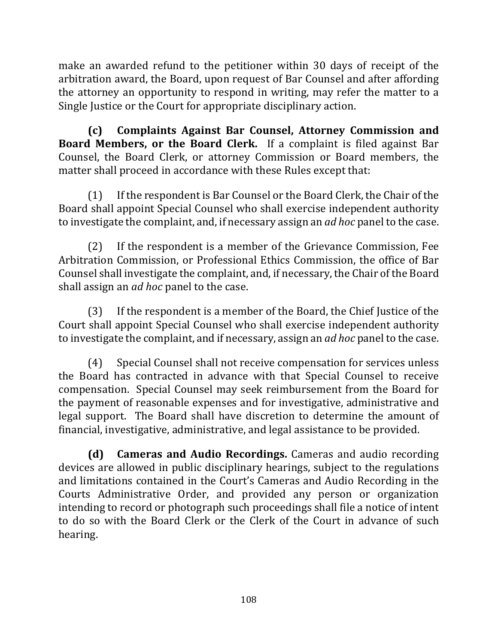make an awarded refund to the petitioner within 30 days of receipt of the arbitration award, the Board, upon request of Bar Counsel and after affording the attorney an opportunity to respond in writing, may refer the matter to a Single Justice or the Court for appropriate disciplinary action.

**(c) Complaints Against Bar Counsel, Attorney Commission and Board Members, or the Board Clerk.** If a complaint is filed against Bar Counsel, the Board Clerk, or attorney Commission or Board members, the matter shall proceed in accordance with these Rules except that:

(1) If the respondent is Bar Counsel or the Board Clerk, the Chair of the Board shall appoint Special Counsel who shall exercise independent authority to investigate the complaint, and, if necessary assign an *ad hoc* panel to the case.

 $(2)$  If the respondent is a member of the Grievance Commission, Fee Arbitration Commission, or Professional Ethics Commission, the office of Bar Counsel shall investigate the complaint, and, if necessary, the Chair of the Board shall assign an *ad hoc* panel to the case.

(3) If the respondent is a member of the Board, the Chief Justice of the Court shall appoint Special Counsel who shall exercise independent authority to investigate the complaint, and if necessary, assign an *ad hoc* panel to the case.

(4) Special Counsel shall not receive compensation for services unless the Board has contracted in advance with that Special Counsel to receive compensation. Special Counsel may seek reimbursement from the Board for the payment of reasonable expenses and for investigative, administrative and legal support. The Board shall have discretion to determine the amount of financial, investigative, administrative, and legal assistance to be provided.

**(d)** Cameras and Audio Recordings. Cameras and audio recording devices are allowed in public disciplinary hearings, subject to the regulations and limitations contained in the Court's Cameras and Audio Recording in the Courts Administrative Order, and provided any person or organization intending to record or photograph such proceedings shall file a notice of intent to do so with the Board Clerk or the Clerk of the Court in advance of such hearing.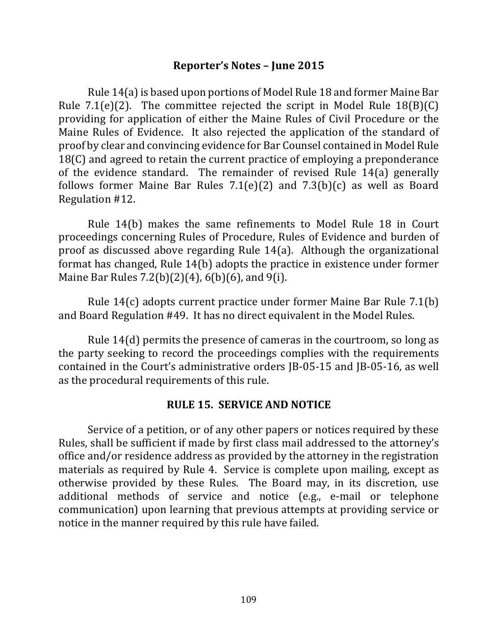#### **Reporter's Notes – June 2015**

Rule 14(a) is based upon portions of Model Rule 18 and former Maine Bar Rule  $7.1(e)(2)$ . The committee rejected the script in Model Rule  $18(B)(C)$ providing for application of either the Maine Rules of Civil Procedure or the Maine Rules of Evidence. It also rejected the application of the standard of proof by clear and convincing evidence for Bar Counsel contained in Model Rule 18 $(C)$  and agreed to retain the current practice of employing a preponderance of the evidence standard. The remainder of revised Rule  $14(a)$  generally follows former Maine Bar Rules  $7.1(e)(2)$  and  $7.3(b)(c)$  as well as Board Regulation #12.

Rule 14(b) makes the same refinements to Model Rule 18 in Court proceedings concerning Rules of Procedure, Rules of Evidence and burden of proof as discussed above regarding Rule  $14(a)$ . Although the organizational format has changed, Rule  $14(b)$  adopts the practice in existence under former Maine Bar Rules  $7.2(b)(2)(4)$ , 6(b)(6), and 9(i).

Rule  $14(c)$  adopts current practice under former Maine Bar Rule 7.1(b) and Board Regulation #49. It has no direct equivalent in the Model Rules.

Rule  $14(d)$  permits the presence of cameras in the courtroom, so long as the party seeking to record the proceedings complies with the requirements contained in the Court's administrative orders IB-05-15 and IB-05-16, as well as the procedural requirements of this rule.

#### **RULE 15. SERVICE AND NOTICE**

Service of a petition, or of any other papers or notices required by these Rules, shall be sufficient if made by first class mail addressed to the attorney's office and/or residence address as provided by the attorney in the registration materials as required by Rule 4. Service is complete upon mailing, except as otherwise provided by these Rules. The Board may, in its discretion, use additional methods of service and notice (e.g., e-mail or telephone communication) upon learning that previous attempts at providing service or notice in the manner required by this rule have failed.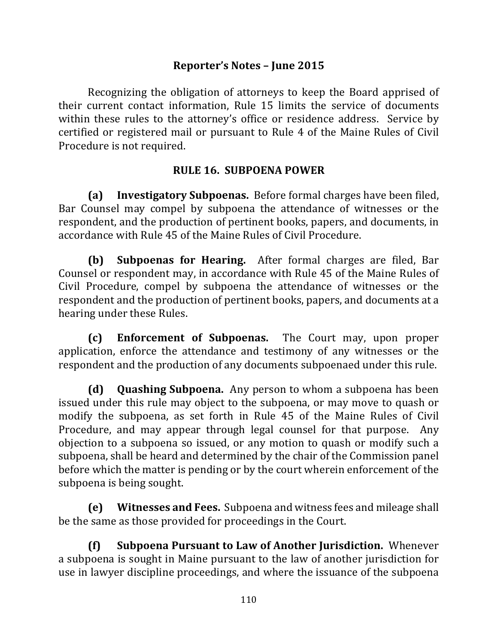## **Reporter's Notes – June 2015**

Recognizing the obligation of attorneys to keep the Board apprised of their current contact information. Rule 15 limits the service of documents within these rules to the attorney's office or residence address. Service by certified or registered mail or pursuant to Rule 4 of the Maine Rules of Civil Procedure is not required.

## **RULE 16. SUBPOENA POWER**

**(a) Investigatory Subpoenas.** Before formal charges have been filed, Bar Counsel may compel by subpoena the attendance of witnesses or the respondent, and the production of pertinent books, papers, and documents, in accordance with Rule 45 of the Maine Rules of Civil Procedure.

**(b) Subpoenas for Hearing.** After formal charges are filed, Bar Counsel or respondent may, in accordance with Rule 45 of the Maine Rules of Civil Procedure, compel by subpoena the attendance of witnesses or the respondent and the production of pertinent books, papers, and documents at a hearing under these Rules.

**(c) Enforcement of Subpoenas.** The Court may, upon proper application, enforce the attendance and testimony of any witnesses or the respondent and the production of any documents subpoenaed under this rule.

**(d)** Quashing Subpoena. Any person to whom a subpoena has been issued under this rule may object to the subpoena, or may move to quash or modify the subpoena, as set forth in Rule 45 of the Maine Rules of Civil Procedure, and may appear through legal counsel for that purpose. Any objection to a subpoena so issued, or any motion to quash or modify such a subpoena, shall be heard and determined by the chair of the Commission panel before which the matter is pending or by the court wherein enforcement of the subpoena is being sought.

**(e)** Witnesses and Fees. Subpoena and witness fees and mileage shall be the same as those provided for proceedings in the Court.

**(f) Subpoena Pursuant to Law of Another Jurisdiction.** Whenever a subpoena is sought in Maine pursuant to the law of another jurisdiction for use in lawyer discipline proceedings, and where the issuance of the subpoena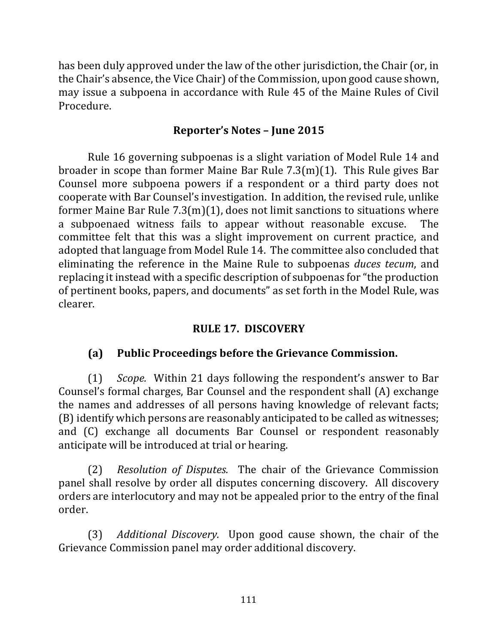has been duly approved under the law of the other jurisdiction, the Chair (or, in the Chair's absence, the Vice Chair) of the Commission, upon good cause shown, may issue a subpoena in accordance with Rule 45 of the Maine Rules of Civil Procedure.

## **Reporter's Notes – June 2015**

Rule 16 governing subpoenas is a slight variation of Model Rule 14 and broader in scope than former Maine Bar Rule  $7.3(m)(1)$ . This Rule gives Bar Counsel more subpoena powers if a respondent or a third party does not cooperate with Bar Counsel's investigation. In addition, the revised rule, unlike former Maine Bar Rule  $7.3(m)(1)$ , does not limit sanctions to situations where a subpoenaed witness fails to appear without reasonable excuse. The committee felt that this was a slight improvement on current practice, and adopted that language from Model Rule 14. The committee also concluded that eliminating the reference in the Maine Rule to subpoenas *duces tecum*, and replacing it instead with a specific description of subpoenas for "the production of pertinent books, papers, and documents" as set forth in the Model Rule, was clearer.

### **RULE 17. DISCOVERY**

### **(a) Public Proceedings before the Grievance Commission.**

(1) *Scope.* Within 21 days following the respondent's answer to Bar Counsel's formal charges, Bar Counsel and the respondent shall (A) exchange the names and addresses of all persons having knowledge of relevant facts; (B) identify which persons are reasonably anticipated to be called as witnesses; and (C) exchange all documents Bar Counsel or respondent reasonably anticipate will be introduced at trial or hearing.

(2) *Resolution of Disputes.* The chair of the Grievance Commission panel shall resolve by order all disputes concerning discovery. All discovery orders are interlocutory and may not be appealed prior to the entry of the final order.

(3) *Additional Discovery.* Upon good cause shown, the chair of the Grievance Commission panel may order additional discovery.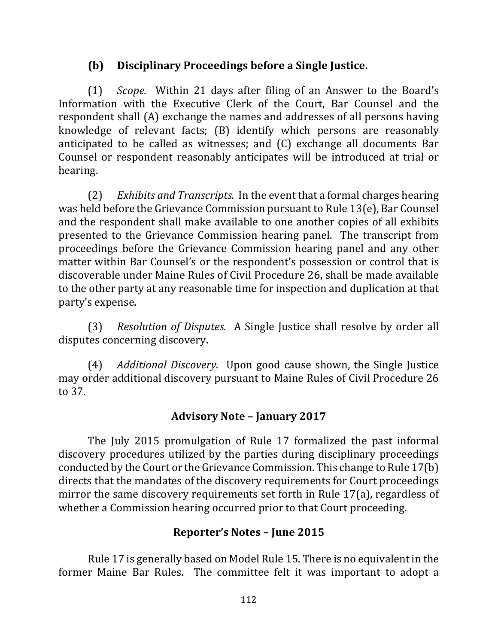# **(b)** Disciplinary Proceedings before a Single Justice.

(1) *Scope.* Within 21 days after filing of an Answer to the Board's Information with the Executive Clerk of the Court, Bar Counsel and the respondent shall (A) exchange the names and addresses of all persons having knowledge of relevant facts; (B) identify which persons are reasonably anticipated to be called as witnesses; and  $(C)$  exchange all documents Bar Counsel or respondent reasonably anticipates will be introduced at trial or hearing.

(2) *Exhibits and Transcripts.* In the event that a formal charges hearing was held before the Grievance Commission pursuant to Rule  $13(e)$ , Bar Counsel and the respondent shall make available to one another copies of all exhibits presented to the Grievance Commission hearing panel. The transcript from proceedings before the Grievance Commission hearing panel and any other matter within Bar Counsel's or the respondent's possession or control that is discoverable under Maine Rules of Civil Procedure 26, shall be made available to the other party at any reasonable time for inspection and duplication at that party's expense.

(3) *Resolution of Disputes.* A Single Justice shall resolve by order all disputes concerning discovery.

(4) *Additional Discovery.* Upon good cause shown, the Single Justice may order additional discovery pursuant to Maine Rules of Civil Procedure 26 to 37.

## **Advisory Note – January 2017**

The July 2015 promulgation of Rule 17 formalized the past informal discovery procedures utilized by the parties during disciplinary proceedings conducted by the Court or the Grievance Commission. This change to Rule  $17(b)$ directs that the mandates of the discovery requirements for Court proceedings mirror the same discovery requirements set forth in Rule  $17(a)$ , regardless of whether a Commission hearing occurred prior to that Court proceeding.

### **Reporter's Notes – June 2015**

Rule 17 is generally based on Model Rule 15. There is no equivalent in the former Maine Bar Rules. The committee felt it was important to adopt a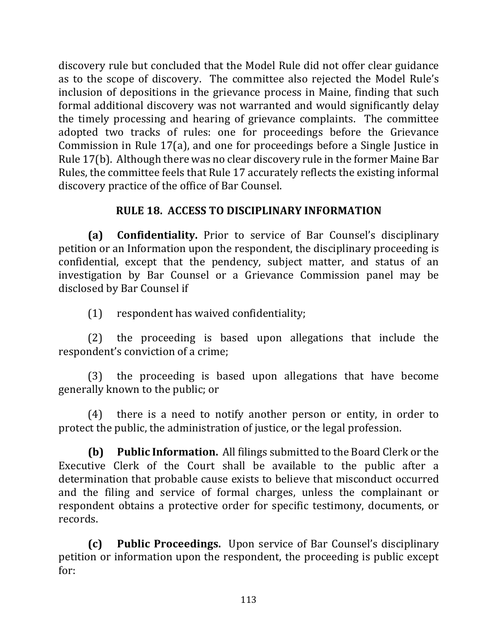discovery rule but concluded that the Model Rule did not offer clear guidance as to the scope of discovery. The committee also rejected the Model Rule's inclusion of depositions in the grievance process in Maine, finding that such formal additional discovery was not warranted and would significantly delay the timely processing and hearing of grievance complaints. The committee adopted two tracks of rules: one for proceedings before the Grievance Commission in Rule  $17(a)$ , and one for proceedings before a Single Justice in Rule 17(b). Although there was no clear discovery rule in the former Maine Bar Rules, the committee feels that Rule 17 accurately reflects the existing informal discovery practice of the office of Bar Counsel.

# **RULE 18. ACCESS TO DISCIPLINARY INFORMATION**

**(a) Confidentiality.**  Prior to service of Bar Counsel's disciplinary petition or an Information upon the respondent, the disciplinary proceeding is confidential, except that the pendency, subject matter, and status of an investigation by Bar Counsel or a Grievance Commission panel may be disclosed by Bar Counsel if

(1) respondent has waived confidentiality;

 $(2)$  the proceeding is based upon allegations that include the respondent's conviction of a crime;

(3) the proceeding is based upon allegations that have become generally known to the public; or

 $(4)$  there is a need to notify another person or entity, in order to protect the public, the administration of justice, or the legal profession.

**(b)** Public Information. All filings submitted to the Board Clerk or the Executive Clerk of the Court shall be available to the public after a determination that probable cause exists to believe that misconduct occurred and the filing and service of formal charges, unless the complainant or respondent obtains a protective order for specific testimony, documents, or records. 

**(c) Public Proceedings.** Upon service of Bar Counsel's disciplinary petition or information upon the respondent, the proceeding is public except for:

113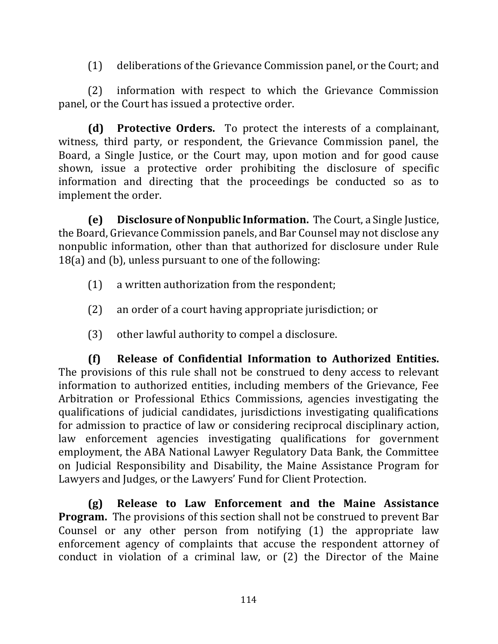$(1)$  deliberations of the Grievance Commission panel, or the Court; and

(2) information with respect to which the Grievance Commission panel, or the Court has issued a protective order.

**(d)** Protective Orders. To protect the interests of a complainant, witness, third party, or respondent, the Grievance Commission panel, the Board, a Single Justice, or the Court may, upon motion and for good cause shown, issue a protective order prohibiting the disclosure of specific information and directing that the proceedings be conducted so as to implement the order.

**(e)** Disclosure of Nonpublic Information. The Court, a Single Justice, the Board, Grievance Commission panels, and Bar Counsel may not disclose any nonpublic information, other than that authorized for disclosure under Rule  $18(a)$  and (b), unless pursuant to one of the following:

- $(1)$  a written authorization from the respondent;
- (2) an order of a court having appropriate jurisdiction; or
- $(3)$  other lawful authority to compel a disclosure.

**(f) Release of Confidential Information to Authorized Entities.**  The provisions of this rule shall not be construed to deny access to relevant information to authorized entities, including members of the Grievance, Fee Arbitration or Professional Ethics Commissions, agencies investigating the qualifications of judicial candidates, jurisdictions investigating qualifications for admission to practice of law or considering reciprocal disciplinary action, law enforcement agencies investigating qualifications for government employment, the ABA National Lawyer Regulatory Data Bank, the Committee on Judicial Responsibility and Disability, the Maine Assistance Program for Lawyers and Judges, or the Lawyers' Fund for Client Protection.

**(g) Release to Law Enforcement and the Maine Assistance Program.** The provisions of this section shall not be construed to prevent Bar Counsel or any other person from notifying  $(1)$  the appropriate law enforcement agency of complaints that accuse the respondent attorney of conduct in violation of a criminal law, or  $(2)$  the Director of the Maine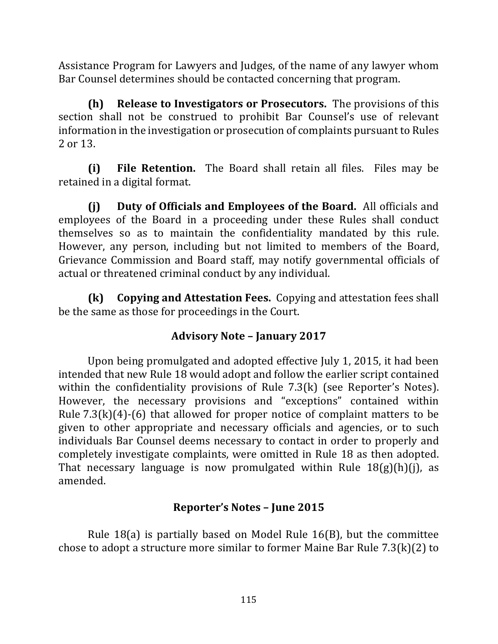Assistance Program for Lawyers and Judges, of the name of any lawyer whom Bar Counsel determines should be contacted concerning that program.

**(h) Release to Investigators or Prosecutors.** The provisions of this section shall not be construed to prohibit Bar Counsel's use of relevant information in the investigation or prosecution of complaints pursuant to Rules 2 or 13.

**(i)** File Retention. The Board shall retain all files. Files may be retained in a digital format.

**(i)** Duty of Officials and Employees of the Board. All officials and employees of the Board in a proceeding under these Rules shall conduct themselves so as to maintain the confidentiality mandated by this rule. However, any person, including but not limited to members of the Board, Grievance Commission and Board staff, may notify governmental officials of actual or threatened criminal conduct by any individual.

**(k)** Copying and Attestation Fees. Copying and attestation fees shall be the same as those for proceedings in the Court.

## **Advisory Note – January 2017**

Upon being promulgated and adopted effective July 1, 2015, it had been intended that new Rule 18 would adopt and follow the earlier script contained within the confidentiality provisions of Rule  $7.3(k)$  (see Reporter's Notes). However, the necessary provisions and "exceptions" contained within Rule  $7.3(k)(4)-(6)$  that allowed for proper notice of complaint matters to be given to other appropriate and necessary officials and agencies, or to such individuals Bar Counsel deems necessary to contact in order to properly and completely investigate complaints, were omitted in Rule 18 as then adopted. That necessary language is now promulgated within Rule  $18(g)(h)(j)$ , as amended.

# **Reporter's Notes – June 2015**

Rule  $18(a)$  is partially based on Model Rule  $16(B)$ , but the committee chose to adopt a structure more similar to former Maine Bar Rule  $7.3(k)(2)$  to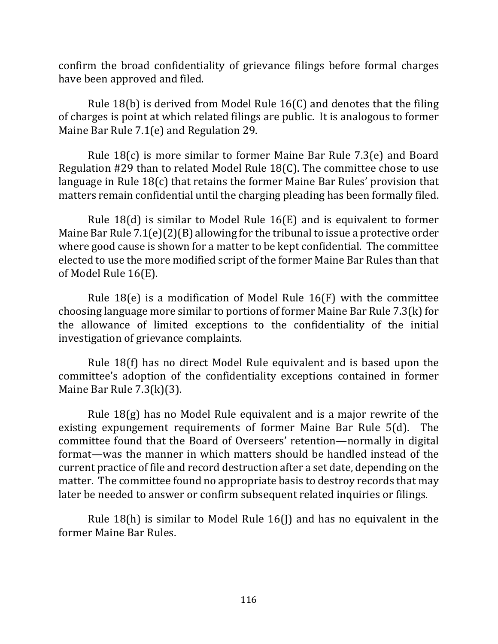confirm the broad confidentiality of grievance filings before formal charges have been approved and filed.

Rule  $18(b)$  is derived from Model Rule  $16(C)$  and denotes that the filing of charges is point at which related filings are public. It is analogous to former Maine Bar Rule  $7.1(e)$  and Regulation 29.

Rule  $18(c)$  is more similar to former Maine Bar Rule 7.3(e) and Board Regulation  $#29$  than to related Model Rule  $18(C)$ . The committee chose to use language in Rule  $18(c)$  that retains the former Maine Bar Rules' provision that matters remain confidential until the charging pleading has been formally filed.

Rule 18(d) is similar to Model Rule 16(E) and is equivalent to former Maine Bar Rule  $7.1(e)(2)(B)$  allowing for the tribunal to issue a protective order where good cause is shown for a matter to be kept confidential. The committee elected to use the more modified script of the former Maine Bar Rules than that of Model Rule 16(E).

Rule  $18(e)$  is a modification of Model Rule  $16(F)$  with the committee choosing language more similar to portions of former Maine Bar Rule  $7.3(k)$  for the allowance of limited exceptions to the confidentiality of the initial investigation of grievance complaints.

Rule 18(f) has no direct Model Rule equivalent and is based upon the committee's adoption of the confidentiality exceptions contained in former Maine Bar Rule  $7.3(k)(3)$ .

Rule  $18(g)$  has no Model Rule equivalent and is a major rewrite of the existing expungement requirements of former Maine Bar Rule 5(d). The committee found that the Board of Overseers' retention—normally in digital format—was the manner in which matters should be handled instead of the current practice of file and record destruction after a set date, depending on the matter. The committee found no appropriate basis to destroy records that may later be needed to answer or confirm subsequent related inquiries or filings.

Rule 18(h) is similar to Model Rule  $16($ f) and has no equivalent in the former Maine Bar Rules.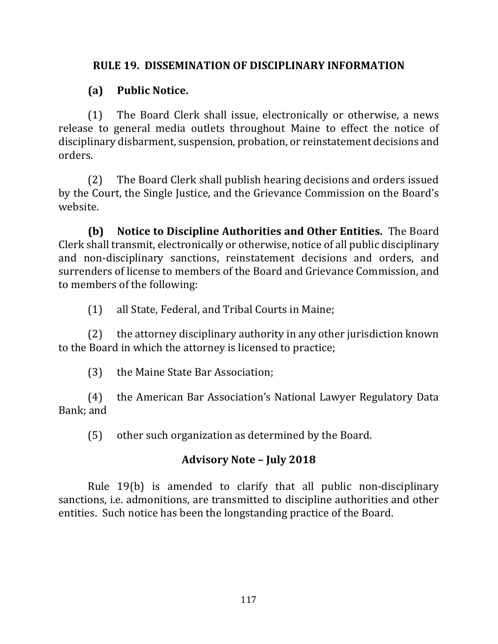## **RULE 19. DISSEMINATION OF DISCIPLINARY INFORMATION**

# **(a) Public Notice.**

(1) The Board Clerk shall issue, electronically or otherwise, a news release to general media outlets throughout Maine to effect the notice of disciplinary disbarment, suspension, probation, or reinstatement decisions and orders.

(2) The Board Clerk shall publish hearing decisions and orders issued by the Court, the Single Justice, and the Grievance Commission on the Board's website.

**(b)** Notice to Discipline Authorities and Other Entities. The Board Clerk shall transmit, electronically or otherwise, notice of all public disciplinary and non-disciplinary sanctions, reinstatement decisions and orders, and surrenders of license to members of the Board and Grievance Commission, and to members of the following:

(1) all State, Federal, and Tribal Courts in Maine;

 $(2)$  the attorney disciplinary authority in any other jurisdiction known to the Board in which the attorney is licensed to practice;

(3) the Maine State Bar Association;

(4) the American Bar Association's National Lawyer Regulatory Data Bank; and

(5) other such organization as determined by the Board.

# **Advisory Note – July 2018**

Rule 19(b) is amended to clarify that all public non-disciplinary sanctions, i.e. admonitions, are transmitted to discipline authorities and other entities. Such notice has been the longstanding practice of the Board.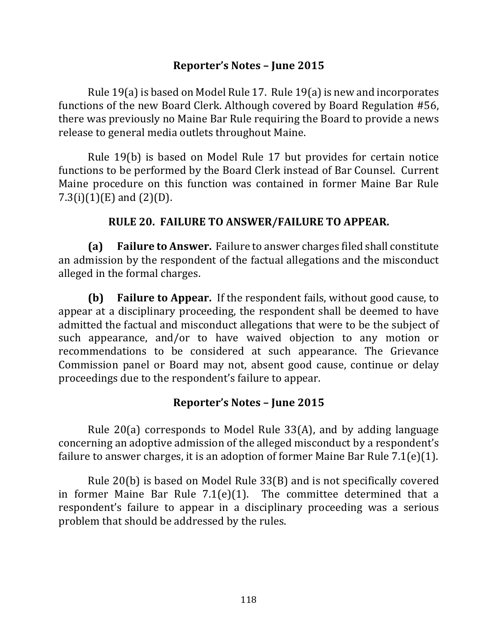### **Reporter's Notes – June 2015**

Rule  $19(a)$  is based on Model Rule 17. Rule  $19(a)$  is new and incorporates functions of the new Board Clerk. Although covered by Board Regulation #56, there was previously no Maine Bar Rule requiring the Board to provide a news release to general media outlets throughout Maine.

Rule 19(b) is based on Model Rule 17 but provides for certain notice functions to be performed by the Board Clerk instead of Bar Counsel. Current Maine procedure on this function was contained in former Maine Bar Rule 7.3(i)(1)(E) and  $(2)(D)$ .

### **RULE 20. FAILURE TO ANSWER/FAILURE TO APPEAR.**

**(a) Failure to Answer.** Failure to answer charges filed shall constitute an admission by the respondent of the factual allegations and the misconduct alleged in the formal charges.

**(b)** Failure to Appear. If the respondent fails, without good cause, to appear at a disciplinary proceeding, the respondent shall be deemed to have admitted the factual and misconduct allegations that were to be the subject of such appearance, and/or to have waived objection to any motion or recommendations to be considered at such appearance. The Grievance Commission panel or Board may not, absent good cause, continue or delay proceedings due to the respondent's failure to appear.

### **Reporter's Notes – June 2015**

Rule  $20(a)$  corresponds to Model Rule  $33(A)$ , and by adding language concerning an adoptive admission of the alleged misconduct by a respondent's failure to answer charges, it is an adoption of former Maine Bar Rule  $7.1(e)(1)$ .

Rule  $20(b)$  is based on Model Rule  $33(B)$  and is not specifically covered in former Maine Bar Rule  $7.1(e)(1)$ . The committee determined that a respondent's failure to appear in a disciplinary proceeding was a serious problem that should be addressed by the rules.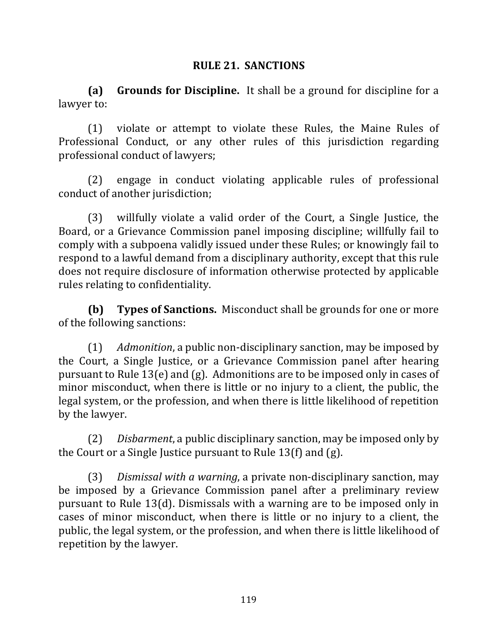### **RULE 21. SANCTIONS**

**(a) Grounds for Discipline.** It shall be a ground for discipline for a lawyer to:

(1) violate or attempt to violate these Rules, the Maine Rules of Professional Conduct, or any other rules of this jurisdiction regarding professional conduct of lawyers;

(2) engage in conduct violating applicable rules of professional conduct of another jurisdiction;

(3) willfully violate a valid order of the Court, a Single Justice, the Board, or a Grievance Commission panel imposing discipline; willfully fail to comply with a subpoena validly issued under these Rules; or knowingly fail to respond to a lawful demand from a disciplinary authority, except that this rule does not require disclosure of information otherwise protected by applicable rules relating to confidentiality.

**(b) Types of Sanctions.** Misconduct shall be grounds for one or more of the following sanctions:

(1) *Admonition*, a public non-disciplinary sanction, may be imposed by the Court, a Single Justice, or a Grievance Commission panel after hearing pursuant to Rule 13(e) and  $(g)$ . Admonitions are to be imposed only in cases of minor misconduct, when there is little or no injury to a client, the public, the legal system, or the profession, and when there is little likelihood of repetition by the lawyer.

(2) *Disbarment*, a public disciplinary sanction, may be imposed only by the Court or a Single Justice pursuant to Rule 13(f) and  $(g)$ .

(3) *Dismissal with a warning*, a private non-disciplinary sanction, may be imposed by a Grievance Commission panel after a preliminary review pursuant to Rule 13(d). Dismissals with a warning are to be imposed only in cases of minor misconduct, when there is little or no injury to a client, the public, the legal system, or the profession, and when there is little likelihood of repetition by the lawyer.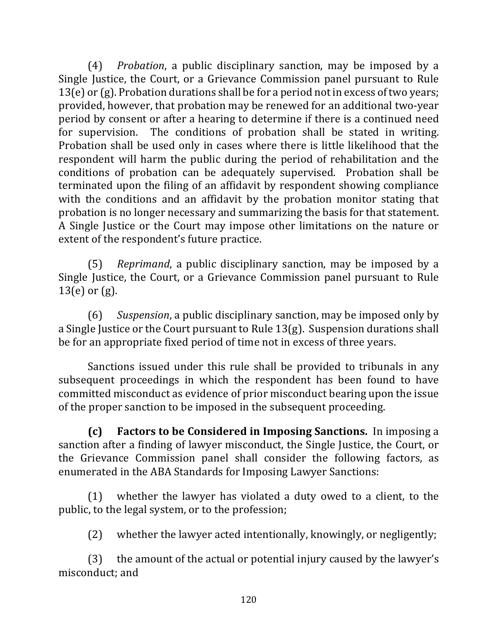(4) *Probation*, a public disciplinary sanction, may be imposed by a Single Justice, the Court, or a Grievance Commission panel pursuant to Rule  $13(e)$  or (g). Probation durations shall be for a period not in excess of two years; provided, however, that probation may be renewed for an additional two-year period by consent or after a hearing to determine if there is a continued need for supervision. The conditions of probation shall be stated in writing. Probation shall be used only in cases where there is little likelihood that the respondent will harm the public during the period of rehabilitation and the conditions of probation can be adequately supervised. Probation shall be terminated upon the filing of an affidavit by respondent showing compliance with the conditions and an affidavit by the probation monitor stating that probation is no longer necessary and summarizing the basis for that statement. A Single Justice or the Court may impose other limitations on the nature or extent of the respondent's future practice.

(5) *Reprimand*, a public disciplinary sanction, may be imposed by a Single Justice, the Court, or a Grievance Commission panel pursuant to Rule  $13(e)$  or  $(g)$ .

(6) Suspension, a public disciplinary sanction, may be imposed only by a Single Justice or the Court pursuant to Rule 13(g). Suspension durations shall be for an appropriate fixed period of time not in excess of three years.

Sanctions issued under this rule shall be provided to tribunals in any subsequent proceedings in which the respondent has been found to have committed misconduct as evidence of prior misconduct bearing upon the issue of the proper sanction to be imposed in the subsequent proceeding.

**(c)** Factors to be Considered in Imposing Sanctions. In imposing a sanction after a finding of lawyer misconduct, the Single Justice, the Court, or the Grievance Commission panel shall consider the following factors, as enumerated in the ABA Standards for Imposing Lawyer Sanctions:

 $(1)$  whether the lawyer has violated a duty owed to a client, to the public, to the legal system, or to the profession;

 $(2)$  whether the lawyer acted intentionally, knowingly, or negligently;

 $(3)$  the amount of the actual or potential injury caused by the lawyer's misconduct: and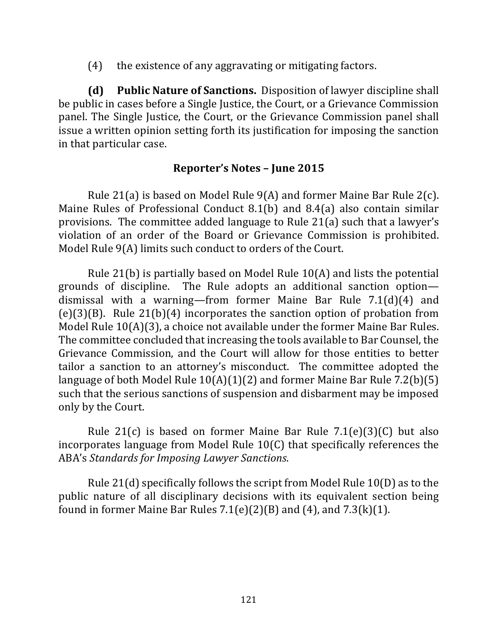$(4)$  the existence of any aggravating or mitigating factors.

**(d)** Public Nature of Sanctions. Disposition of lawyer discipline shall be public in cases before a Single Justice, the Court, or a Grievance Commission panel. The Single Justice, the Court, or the Grievance Commission panel shall issue a written opinion setting forth its justification for imposing the sanction in that particular case.

## **Reporter's Notes – June 2015**

Rule 21(a) is based on Model Rule  $9(A)$  and former Maine Bar Rule 2(c). Maine Rules of Professional Conduct  $8.1(b)$  and  $8.4(a)$  also contain similar provisions. The committee added language to Rule 21(a) such that a lawyer's violation of an order of the Board or Grievance Commission is prohibited. Model Rule  $9(A)$  limits such conduct to orders of the Court.

Rule 21(b) is partially based on Model Rule  $10(A)$  and lists the potential grounds of discipline. The Rule adopts an additional sanction option dismissal with a warning—from former Maine Bar Rule  $7.1(d)(4)$  and  $(e)(3)(B)$ . Rule 21(b)(4) incorporates the sanction option of probation from Model Rule  $10(A)(3)$ , a choice not available under the former Maine Bar Rules. The committee concluded that increasing the tools available to Bar Counsel, the Grievance Commission, and the Court will allow for those entities to better tailor a sanction to an attorney's misconduct. The committee adopted the language of both Model Rule  $10(A)(1)(2)$  and former Maine Bar Rule 7.2(b)(5) such that the serious sanctions of suspension and disbarment may be imposed only by the Court.

Rule  $21(c)$  is based on former Maine Bar Rule  $7.1(e)(3)(C)$  but also incorporates language from Model Rule  $10(C)$  that specifically references the ABA's *Standards for Imposing Lawyer Sanctions*.

Rule  $21(d)$  specifically follows the script from Model Rule  $10(D)$  as to the public nature of all disciplinary decisions with its equivalent section being found in former Maine Bar Rules  $7.1(e)(2)(B)$  and  $(4)$ , and  $7.3(k)(1)$ .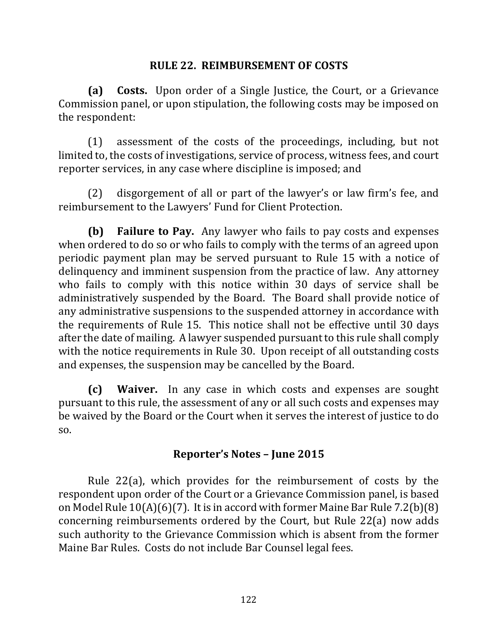### **RULE 22. REIMBURSEMENT OF COSTS**

**(a)** Costs. Upon order of a Single Justice, the Court, or a Grievance Commission panel, or upon stipulation, the following costs may be imposed on the respondent:

 $(1)$  assessment of the costs of the proceedings, including, but not limited to, the costs of investigations, service of process, witness fees, and court reporter services, in any case where discipline is imposed; and

(2) disgorgement of all or part of the lawyer's or law firm's fee, and reimbursement to the Lawyers' Fund for Client Protection.

**(b) Failure to Pay.** Any lawyer who fails to pay costs and expenses when ordered to do so or who fails to comply with the terms of an agreed upon periodic payment plan may be served pursuant to Rule 15 with a notice of delinquency and imminent suspension from the practice of law. Any attorney who fails to comply with this notice within 30 days of service shall be administratively suspended by the Board. The Board shall provide notice of any administrative suspensions to the suspended attorney in accordance with the requirements of Rule 15. This notice shall not be effective until 30 days after the date of mailing. A lawyer suspended pursuant to this rule shall comply with the notice requirements in Rule 30. Upon receipt of all outstanding costs and expenses, the suspension may be cancelled by the Board.

**(c)** Waiver. In any case in which costs and expenses are sought pursuant to this rule, the assessment of any or all such costs and expenses may be waived by the Board or the Court when it serves the interest of justice to do so.

#### **Reporter's Notes – June 2015**

Rule  $22(a)$ , which provides for the reimbursement of costs by the respondent upon order of the Court or a Grievance Commission panel, is based on Model Rule  $10(A)(6)(7)$ . It is in accord with former Maine Bar Rule 7.2(b)(8) concerning reimbursements ordered by the Court, but Rule 22(a) now adds such authority to the Grievance Commission which is absent from the former Maine Bar Rules. Costs do not include Bar Counsel legal fees.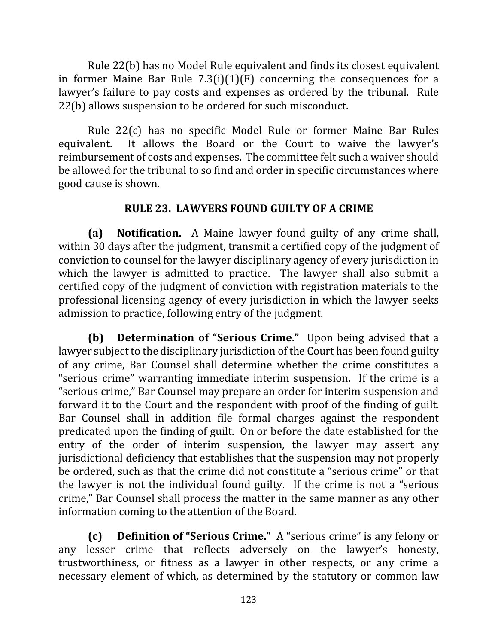Rule 22(b) has no Model Rule equivalent and finds its closest equivalent in former Maine Bar Rule  $7.3(i)(1)(F)$  concerning the consequences for a lawyer's failure to pay costs and expenses as ordered by the tribunal. Rule 22(b) allows suspension to be ordered for such misconduct.

Rule 22(c) has no specific Model Rule or former Maine Bar Rules equivalent. It allows the Board or the Court to waive the lawyer's reimbursement of costs and expenses. The committee felt such a waiver should be allowed for the tribunal to so find and order in specific circumstances where good cause is shown.

# **RULE 23. LAWYERS FOUND GUILTY OF A CRIME**

**(a)** Notification. A Maine lawyer found guilty of any crime shall, within 30 days after the judgment, transmit a certified copy of the judgment of conviction to counsel for the lawyer disciplinary agency of every jurisdiction in which the lawyer is admitted to practice. The lawyer shall also submit a certified copy of the judgment of conviction with registration materials to the professional licensing agency of every jurisdiction in which the lawyer seeks admission to practice, following entry of the judgment.

**(b) Determination of "Serious Crime."** Upon being advised that a lawyer subject to the disciplinary jurisdiction of the Court has been found guilty of any crime, Bar Counsel shall determine whether the crime constitutes a "serious crime" warranting immediate interim suspension. If the crime is a "serious crime," Bar Counsel may prepare an order for interim suspension and forward it to the Court and the respondent with proof of the finding of guilt. Bar Counsel shall in addition file formal charges against the respondent predicated upon the finding of guilt. On or before the date established for the entry of the order of interim suspension, the lawyer may assert any jurisdictional deficiency that establishes that the suspension may not properly be ordered, such as that the crime did not constitute a "serious crime" or that the lawyer is not the individual found guilty. If the crime is not a "serious" crime," Bar Counsel shall process the matter in the same manner as any other information coming to the attention of the Board.

**(c) Definition of "Serious Crime."** A "serious crime" is any felony or any lesser crime that reflects adversely on the lawyer's honesty, trustworthiness, or fitness as a lawyer in other respects, or any crime a necessary element of which, as determined by the statutory or common law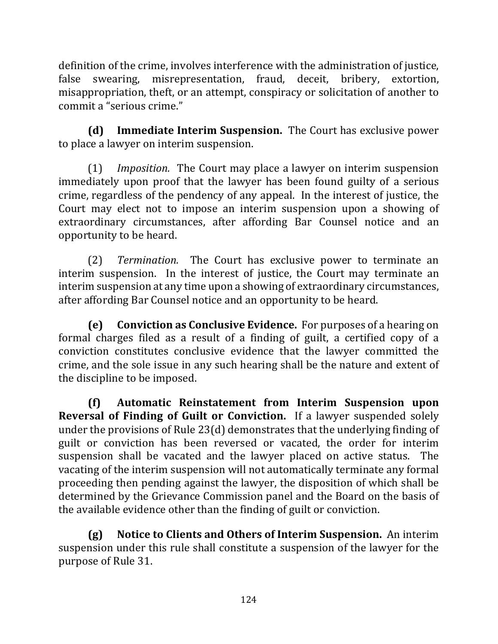definition of the crime, involves interference with the administration of justice, false swearing, misrepresentation, fraud, deceit, bribery, extortion, misappropriation, theft, or an attempt, conspiracy or solicitation of another to commit a "serious crime."

**(d)** Immediate Interim Suspension. The Court has exclusive power to place a lawyer on interim suspension.

(1) *Imposition.* The Court may place a lawyer on interim suspension immediately upon proof that the lawyer has been found guilty of a serious crime, regardless of the pendency of any appeal. In the interest of justice, the Court may elect not to impose an interim suspension upon a showing of extraordinary circumstances, after affording Bar Counsel notice and an opportunity to be heard.

(2) *Termination*. The Court has exclusive power to terminate an interim suspension. In the interest of justice, the Court may terminate an interim suspension at any time upon a showing of extraordinary circumstances, after affording Bar Counsel notice and an opportunity to be heard.

**(e)** Conviction as Conclusive Evidence. For purposes of a hearing on formal charges filed as a result of a finding of guilt, a certified copy of a conviction constitutes conclusive evidence that the lawyer committed the crime, and the sole issue in any such hearing shall be the nature and extent of the discipline to be imposed.

**(f) Automatic Reinstatement from Interim Suspension upon Reversal of Finding of Guilt or Conviction.** If a lawyer suspended solely under the provisions of Rule  $23(d)$  demonstrates that the underlying finding of guilt or conviction has been reversed or vacated, the order for interim suspension shall be vacated and the lawyer placed on active status. The vacating of the interim suspension will not automatically terminate any formal proceeding then pending against the lawyer, the disposition of which shall be determined by the Grievance Commission panel and the Board on the basis of the available evidence other than the finding of guilt or conviction.

**(g)** Notice to Clients and Others of Interim Suspension. An interim suspension under this rule shall constitute a suspension of the lawyer for the purpose of Rule 31.

124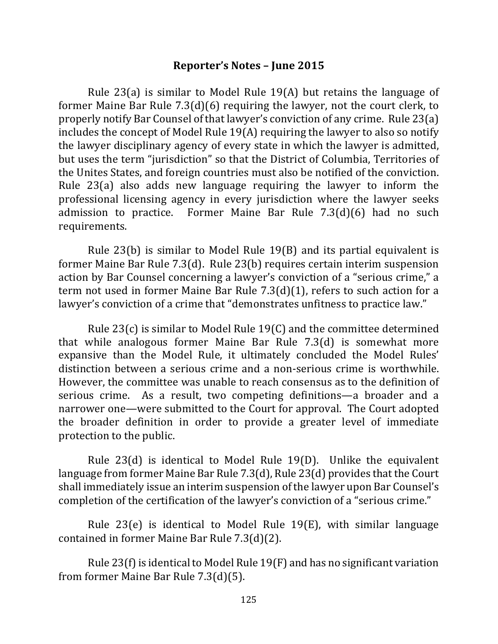#### **Reporter's Notes – June 2015**

Rule  $23(a)$  is similar to Model Rule  $19(A)$  but retains the language of former Maine Bar Rule  $7.3(d)(6)$  requiring the lawyer, not the court clerk, to properly notify Bar Counsel of that lawyer's conviction of any crime. Rule 23(a) includes the concept of Model Rule  $19(A)$  requiring the lawyer to also so notify the lawyer disciplinary agency of every state in which the lawyer is admitted, but uses the term "jurisdiction" so that the District of Columbia, Territories of the Unites States, and foreign countries must also be notified of the conviction. Rule  $23(a)$  also adds new language requiring the lawyer to inform the professional licensing agency in every jurisdiction where the lawyer seeks admission to practice. Former Maine Bar Rule  $7.3(d)(6)$  had no such requirements.

Rule  $23(b)$  is similar to Model Rule  $19(B)$  and its partial equivalent is former Maine Bar Rule  $7.3(d)$ . Rule  $23(b)$  requires certain interim suspension action by Bar Counsel concerning a lawyer's conviction of a "serious crime," a term not used in former Maine Bar Rule  $7.3(d)(1)$ , refers to such action for a lawyer's conviction of a crime that "demonstrates unfitness to practice law."

Rule  $23(c)$  is similar to Model Rule 19(C) and the committee determined that while analogous former Maine Bar Rule  $7.3(d)$  is somewhat more expansive than the Model Rule, it ultimately concluded the Model Rules' distinction between a serious crime and a non-serious crime is worthwhile. However, the committee was unable to reach consensus as to the definition of serious crime. As a result, two competing definitions—a broader and a narrower one—were submitted to the Court for approval. The Court adopted the broader definition in order to provide a greater level of immediate protection to the public.

Rule  $23(d)$  is identical to Model Rule 19(D). Unlike the equivalent language from former Maine Bar Rule  $7.3(d)$ , Rule  $23(d)$  provides that the Court shall immediately issue an interim suspension of the lawyer upon Bar Counsel's completion of the certification of the lawyer's conviction of a "serious crime."

Rule  $23(e)$  is identical to Model Rule  $19(E)$ , with similar language contained in former Maine Bar Rule  $7.3(d)(2)$ .

Rule  $23(f)$  is identical to Model Rule  $19(F)$  and has no significant variation from former Maine Bar Rule 7.3(d)(5).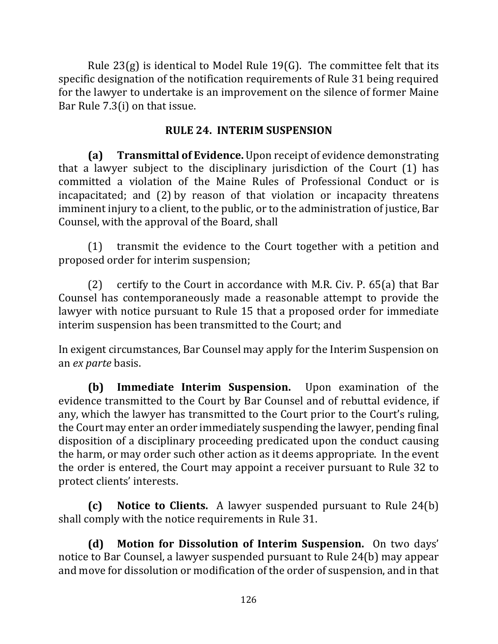Rule  $23(g)$  is identical to Model Rule 19(G). The committee felt that its specific designation of the notification requirements of Rule 31 being required for the lawyer to undertake is an improvement on the silence of former Maine Bar Rule  $7.3(i)$  on that issue.

# **RULE 24. INTERIM SUSPENSION**

**(a) Transmittal of Evidence.** Upon receipt of evidence demonstrating that a lawyer subject to the disciplinary jurisdiction of the Court  $(1)$  has committed a violation of the Maine Rules of Professional Conduct or is incapacitated; and  $(2)$  by reason of that violation or incapacity threatens imminent injury to a client, to the public, or to the administration of justice, Bar Counsel, with the approval of the Board, shall

 $(1)$  transmit the evidence to the Court together with a petition and proposed order for interim suspension;

(2) certify to the Court in accordance with M.R. Civ. P.  $65(a)$  that Bar Counsel has contemporaneously made a reasonable attempt to provide the lawyer with notice pursuant to Rule 15 that a proposed order for immediate interim suspension has been transmitted to the Court; and

In exigent circumstances, Bar Counsel may apply for the Interim Suspension on an *ex parte* basis.

**(b)** Immediate Interim Suspension. Upon examination of the evidence transmitted to the Court by Bar Counsel and of rebuttal evidence, if any, which the lawyer has transmitted to the Court prior to the Court's ruling, the Court may enter an order immediately suspending the lawyer, pending final disposition of a disciplinary proceeding predicated upon the conduct causing the harm, or may order such other action as it deems appropriate. In the event the order is entered, the Court may appoint a receiver pursuant to Rule 32 to protect clients' interests.

**(c)** Notice to Clients. A lawyer suspended pursuant to Rule 24(b) shall comply with the notice requirements in Rule 31.

**(d)** Motion for Dissolution of Interim Suspension. On two days' notice to Bar Counsel, a lawyer suspended pursuant to Rule 24(b) may appear and move for dissolution or modification of the order of suspension, and in that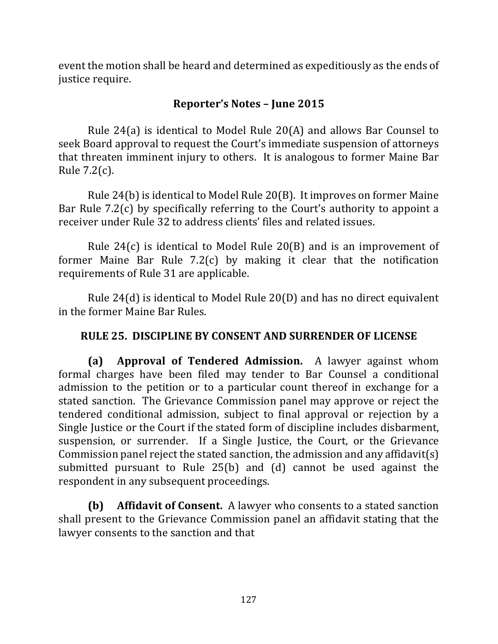event the motion shall be heard and determined as expeditiously as the ends of justice require.

# **Reporter's Notes – June 2015**

Rule 24(a) is identical to Model Rule  $20(A)$  and allows Bar Counsel to seek Board approval to request the Court's immediate suspension of attorneys that threaten imminent injury to others. It is analogous to former Maine Bar Rule  $7.2(c)$ .

Rule  $24(b)$  is identical to Model Rule  $20(B)$ . It improves on former Maine Bar Rule  $7.2(c)$  by specifically referring to the Court's authority to appoint a receiver under Rule 32 to address clients' files and related issues.

Rule  $24(c)$  is identical to Model Rule  $20(B)$  and is an improvement of former Maine Bar Rule  $7.2(c)$  by making it clear that the notification requirements of Rule 31 are applicable.

Rule  $24(d)$  is identical to Model Rule  $20(D)$  and has no direct equivalent in the former Maine Bar Rules.

# **RULE 25. DISCIPLINE BY CONSENT AND SURRENDER OF LICENSE**

**(a) Approval of Tendered Admission.** A lawyer against whom formal charges have been filed may tender to Bar Counsel a conditional admission to the petition or to a particular count thereof in exchange for a stated sanction. The Grievance Commission panel may approve or reject the tendered conditional admission, subject to final approval or rejection by a Single Justice or the Court if the stated form of discipline includes disbarment, suspension, or surrender. If a Single Justice, the Court, or the Grievance Commission panel reject the stated sanction, the admission and any affidavit(s) submitted pursuant to Rule  $25(b)$  and  $(d)$  cannot be used against the respondent in any subsequent proceedings.

**(b)** Affidavit of Consent. A lawyer who consents to a stated sanction shall present to the Grievance Commission panel an affidavit stating that the lawyer consents to the sanction and that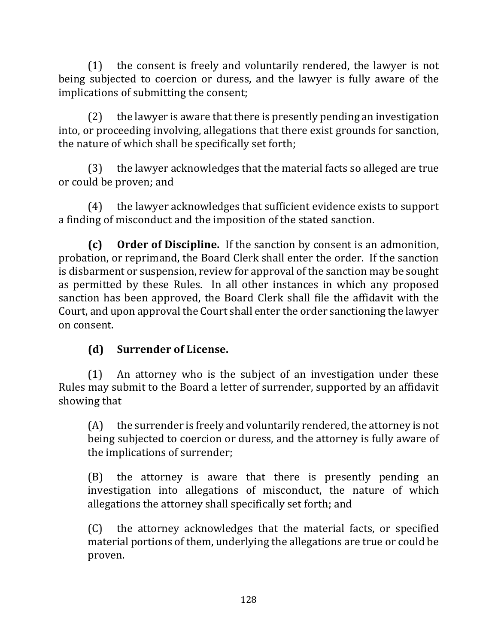$(1)$  the consent is freely and voluntarily rendered, the lawyer is not being subjected to coercion or duress, and the lawyer is fully aware of the implications of submitting the consent;

 $(2)$  the lawyer is aware that there is presently pending an investigation into, or proceeding involving, allegations that there exist grounds for sanction, the nature of which shall be specifically set forth;

 $(3)$  the lawyer acknowledges that the material facts so alleged are true or could be proven; and

(4) the lawyer acknowledges that sufficient evidence exists to support a finding of misconduct and the imposition of the stated sanction.

**(c)** Order of Discipline. If the sanction by consent is an admonition, probation, or reprimand, the Board Clerk shall enter the order. If the sanction is disbarment or suspension, review for approval of the sanction may be sought as permitted by these Rules. In all other instances in which any proposed sanction has been approved, the Board Clerk shall file the affidavit with the Court, and upon approval the Court shall enter the order sanctioning the lawyer on consent.

# **(d) Surrender of License.**

 $(1)$  An attorney who is the subject of an investigation under these Rules may submit to the Board a letter of surrender, supported by an affidavit showing that

 $(A)$  the surrender is freely and voluntarily rendered, the attorney is not being subjected to coercion or duress, and the attorney is fully aware of the implications of surrender;

(B) the attorney is aware that there is presently pending an investigation into allegations of misconduct, the nature of which allegations the attorney shall specifically set forth; and

(C) the attorney acknowledges that the material facts, or specified material portions of them, underlying the allegations are true or could be proven.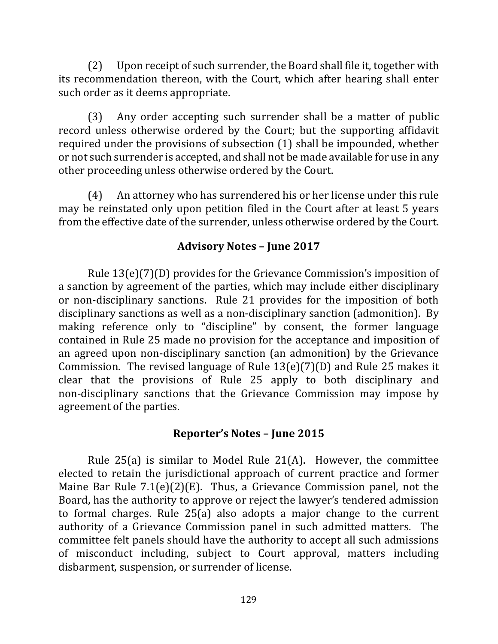(2) Upon receipt of such surrender, the Board shall file it, together with its recommendation thereon, with the Court, which after hearing shall enter such order as it deems appropriate.

(3) Any order accepting such surrender shall be a matter of public record unless otherwise ordered by the Court; but the supporting affidavit required under the provisions of subsection  $(1)$  shall be impounded, whether or not such surrender is accepted, and shall not be made available for use in any other proceeding unless otherwise ordered by the Court.

(4) An attorney who has surrendered his or her license under this rule may be reinstated only upon petition filed in the Court after at least 5 years from the effective date of the surrender, unless otherwise ordered by the Court.

## **Advisory Notes – June 2017**

Rule  $13(e)(7)(D)$  provides for the Grievance Commission's imposition of a sanction by agreement of the parties, which may include either disciplinary or non-disciplinary sanctions. Rule 21 provides for the imposition of both disciplinary sanctions as well as a non-disciplinary sanction (admonition). By making reference only to "discipline" by consent, the former language contained in Rule 25 made no provision for the acceptance and imposition of an agreed upon non-disciplinary sanction (an admonition) by the Grievance Commission. The revised language of Rule  $13(e)(7)(D)$  and Rule 25 makes it clear that the provisions of Rule 25 apply to both disciplinary and non-disciplinary sanctions that the Grievance Commission may impose by agreement of the parties.

### **Reporter's Notes – June 2015**

Rule  $25(a)$  is similar to Model Rule  $21(A)$ . However, the committee elected to retain the jurisdictional approach of current practice and former Maine Bar Rule  $7.1(e)(2)(E)$ . Thus, a Grievance Commission panel, not the Board, has the authority to approve or reject the lawyer's tendered admission to formal charges. Rule  $25(a)$  also adopts a major change to the current authority of a Grievance Commission panel in such admitted matters. The committee felt panels should have the authority to accept all such admissions of misconduct including, subject to Court approval, matters including disbarment, suspension, or surrender of license.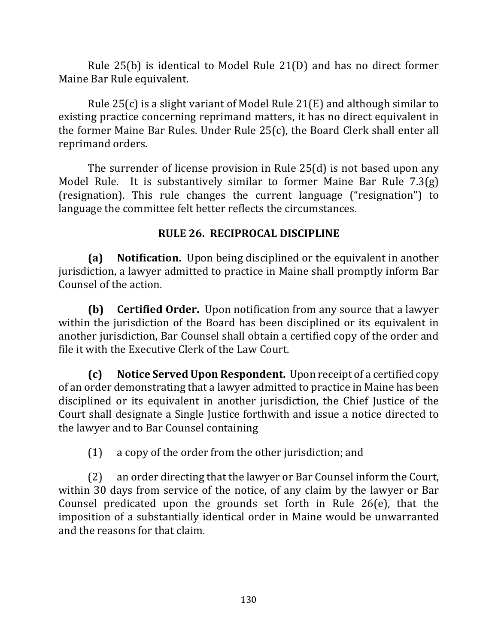Rule  $25(b)$  is identical to Model Rule  $21(D)$  and has no direct former Maine Bar Rule equivalent.

Rule  $25(c)$  is a slight variant of Model Rule  $21(E)$  and although similar to existing practice concerning reprimand matters, it has no direct equivalent in the former Maine Bar Rules. Under Rule  $25(c)$ , the Board Clerk shall enter all reprimand orders.

The surrender of license provision in Rule  $25(d)$  is not based upon any Model Rule. It is substantively similar to former Maine Bar Rule  $7.3(g)$ (resignation). This rule changes the current language ("resignation") to language the committee felt better reflects the circumstances.

## **RULE 26. RECIPROCAL DISCIPLINE**

**(a)** Notification. Upon being disciplined or the equivalent in another jurisdiction, a lawyer admitted to practice in Maine shall promptly inform Bar Counsel of the action.

**(b) Certified Order.** Upon notification from any source that a lawyer within the jurisdiction of the Board has been disciplined or its equivalent in another jurisdiction, Bar Counsel shall obtain a certified copy of the order and file it with the Executive Clerk of the Law Court.

**(c)** Notice Served Upon Respondent. Upon receipt of a certified copy of an order demonstrating that a lawyer admitted to practice in Maine has been disciplined or its equivalent in another jurisdiction, the Chief Justice of the Court shall designate a Single Justice forthwith and issue a notice directed to the lawyer and to Bar Counsel containing

(1) a copy of the order from the other jurisdiction; and

(2) an order directing that the lawyer or Bar Counsel inform the Court, within 30 days from service of the notice, of any claim by the lawyer or Bar Counsel predicated upon the grounds set forth in Rule  $26(e)$ , that the imposition of a substantially identical order in Maine would be unwarranted and the reasons for that claim.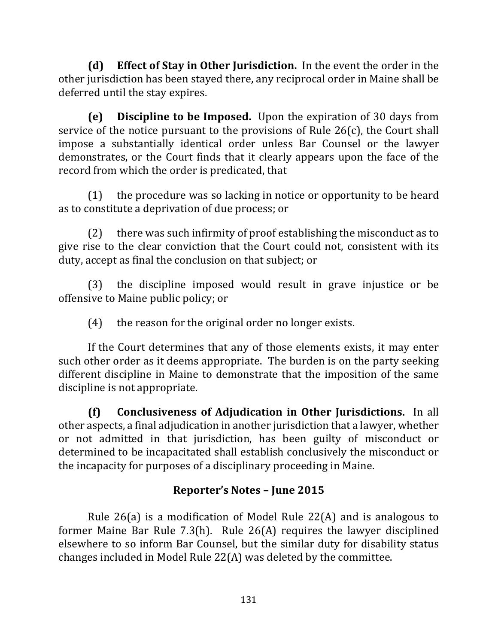**(d)** Effect of Stay in Other Jurisdiction. In the event the order in the other jurisdiction has been stayed there, any reciprocal order in Maine shall be deferred until the stay expires.

**(e)** Discipline to be Imposed. Upon the expiration of 30 days from service of the notice pursuant to the provisions of Rule  $26(c)$ , the Court shall impose a substantially identical order unless Bar Counsel or the lawyer demonstrates, or the Court finds that it clearly appears upon the face of the record from which the order is predicated, that

 $(1)$  the procedure was so lacking in notice or opportunity to be heard as to constitute a deprivation of due process; or

 $(2)$  there was such infirmity of proof establishing the misconduct as to give rise to the clear conviction that the Court could not, consistent with its duty, accept as final the conclusion on that subject; or

(3) the discipline imposed would result in grave injustice or be offensive to Maine public policy; or

 $(4)$  the reason for the original order no longer exists.

If the Court determines that any of those elements exists, it may enter such other order as it deems appropriate. The burden is on the party seeking different discipline in Maine to demonstrate that the imposition of the same discipline is not appropriate.

**(f) Conclusiveness of Adjudication in Other Jurisdictions.** In all other aspects, a final adjudication in another jurisdiction that a lawyer, whether or not admitted in that jurisdiction, has been guilty of misconduct or determined to be incapacitated shall establish conclusively the misconduct or the incapacity for purposes of a disciplinary proceeding in Maine.

# **Reporter's Notes – June 2015**

Rule 26(a) is a modification of Model Rule 22(A) and is analogous to former Maine Bar Rule  $7.3(h)$ . Rule  $26(A)$  requires the lawyer disciplined elsewhere to so inform Bar Counsel, but the similar duty for disability status changes included in Model Rule  $22(A)$  was deleted by the committee.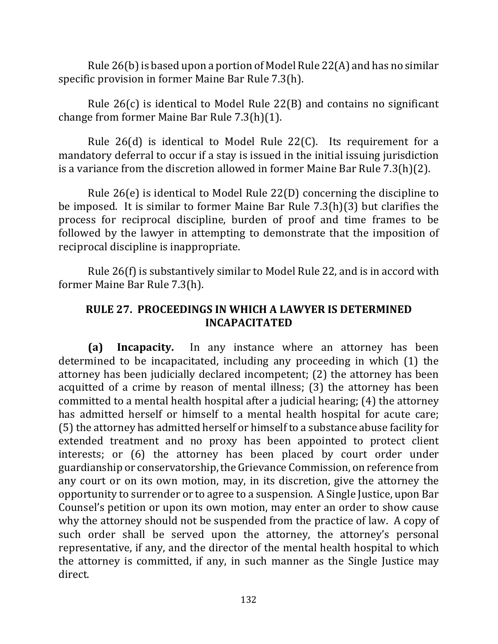Rule 26(b) is based upon a portion of Model Rule 22(A) and has no similar specific provision in former Maine Bar Rule 7.3(h).

Rule  $26(c)$  is identical to Model Rule  $22(B)$  and contains no significant change from former Maine Bar Rule  $7.3(h)(1)$ .

Rule  $26(d)$  is identical to Model Rule  $22(C)$ . Its requirement for a mandatory deferral to occur if a stay is issued in the initial issuing jurisdiction is a variance from the discretion allowed in former Maine Bar Rule  $7.3(h)(2)$ .

Rule  $26(e)$  is identical to Model Rule  $22(D)$  concerning the discipline to be imposed. It is similar to former Maine Bar Rule  $7.3(h)(3)$  but clarifies the process for reciprocal discipline, burden of proof and time frames to be followed by the lawyer in attempting to demonstrate that the imposition of reciprocal discipline is inappropriate.

Rule  $26(f)$  is substantively similar to Model Rule 22, and is in accord with former Maine Bar Rule 7.3(h).

# **RULE 27. PROCEEDINGS IN WHICH A LAWYER IS DETERMINED INCAPACITATED**

**(a) Incapacity.** In any instance where an attorney has been determined to be incapacitated, including any proceeding in which (1) the attorney has been judicially declared incompetent; (2) the attorney has been acquitted of a crime by reason of mental illness; (3) the attorney has been committed to a mental health hospital after a judicial hearing;  $(4)$  the attorney has admitted herself or himself to a mental health hospital for acute care; (5) the attorney has admitted herself or himself to a substance abuse facility for extended treatment and no proxy has been appointed to protect client interests; or (6) the attorney has been placed by court order under guardianship or conservatorship, the Grievance Commission, on reference from any court or on its own motion, may, in its discretion, give the attorney the opportunity to surrender or to agree to a suspension. A Single Justice, upon Bar Counsel's petition or upon its own motion, may enter an order to show cause why the attorney should not be suspended from the practice of law. A copy of such order shall be served upon the attorney, the attorney's personal representative, if any, and the director of the mental health hospital to which the attorney is committed, if any, in such manner as the Single Justice may direct.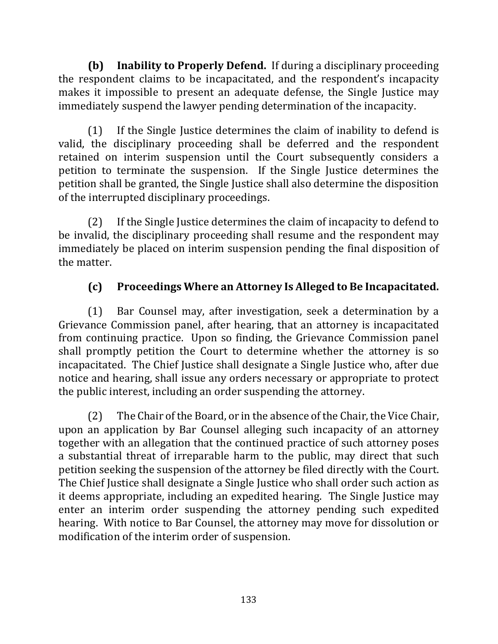**(b)** Inability to Properly Defend. If during a disciplinary proceeding the respondent claims to be incapacitated, and the respondent's incapacity makes it impossible to present an adequate defense, the Single Justice may immediately suspend the lawyer pending determination of the incapacity.

(1) If the Single Justice determines the claim of inability to defend is valid, the disciplinary proceeding shall be deferred and the respondent retained on interim suspension until the Court subsequently considers a petition to terminate the suspension. If the Single Justice determines the petition shall be granted, the Single Justice shall also determine the disposition of the interrupted disciplinary proceedings.

 $(2)$  If the Single Justice determines the claim of incapacity to defend to be invalid, the disciplinary proceeding shall resume and the respondent may immediately be placed on interim suspension pending the final disposition of the matter.

# **(c) Proceedings Where an Attorney Is Alleged to Be Incapacitated.**

(1) Bar Counsel may, after investigation, seek a determination by a Grievance Commission panel, after hearing, that an attorney is incapacitated from continuing practice. Upon so finding, the Grievance Commission panel shall promptly petition the Court to determine whether the attorney is so incapacitated. The Chief Justice shall designate a Single Justice who, after due notice and hearing, shall issue any orders necessary or appropriate to protect the public interest, including an order suspending the attorney.

(2) The Chair of the Board, or in the absence of the Chair, the Vice Chair, upon an application by Bar Counsel alleging such incapacity of an attorney together with an allegation that the continued practice of such attorney poses a substantial threat of irreparable harm to the public, may direct that such petition seeking the suspension of the attorney be filed directly with the Court. The Chief Justice shall designate a Single Justice who shall order such action as it deems appropriate, including an expedited hearing. The Single Justice may enter an interim order suspending the attorney pending such expedited hearing. With notice to Bar Counsel, the attorney may move for dissolution or modification of the interim order of suspension.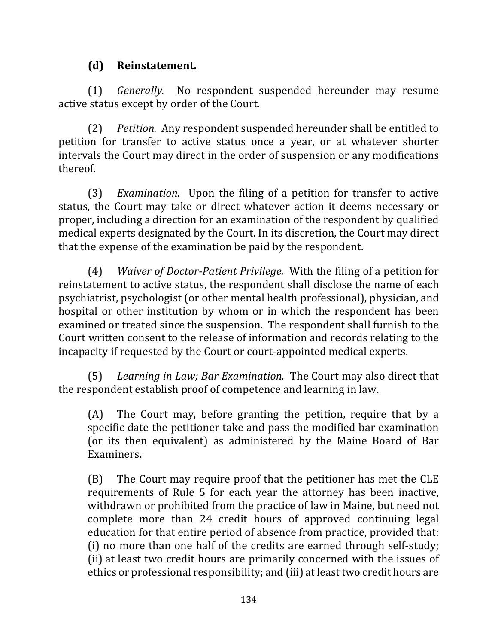# **(d) Reinstatement.**

(1) *Generally*. No respondent suspended hereunder may resume active status except by order of the Court.

(2) *Petition.* Any respondent suspended hereunder shall be entitled to petition for transfer to active status once a year, or at whatever shorter intervals the Court may direct in the order of suspension or any modifications thereof.

(3) *Examination.* Upon the filing of a petition for transfer to active status, the Court may take or direct whatever action it deems necessary or proper, including a direction for an examination of the respondent by qualified medical experts designated by the Court. In its discretion, the Court may direct that the expense of the examination be paid by the respondent.

(4) *Waiver of Doctor-Patient Privilege.* With the filing of a petition for reinstatement to active status, the respondent shall disclose the name of each psychiatrist, psychologist (or other mental health professional), physician, and hospital or other institution by whom or in which the respondent has been examined or treated since the suspension. The respondent shall furnish to the Court written consent to the release of information and records relating to the incapacity if requested by the Court or court-appointed medical experts.

(5) Learning in Law; Bar Examination. The Court may also direct that the respondent establish proof of competence and learning in law.

(A) The Court may, before granting the petition, require that by a specific date the petitioner take and pass the modified bar examination (or its then equivalent) as administered by the Maine Board of Bar Examiners. 

(B) The Court may require proof that the petitioner has met the CLE requirements of Rule 5 for each year the attorney has been inactive, withdrawn or prohibited from the practice of law in Maine, but need not complete more than 24 credit hours of approved continuing legal education for that entire period of absence from practice, provided that: (i) no more than one half of the credits are earned through self-study; (ii) at least two credit hours are primarily concerned with the issues of ethics or professional responsibility; and (iii) at least two credit hours are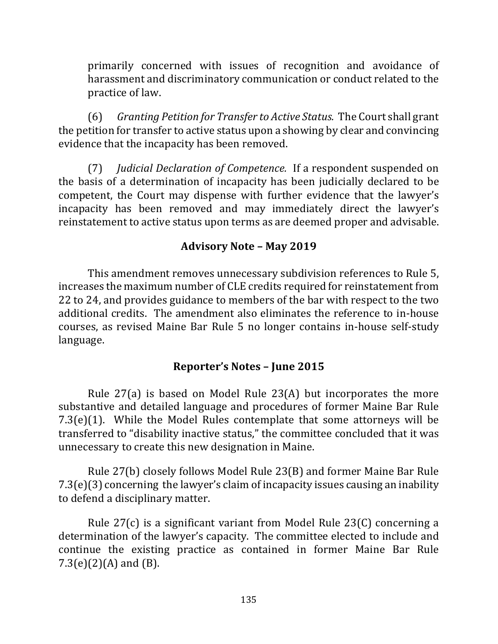primarily concerned with issues of recognition and avoidance of harassment and discriminatory communication or conduct related to the practice of law.

(6) *Granting Petition for Transfer to Active Status.* The Court shall grant the petition for transfer to active status upon a showing by clear and convincing evidence that the incapacity has been removed.

(7) *Judicial Declaration of Competence.* If a respondent suspended on the basis of a determination of incapacity has been judicially declared to be competent, the Court may dispense with further evidence that the lawyer's incapacity has been removed and may immediately direct the lawyer's reinstatement to active status upon terms as are deemed proper and advisable.

## **Advisory Note – May 2019**

This amendment removes unnecessary subdivision references to Rule 5, increases the maximum number of CLE credits required for reinstatement from 22 to 24, and provides guidance to members of the bar with respect to the two additional credits. The amendment also eliminates the reference to in-house courses, as revised Maine Bar Rule 5 no longer contains in-house self-study language.

### **Reporter's Notes – June 2015**

Rule  $27(a)$  is based on Model Rule  $23(A)$  but incorporates the more substantive and detailed language and procedures of former Maine Bar Rule  $7.3(e)(1)$ . While the Model Rules contemplate that some attorneys will be transferred to "disability inactive status," the committee concluded that it was unnecessary to create this new designation in Maine.

Rule 27(b) closely follows Model Rule 23(B) and former Maine Bar Rule  $7.3(e)(3)$  concerning the lawyer's claim of incapacity issues causing an inability to defend a disciplinary matter.

Rule  $27(c)$  is a significant variant from Model Rule  $23(C)$  concerning a determination of the lawyer's capacity. The committee elected to include and continue the existing practice as contained in former Maine Bar Rule  $7.3(e)(2)(A)$  and  $(B)$ .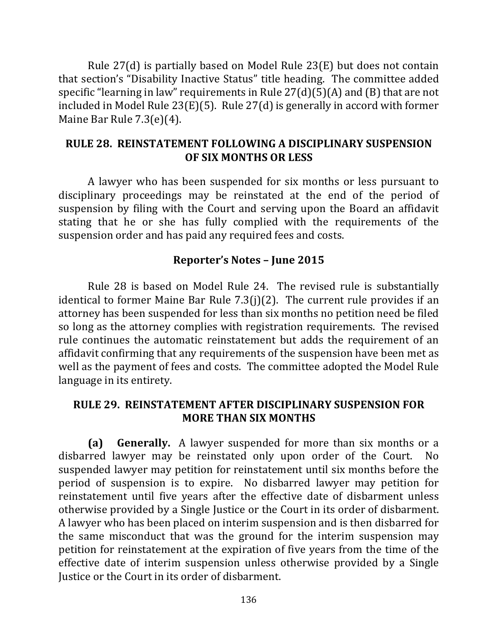Rule  $27(d)$  is partially based on Model Rule  $23(E)$  but does not contain that section's "Disability Inactive Status" title heading. The committee added specific "learning in law" requirements in Rule  $27(d)(5)(A)$  and  $(B)$  that are not included in Model Rule  $23(E)(5)$ . Rule  $27(d)$  is generally in accord with former Maine Bar Rule  $7.3(e)(4)$ .

### **RULE 28. REINSTATEMENT FOLLOWING A DISCIPLINARY SUSPENSION OF SIX MONTHS OR LESS**

A lawyer who has been suspended for six months or less pursuant to disciplinary proceedings may be reinstated at the end of the period of suspension by filing with the Court and serving upon the Board an affidavit stating that he or she has fully complied with the requirements of the suspension order and has paid any required fees and costs.

#### **Reporter's Notes – June 2015**

Rule 28 is based on Model Rule 24. The revised rule is substantially identical to former Maine Bar Rule  $7.3(j)(2)$ . The current rule provides if an attorney has been suspended for less than six months no petition need be filed so long as the attorney complies with registration requirements. The revised rule continues the automatic reinstatement but adds the requirement of an affidavit confirming that any requirements of the suspension have been met as well as the payment of fees and costs. The committee adopted the Model Rule language in its entirety.

### **RULE 29. REINSTATEMENT AFTER DISCIPLINARY SUSPENSION FOR MORE THAN SIX MONTHS**

**(a) Generally.** A lawyer suspended for more than six months or a disbarred lawyer may be reinstated only upon order of the Court. No suspended lawyer may petition for reinstatement until six months before the period of suspension is to expire. No disbarred lawyer may petition for reinstatement until five years after the effective date of disbarment unless otherwise provided by a Single Justice or the Court in its order of disbarment. A lawyer who has been placed on interim suspension and is then disbarred for the same misconduct that was the ground for the interim suspension may petition for reinstatement at the expiration of five years from the time of the effective date of interim suspension unless otherwise provided by a Single Justice or the Court in its order of disbarment.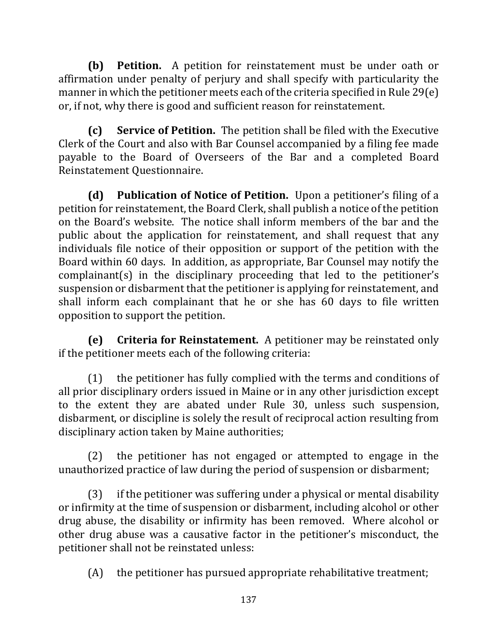**(b) Petition.** A petition for reinstatement must be under oath or affirmation under penalty of perjury and shall specify with particularity the manner in which the petitioner meets each of the criteria specified in Rule 29(e) or, if not, why there is good and sufficient reason for reinstatement.

**(c) Service of Petition.** The petition shall be filed with the Executive Clerk of the Court and also with Bar Counsel accompanied by a filing fee made payable to the Board of Overseers of the Bar and a completed Board Reinstatement Questionnaire.

**(d)** Publication of Notice of Petition. Upon a petitioner's filing of a petition for reinstatement, the Board Clerk, shall publish a notice of the petition on the Board's website. The notice shall inform members of the bar and the public about the application for reinstatement, and shall request that any individuals file notice of their opposition or support of the petition with the Board within 60 days. In addition, as appropriate, Bar Counsel may notify the  $complainant(s)$  in the disciplinary proceeding that led to the petitioner's suspension or disbarment that the petitioner is applying for reinstatement, and shall inform each complainant that he or she has 60 days to file written opposition to support the petition.

**(e)** Criteria for Reinstatement. A petitioner may be reinstated only if the petitioner meets each of the following criteria:

 $(1)$  the petitioner has fully complied with the terms and conditions of all prior disciplinary orders issued in Maine or in any other jurisdiction except to the extent they are abated under Rule 30, unless such suspension, disbarment, or discipline is solely the result of reciprocal action resulting from disciplinary action taken by Maine authorities;

 $(2)$  the petitioner has not engaged or attempted to engage in the unauthorized practice of law during the period of suspension or disbarment;

 $(3)$  if the petitioner was suffering under a physical or mental disability or infirmity at the time of suspension or disbarment, including alcohol or other drug abuse, the disability or infirmity has been removed. Where alcohol or other drug abuse was a causative factor in the petitioner's misconduct, the petitioner shall not be reinstated unless:

 $(A)$  the petitioner has pursued appropriate rehabilitative treatment;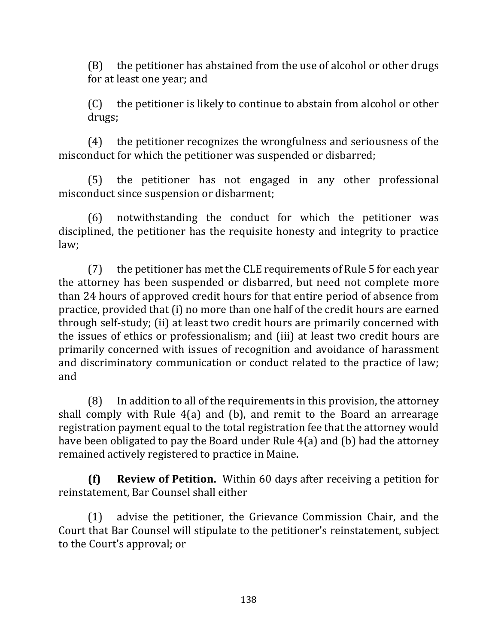$(B)$  the petitioner has abstained from the use of alcohol or other drugs for at least one year; and

 $(C)$  the petitioner is likely to continue to abstain from alcohol or other drugs;

(4) the petitioner recognizes the wrongfulness and seriousness of the misconduct for which the petitioner was suspended or disbarred;

(5) the petitioner has not engaged in any other professional misconduct since suspension or disbarment;

(6) notwithstanding the conduct for which the petitioner was disciplined, the petitioner has the requisite honesty and integrity to practice law; 

 $(7)$  the petitioner has met the CLE requirements of Rule 5 for each year the attorney has been suspended or disbarred, but need not complete more than 24 hours of approved credit hours for that entire period of absence from practice, provided that (i) no more than one half of the credit hours are earned through self-study; (ii) at least two credit hours are primarily concerned with the issues of ethics or professionalism; and (iii) at least two credit hours are primarily concerned with issues of recognition and avoidance of harassment and discriminatory communication or conduct related to the practice of law; and

 $(8)$  In addition to all of the requirements in this provision, the attorney shall comply with Rule  $4(a)$  and  $(b)$ , and remit to the Board an arrearage registration payment equal to the total registration fee that the attorney would have been obligated to pay the Board under Rule  $4(a)$  and (b) had the attorney remained actively registered to practice in Maine.

**(f) Review of Petition.** Within 60 days after receiving a petition for reinstatement, Bar Counsel shall either

(1) advise the petitioner, the Grievance Commission Chair, and the Court that Bar Counsel will stipulate to the petitioner's reinstatement, subject to the Court's approval; or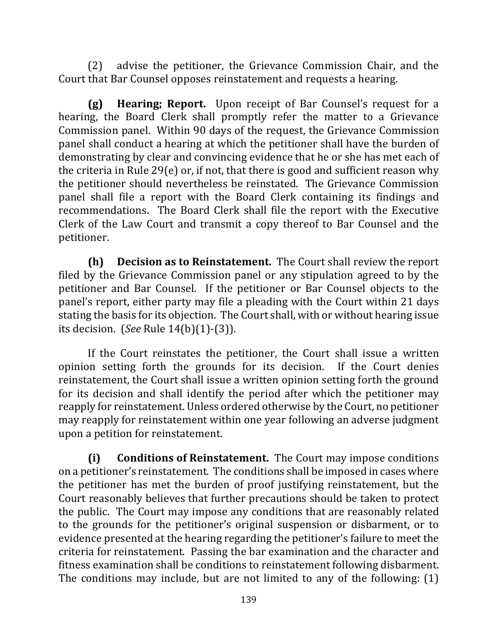(2) advise the petitioner, the Grievance Commission Chair, and the Court that Bar Counsel opposes reinstatement and requests a hearing.

**(g) Hearing; Report.** Upon receipt of Bar Counsel's request for a hearing, the Board Clerk shall promptly refer the matter to a Grievance Commission panel. Within 90 days of the request, the Grievance Commission panel shall conduct a hearing at which the petitioner shall have the burden of demonstrating by clear and convincing evidence that he or she has met each of the criteria in Rule 29(e) or, if not, that there is good and sufficient reason why the petitioner should nevertheless be reinstated. The Grievance Commission panel shall file a report with the Board Clerk containing its findings and recommendations. The Board Clerk shall file the report with the Executive Clerk of the Law Court and transmit a copy thereof to Bar Counsel and the petitioner.

**(h)** Decision as to Reinstatement. The Court shall review the report filed by the Grievance Commission panel or any stipulation agreed to by the petitioner and Bar Counsel. If the petitioner or Bar Counsel objects to the panel's report, either party may file a pleading with the Court within 21 days stating the basis for its objection. The Court shall, with or without hearing issue its decision. (*See* Rule 14(b)(1)-(3)).

If the Court reinstates the petitioner, the Court shall issue a written opinion setting forth the grounds for its decision. If the Court denies reinstatement, the Court shall issue a written opinion setting forth the ground for its decision and shall identify the period after which the petitioner may reapply for reinstatement. Unless ordered otherwise by the Court, no petitioner may reapply for reinstatement within one year following an adverse judgment upon a petition for reinstatement.

**(i)** Conditions of Reinstatement. The Court may impose conditions on a petitioner's reinstatement. The conditions shall be imposed in cases where the petitioner has met the burden of proof justifying reinstatement, but the Court reasonably believes that further precautions should be taken to protect the public. The Court may impose any conditions that are reasonably related to the grounds for the petitioner's original suspension or disbarment, or to evidence presented at the hearing regarding the petitioner's failure to meet the criteria for reinstatement. Passing the bar examination and the character and fitness examination shall be conditions to reinstatement following disbarment. The conditions may include, but are not limited to any of the following:  $(1)$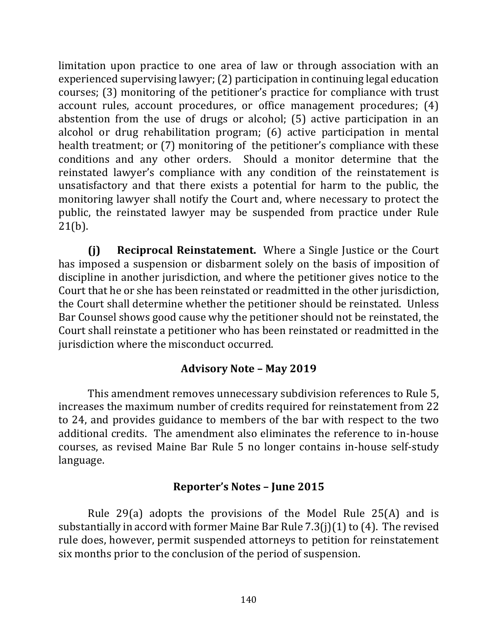limitation upon practice to one area of law or through association with an experienced supervising lawyer; (2) participation in continuing legal education courses; (3) monitoring of the petitioner's practice for compliance with trust account rules, account procedures, or office management procedures; (4) abstention from the use of drugs or alcohol;  $(5)$  active participation in an alcohol or drug rehabilitation program; (6) active participation in mental health treatment; or (7) monitoring of the petitioner's compliance with these conditions and any other orders. Should a monitor determine that the reinstated lawyer's compliance with any condition of the reinstatement is unsatisfactory and that there exists a potential for harm to the public, the monitoring lawyer shall notify the Court and, where necessary to protect the public, the reinstated lawyer may be suspended from practice under Rule  $21(b)$ .

**(j) Reciprocal Reinstatement.** Where a Single Justice or the Court has imposed a suspension or disbarment solely on the basis of imposition of discipline in another jurisdiction, and where the petitioner gives notice to the Court that he or she has been reinstated or readmitted in the other jurisdiction, the Court shall determine whether the petitioner should be reinstated. Unless Bar Counsel shows good cause why the petitioner should not be reinstated, the Court shall reinstate a petitioner who has been reinstated or readmitted in the jurisdiction where the misconduct occurred.

## **Advisory Note – May 2019**

This amendment removes unnecessary subdivision references to Rule 5, increases the maximum number of credits required for reinstatement from 22 to 24, and provides guidance to members of the bar with respect to the two additional credits. The amendment also eliminates the reference to in-house courses, as revised Maine Bar Rule 5 no longer contains in-house self-study language.

# **Reporter's Notes – June 2015**

Rule 29(a) adopts the provisions of the Model Rule  $25(A)$  and is substantially in accord with former Maine Bar Rule  $7.3(j)(1)$  to (4). The revised rule does, however, permit suspended attorneys to petition for reinstatement six months prior to the conclusion of the period of suspension.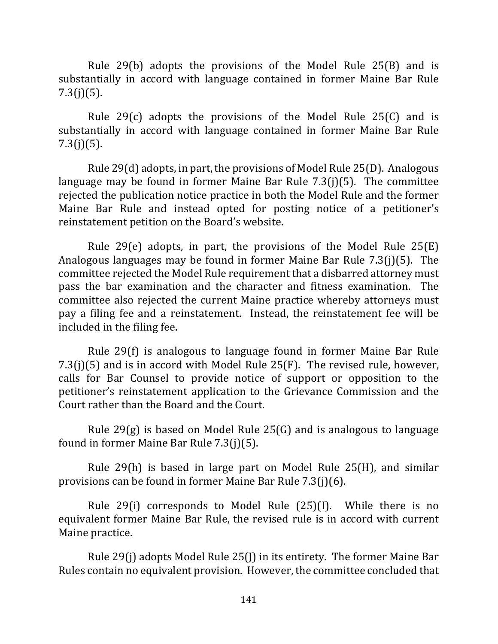Rule  $29(b)$  adopts the provisions of the Model Rule  $25(B)$  and is substantially in accord with language contained in former Maine Bar Rule  $7.3(j)(5)$ .

Rule 29 $(c)$  adopts the provisions of the Model Rule 25 $(C)$  and is substantially in accord with language contained in former Maine Bar Rule  $7.3(j)(5)$ .

Rule  $29(d)$  adopts, in part, the provisions of Model Rule  $25(D)$ . Analogous language may be found in former Maine Bar Rule  $7.3(j)(5)$ . The committee rejected the publication notice practice in both the Model Rule and the former Maine Bar Rule and instead opted for posting notice of a petitioner's reinstatement petition on the Board's website.

Rule 29(e) adopts, in part, the provisions of the Model Rule  $25(E)$ Analogous languages may be found in former Maine Bar Rule  $7.3(i)(5)$ . The committee rejected the Model Rule requirement that a disbarred attorney must pass the bar examination and the character and fitness examination. The committee also rejected the current Maine practice whereby attorneys must pay a filing fee and a reinstatement. Instead, the reinstatement fee will be included in the filing fee.

Rule 29(f) is analogous to language found in former Maine Bar Rule 7.3(j)(5) and is in accord with Model Rule  $25(F)$ . The revised rule, however, calls for Bar Counsel to provide notice of support or opposition to the petitioner's reinstatement application to the Grievance Commission and the Court rather than the Board and the Court.

Rule  $29(g)$  is based on Model Rule  $25(G)$  and is analogous to language found in former Maine Bar Rule  $7.3(j)(5)$ .

Rule  $29(h)$  is based in large part on Model Rule  $25(H)$ , and similar provisions can be found in former Maine Bar Rule  $7.3(j)(6)$ .

Rule  $29(i)$  corresponds to Model Rule  $(25)(1)$ . While there is no equivalent former Maine Bar Rule, the revised rule is in accord with current Maine practice.

Rule  $29(i)$  adopts Model Rule  $25(i)$  in its entirety. The former Maine Bar Rules contain no equivalent provision. However, the committee concluded that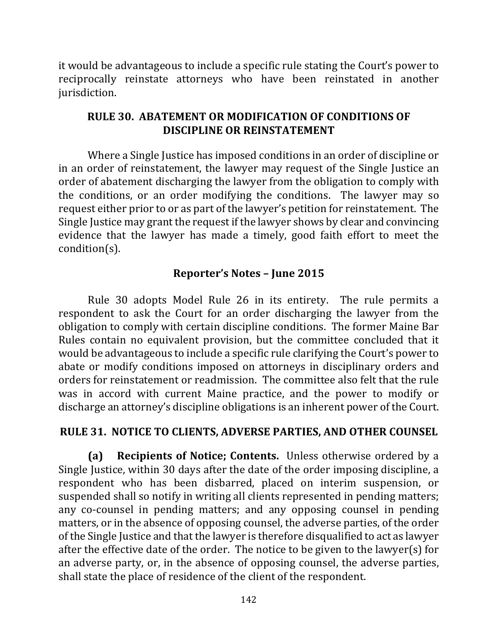it would be advantageous to include a specific rule stating the Court's power to reciprocally reinstate attorneys who have been reinstated in another jurisdiction.

### **RULE 30. ABATEMENT OR MODIFICATION OF CONDITIONS OF DISCIPLINE OR REINSTATEMENT**

Where a Single Justice has imposed conditions in an order of discipline or in an order of reinstatement, the lawyer may request of the Single Justice an order of abatement discharging the lawyer from the obligation to comply with the conditions, or an order modifying the conditions. The lawyer may so request either prior to or as part of the lawyer's petition for reinstatement. The Single Justice may grant the request if the lawyer shows by clear and convincing evidence that the lawyer has made a timely, good faith effort to meet the condition(s).

### **Reporter's Notes – June 2015**

Rule 30 adopts Model Rule 26 in its entirety. The rule permits a respondent to ask the Court for an order discharging the lawyer from the obligation to comply with certain discipline conditions. The former Maine Bar Rules contain no equivalent provision, but the committee concluded that it would be advantageous to include a specific rule clarifying the Court's power to abate or modify conditions imposed on attorneys in disciplinary orders and orders for reinstatement or readmission. The committee also felt that the rule was in accord with current Maine practice, and the power to modify or discharge an attorney's discipline obligations is an inherent power of the Court.

### **RULE 31. NOTICE TO CLIENTS, ADVERSE PARTIES, AND OTHER COUNSEL**

**(a) Recipients of Notice; Contents.** Unless otherwise ordered by a Single Justice, within 30 days after the date of the order imposing discipline, a respondent who has been disbarred, placed on interim suspension, or suspended shall so notify in writing all clients represented in pending matters; any co-counsel in pending matters; and any opposing counsel in pending matters, or in the absence of opposing counsel, the adverse parties, of the order of the Single Justice and that the lawyer is therefore disqualified to act as lawyer after the effective date of the order. The notice to be given to the lawyer(s) for an adverse party, or, in the absence of opposing counsel, the adverse parties, shall state the place of residence of the client of the respondent.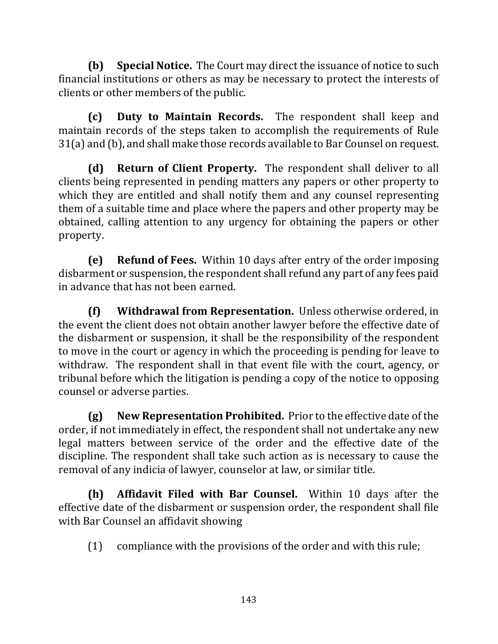**(b)** Special Notice. The Court may direct the issuance of notice to such financial institutions or others as may be necessary to protect the interests of clients or other members of the public.

**(c) Duty to Maintain Records.** The respondent shall keep and maintain records of the steps taken to accomplish the requirements of Rule  $31(a)$  and (b), and shall make those records available to Bar Counsel on request.

**(d) Return of Client Property.** The respondent shall deliver to all clients being represented in pending matters any papers or other property to which they are entitled and shall notify them and any counsel representing them of a suitable time and place where the papers and other property may be obtained, calling attention to any urgency for obtaining the papers or other property.

**(e) Refund of Fees.** Within 10 days after entry of the order imposing disbarment or suspension, the respondent shall refund any part of any fees paid in advance that has not been earned.

**(f)** Withdrawal from Representation. Unless otherwise ordered, in the event the client does not obtain another lawyer before the effective date of the disbarment or suspension, it shall be the responsibility of the respondent to move in the court or agency in which the proceeding is pending for leave to withdraw. The respondent shall in that event file with the court, agency, or tribunal before which the litigation is pending a copy of the notice to opposing counsel or adverse parties.

**(g)** New Representation Prohibited. Prior to the effective date of the order, if not immediately in effect, the respondent shall not undertake any new legal matters between service of the order and the effective date of the discipline. The respondent shall take such action as is necessary to cause the removal of any indicia of lawyer, counselor at law, or similar title.

**(h)** Affidavit Filed with Bar Counsel. Within 10 days after the effective date of the disbarment or suspension order, the respondent shall file with Bar Counsel an affidavit showing

 $(1)$  compliance with the provisions of the order and with this rule;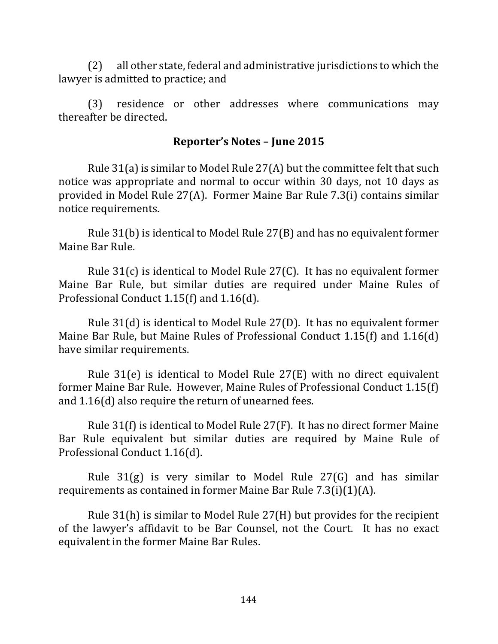$(2)$  all other state, federal and administrative jurisdictions to which the lawyer is admitted to practice; and

(3) residence or other addresses where communications may thereafter be directed.

#### **Reporter's Notes – June 2015**

Rule  $31(a)$  is similar to Model Rule  $27(A)$  but the committee felt that such notice was appropriate and normal to occur within 30 days, not 10 days as provided in Model Rule  $27(A)$ . Former Maine Bar Rule 7.3(i) contains similar notice requirements.

Rule  $31(b)$  is identical to Model Rule  $27(B)$  and has no equivalent former Maine Bar Rule.

Rule  $31(c)$  is identical to Model Rule 27(C). It has no equivalent former Maine Bar Rule, but similar duties are required under Maine Rules of Professional Conduct  $1.15(f)$  and  $1.16(d)$ .

Rule  $31(d)$  is identical to Model Rule  $27(D)$ . It has no equivalent former Maine Bar Rule, but Maine Rules of Professional Conduct  $1.15(f)$  and  $1.16(d)$ have similar requirements.

Rule  $31(e)$  is identical to Model Rule  $27(E)$  with no direct equivalent former Maine Bar Rule. However, Maine Rules of Professional Conduct 1.15(f) and  $1.16(d)$  also require the return of unearned fees.

Rule  $31(f)$  is identical to Model Rule  $27(F)$ . It has no direct former Maine Bar Rule equivalent but similar duties are required by Maine Rule of Professional Conduct 1.16(d).

Rule  $31(g)$  is very similar to Model Rule  $27(G)$  and has similar requirements as contained in former Maine Bar Rule  $7.3(i)(1)(A)$ .

Rule  $31(h)$  is similar to Model Rule  $27(H)$  but provides for the recipient of the lawyer's affidavit to be Bar Counsel, not the Court. It has no exact equivalent in the former Maine Bar Rules.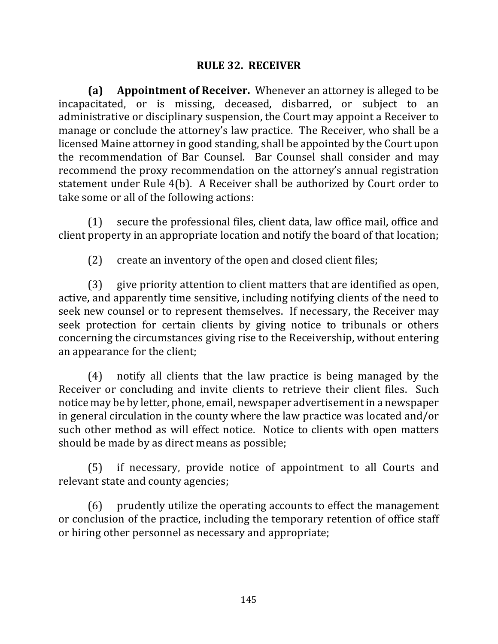## **RULE 32. RECEIVER**

**(a)** Appointment of Receiver. Whenever an attorney is alleged to be incapacitated, or is missing, deceased, disbarred, or subject to an administrative or disciplinary suspension, the Court may appoint a Receiver to manage or conclude the attorney's law practice. The Receiver, who shall be a licensed Maine attorney in good standing, shall be appointed by the Court upon the recommendation of Bar Counsel. Bar Counsel shall consider and may recommend the proxy recommendation on the attorney's annual registration statement under Rule 4(b). A Receiver shall be authorized by Court order to take some or all of the following actions:

 $(1)$  secure the professional files, client data, law office mail, office and client property in an appropriate location and notify the board of that location;

(2) create an inventory of the open and closed client files;

(3) give priority attention to client matters that are identified as open, active, and apparently time sensitive, including notifying clients of the need to seek new counsel or to represent themselves. If necessary, the Receiver may seek protection for certain clients by giving notice to tribunals or others concerning the circumstances giving rise to the Receivership, without entering an appearance for the client;

(4) notify all clients that the law practice is being managed by the Receiver or concluding and invite clients to retrieve their client files. Such notice may be by letter, phone, email, newspaper advertisement in a newspaper in general circulation in the county where the law practice was located and/or such other method as will effect notice. Notice to clients with open matters should be made by as direct means as possible;

(5) if necessary, provide notice of appointment to all Courts and relevant state and county agencies;

(6) prudently utilize the operating accounts to effect the management or conclusion of the practice, including the temporary retention of office staff or hiring other personnel as necessary and appropriate;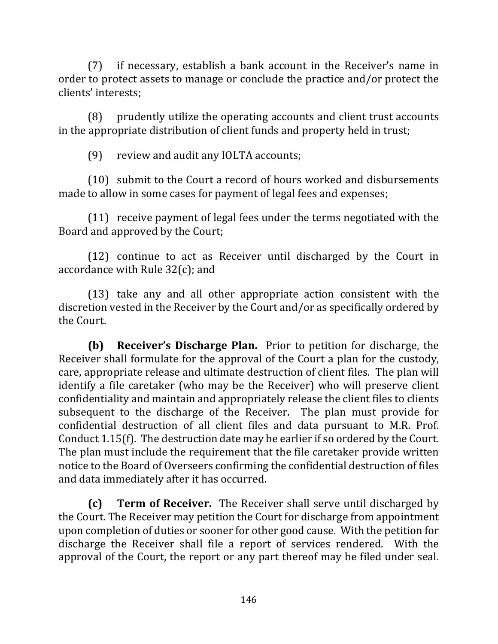$(7)$  if necessary, establish a bank account in the Receiver's name in order to protect assets to manage or conclude the practice and/or protect the clients' interests;

(8) prudently utilize the operating accounts and client trust accounts in the appropriate distribution of client funds and property held in trust;

(9) review and audit any IOLTA accounts;

 $(10)$  submit to the Court a record of hours worked and disbursements made to allow in some cases for payment of legal fees and expenses;

 $(11)$  receive payment of legal fees under the terms negotiated with the Board and approved by the Court;

 $(12)$  continue to act as Receiver until discharged by the Court in accordance with Rule  $32(c)$ ; and

(13) take any and all other appropriate action consistent with the discretion vested in the Receiver by the Court and/or as specifically ordered by the Court.

**(b) Receiver's Discharge Plan.** Prior to petition for discharge, the Receiver shall formulate for the approval of the Court a plan for the custody, care, appropriate release and ultimate destruction of client files. The plan will identify a file caretaker (who may be the Receiver) who will preserve client confidentiality and maintain and appropriately release the client files to clients subsequent to the discharge of the Receiver. The plan must provide for confidential destruction of all client files and data pursuant to M.R. Prof. Conduct  $1.15(f)$ . The destruction date may be earlier if so ordered by the Court. The plan must include the requirement that the file caretaker provide written notice to the Board of Overseers confirming the confidential destruction of files and data immediately after it has occurred.

**(c) Term of Receiver.** The Receiver shall serve until discharged by the Court. The Receiver may petition the Court for discharge from appointment upon completion of duties or sooner for other good cause. With the petition for discharge the Receiver shall file a report of services rendered. With the approval of the Court, the report or any part thereof may be filed under seal.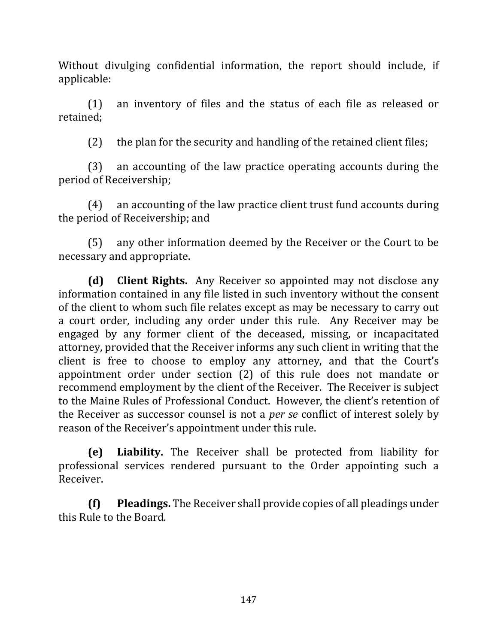Without divulging confidential information, the report should include, if applicable: 

 $(1)$  an inventory of files and the status of each file as released or retained; 

(2) the plan for the security and handling of the retained client files;

(3) an accounting of the law practice operating accounts during the period of Receivership;

 $(4)$  an accounting of the law practice client trust fund accounts during the period of Receivership; and

(5) any other information deemed by the Receiver or the Court to be necessary and appropriate.

**(d) Client Rights.** Any Receiver so appointed may not disclose any information contained in any file listed in such inventory without the consent of the client to whom such file relates except as may be necessary to carry out a court order, including any order under this rule. Any Receiver may be engaged by any former client of the deceased, missing, or incapacitated attorney, provided that the Receiver informs any such client in writing that the client is free to choose to employ any attorney, and that the Court's appointment order under section (2) of this rule does not mandate or recommend employment by the client of the Receiver. The Receiver is subject to the Maine Rules of Professional Conduct. However, the client's retention of the Receiver as successor counsel is not a *per se* conflict of interest solely by reason of the Receiver's appointment under this rule.

**(e) Liability.**  The Receiver shall be protected from liability for professional services rendered pursuant to the Order appointing such a Receiver.

**(f) Pleadings.** The Receiver shall provide copies of all pleadings under this Rule to the Board.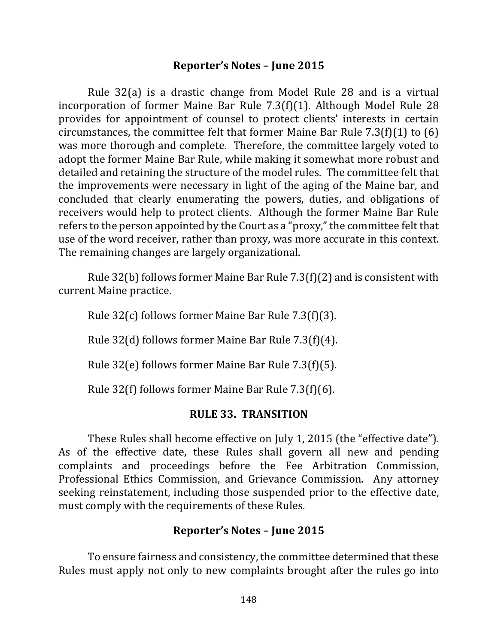## **Reporter's Notes – June 2015**

Rule  $32(a)$  is a drastic change from Model Rule 28 and is a virtual incorporation of former Maine Bar Rule  $7.3(f)(1)$ . Although Model Rule 28 provides for appointment of counsel to protect clients' interests in certain circumstances, the committee felt that former Maine Bar Rule  $7.3(f)(1)$  to  $(6)$ was more thorough and complete. Therefore, the committee largely voted to adopt the former Maine Bar Rule, while making it somewhat more robust and detailed and retaining the structure of the model rules. The committee felt that the improvements were necessary in light of the aging of the Maine bar, and concluded that clearly enumerating the powers, duties, and obligations of receivers would help to protect clients. Although the former Maine Bar Rule refers to the person appointed by the Court as a "proxy," the committee felt that use of the word receiver, rather than proxy, was more accurate in this context. The remaining changes are largely organizational.

Rule  $32(b)$  follows former Maine Bar Rule  $7.3(f)(2)$  and is consistent with current Maine practice.

Rule  $32(c)$  follows former Maine Bar Rule  $7.3(f)(3)$ .

Rule  $32(d)$  follows former Maine Bar Rule  $7.3(f)(4)$ .

Rule  $32(e)$  follows former Maine Bar Rule  $7.3(f)(5)$ .

Rule  $32(f)$  follows former Maine Bar Rule  $7.3(f)(6)$ .

## **RULE 33. TRANSITION**

These Rules shall become effective on July 1, 2015 (the "effective date"). As of the effective date, these Rules shall govern all new and pending complaints and proceedings before the Fee Arbitration Commission, Professional Ethics Commission, and Grievance Commission. Any attorney seeking reinstatement, including those suspended prior to the effective date, must comply with the requirements of these Rules.

## **Reporter's Notes – June 2015**

To ensure fairness and consistency, the committee determined that these Rules must apply not only to new complaints brought after the rules go into